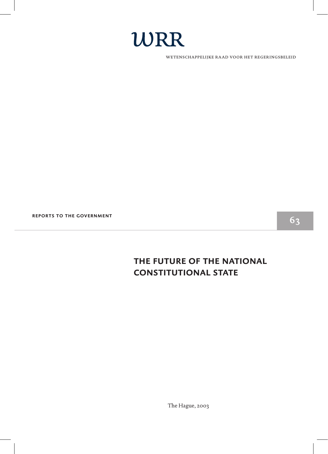

WE TENSCHAPPELIJKE RAAD VOOR HET REGERINGSBELEID

reports to the government

**63**

# the future of the national constitutional state

The Hague, 2003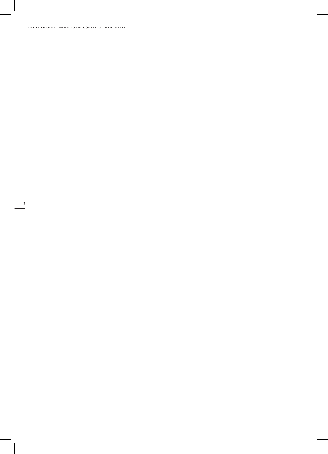**the future of the national constitutional state**

2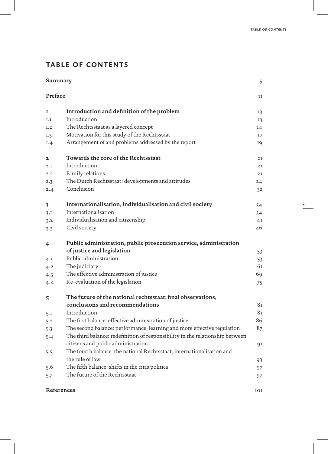$\frac{3}{2}$ 

# table of contents

| Summary        |                                                                                                                     | 5  |
|----------------|---------------------------------------------------------------------------------------------------------------------|----|
| Preface        |                                                                                                                     | 11 |
| 1              | Introduction and definition of the problem                                                                          | 13 |
| 1.1            | Introduction                                                                                                        | 13 |
| 1.2            | The Rechtsstaat as a layered concept                                                                                | 14 |
| 1.3            | Motivation for this study of the Rechtsstaat                                                                        | 17 |
| 1.4            | Arrangement of and problems addressed by the report                                                                 | 19 |
| $\overline{2}$ | Towards the core of the Rechtsstaat                                                                                 | 21 |
| 2.1            | Introduction                                                                                                        | 21 |
| 2.2            | Family relations                                                                                                    | 21 |
| 2.3            | The Dutch Rechtsstaat: developments and attitudes                                                                   | 24 |
| 2.4            | Conclusion                                                                                                          | 32 |
| 3              | Internationalisation, individualisation and civil society                                                           | 34 |
| 3.1            | Internationalisation                                                                                                | 34 |
| 3.2            | Individualisation and citizenship                                                                                   | 41 |
| 3.3            | Civil society                                                                                                       | 46 |
| 4              | Public administration, public prosecution service, administration                                                   |    |
|                | of justice and legislation                                                                                          | 53 |
| 4.1            | Public administration                                                                                               | 53 |
| 4.2            | The judiciary                                                                                                       | 61 |
| 4.3            | The effective administration of justice                                                                             | 69 |
| 4.4            | Re-evaluation of the legislation                                                                                    | 75 |
| 5              | The future of the national rechtsstaat: final observations,                                                         |    |
|                | conclusions and recommendations                                                                                     | 81 |
| 5.1            | Introduction                                                                                                        | 81 |
| 5.2            | The first balance: effective administration of justice                                                              | 86 |
| 5.3            | The second balance: performance, learning and more effective regulation                                             | 87 |
| 5.4            | The third balance: redefinition of responsibility in the relationship between<br>citizens and public administration |    |
|                | The fourth balance: the national Rechtsstaat, internationalisation and                                              | 91 |
| 5.5            | the rule of law                                                                                                     | 93 |
| 5.6            | The fifth balance: shifts in the trias politica                                                                     | 97 |
| 5.7            | The future of the Rechtsstaat                                                                                       | 97 |
|                |                                                                                                                     |    |

## **References** 101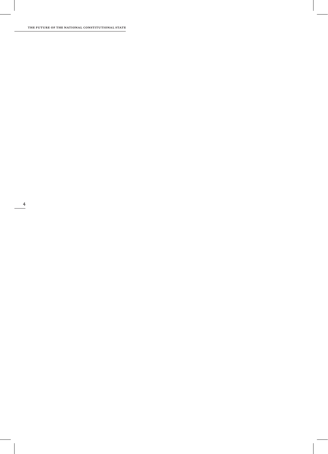**the future of the national constitutional state**

 $\frac{4}{1}$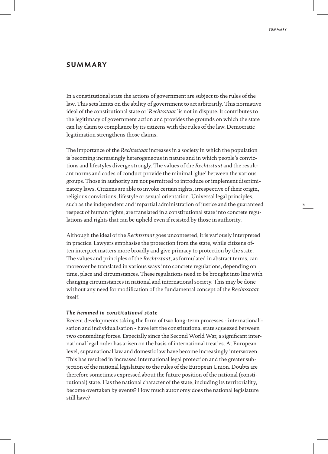5

# **SUMMARY**

In a constitutional state the actions of government are subject to the rules of the law. This sets limits on the ability of government to act arbitrarily. This normative ideal of the constitutional state or '*Rechtsstaat'* is not in dispute. It contributes to the legitimacy of government action and provides the grounds on which the state can lay claim to compliance by its citizens with the rules of the law. Democratic legitimation strengthens those claims.

The importance of the *Rechtsstaat* increases in a society in which the population is becoming increasingly heterogeneous in nature and in which people's convictions and lifestyles diverge strongly. The values of the *Rechtsstaat* and the resultant norms and codes of conduct provide the minimal 'glue' between the various groups. Those in authority are not permitted to introduce or implement discriminatory laws. Citizens are able to invoke certain rights, irrespective of their origin, religious convictions, lifestyle or sexual orientation. Universal legal principles, such as the independent and impartial administration of justice and the guaranteed respect of human rights, are translated in a constitutional state into concrete regulations and rights that can be upheld even if resisted by those in authority.

Although the ideal of the *Rechtsstaat* goes uncontested, it is variously interpreted in practice. Lawyers emphasise the protection from the state, while citizens often interpret matters more broadly and give primacy to protection by the state. The values and principles of the *Rechtsstaat*, as formulated in abstract terms, can moreover be translated in various ways into concrete regulations, depending on time, place and circumstances. These regulations need to be brought into line with changing circumstances in national and international society. This may be done without any need for modification of the fundamental concept of the *Rechtsstaat* itself.

#### *The hemmed in constitutional state*

Recent developments taking the form of two long-term processes - internationalisation and individualisation - have left the constitutional state squeezed between two contending forces. Especially since the Second World War, a significant international legal order has arisen on the basis of international treaties. At European level, supranational law and domestic law have become increasingly interwoven. This has resulted in increased international legal protection and the greater subjection of the national legislature to the rules of the European Union. Doubts are therefore sometimes expressed about the future position of the national (constitutional) state. Has the national character of the state, including its territoriality, become overtaken by events? How much autonomy does the national legislature still have?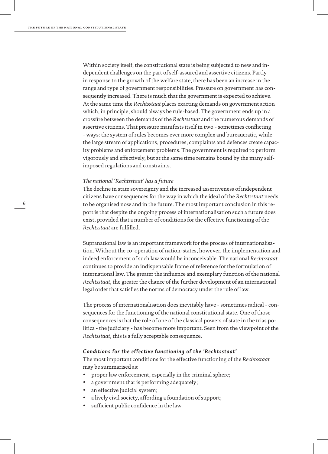Within society itself, the constitutional state is being subjected to new and independent challenges on the part of self-assured and assertive citizens. Partly in response to the growth of the welfare state, there has been an increase in the range and type of government responsibilities. Pressure on government has consequently increased. There is much that the government is expected to achieve. At the same time the *Rechtsstaat* places exacting demands on government action which, in principle, should always be rule-based. The government ends up in a crossfire between the demands of the *Rechtsstaat* and the numerous demands of assertive citizens. That pressure manifests itself in two - sometimes conflicting - ways: the system of rules becomes ever more complex and bureaucratic, while the large stream of applications, procedures, complaints and defences create capacity problems and enforcement problems. The government is required to perform vigorously and effectively, but at the same time remains bound by the many selfimposed regulations and constraints.

#### *The national 'Rechtsstaat' has a future*

The decline in state sovereignty and the increased assertiveness of independent citizens have consequences for the way in which the ideal of the *Rechtsstaat* needs to be organised now and in the future. The most important conclusion in this report is that despite the ongoing process of internationalisation such a future does exist, provided that a number of conditions for the effective functioning of the *Rechtsstaat* are fulfilled.

Supranational law is an important framework for the process of internationalisation. Without the co-operation of nation-states, however, the implementation and indeed enforcement of such law would be inconceivable. The national *Rechtsstaat* continues to provide an indispensable frame of reference for the formulation of international law. The greater the influence and exemplary function of the national *Rechtsstaat*, the greater the chance of the further development of an international legal order that satisfies the norms of democracy under the rule of law.

The process of internationalisation does inevitably have - sometimes radical - consequences for the functioning of the national constitutional state. One of those consequences is that the role of one of the classical powers of state in the trias politica - the judiciary - has become more important. Seen from the viewpoint of the *Rechtsstaat*, this is a fully acceptable consequence.

#### *Conditions for the effective functioning of the ' Rechtsstaat'*

The most important conditions for the effective functioning of the *Rechtsstaat* may be summarised as:

- proper law enforcement, especially in the criminal sphere;
- a government that is performing adequately;
- an effective judicial system;
- a lively civil society, affording a foundation of support;
- sufficient public confidence in the law.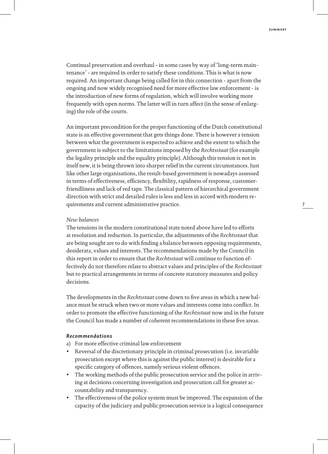7

Continual preservation and overhaul - in some cases by way of 'long-term maintenance' - are required in order to satisfy these conditions. This is what is now required. An important change being called for in this connection - apart from the ongoing and now widely recognised need for more effective law enforcement - is the introduction of new forms of regulation, which will involve working more frequently with open norms. The latter will in turn affect (in the sense of enlarging) the role of the courts.

An important precondition for the proper functioning of the Dutch constitutional state is an effective government that gets things done. There is however a tension between what the government is expected to achieve and the extent to which the government is subject to the limitations imposed by the *Rechtsstaat* (for example the legality principle and the equality principle). Although this tension is not in itself new, it is being thrown into sharper relief in the current circumstances. Just like other large organisations, the result-based government is nowadays assessed in terms of effectiveness, efficiency, flexibility, rapidness of response, customerfriendliness and lack of red tape. The classical pattern of hierarchical government direction with strict and detailed rules is less and less in accord with modern requirements and current administrative practice.

#### *New balances*

The tensions in the modern constitutional state noted above have led to efforts at resolution and reduction. In particular, the adjustments of the *Rechtsstaat* that are being sought are to do with finding a balance between opposing requirements, desiderata, values and interests. The recommendations made by the Council in this report in order to ensure that the *Rechtsstaat* will continue to function effectively do not therefore relate to abstract values and principles of the *Rechtsstaat* but to practical arrangements in terms of concrete statutory measures and policy decisions.

The developments in the *Rechtsstaat* come down to five areas in which a new balance must be struck when two or more values and interests come into conflict. In order to promote the effective functioning of the *Rechtsstaat* now and in the future the Council has made a number of coherent recommendations in these five areas.

#### *Recommendations*

- a) For more effective criminal law enforcement
- Reversal of the discretionary principle in criminal prosecution (i.e. invariable prosecution except where this is against the public interest) is desirable for a specific category of offences, namely serious violent offences.
- The working methods of the public prosecution service and the police in arriving at decisions concerning investigation and prosecution call for greater accountability and transparency.
- The effectiveness of the police system must be improved. The expansion of the capacity of the judiciary and public prosecution service is a logical consequence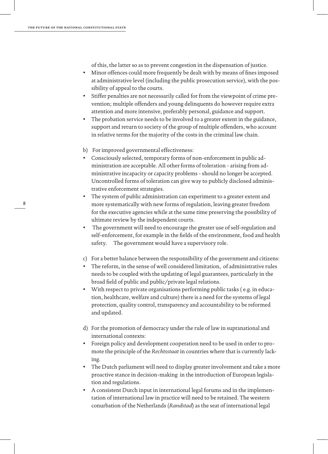8

of this, the latter so as to prevent congestion in the dispensation of justice.

- Minor offences could more frequently be dealt with by means of fines imposed at administrative level (including the public prosecution service), with the possibility of appeal to the courts.
- Stiffer penalties are not necessarily called for from the viewpoint of crime prevention; multiple offenders and young delinquents do however require extra attention and more intensive, preferably personal, guidance and support.
- The probation service needs to be involved to a greater extent in the guidance, support and return to society of the group of multiple offenders, who account in relative terms for the majority of the costs in the criminal law chain.
- b) For improved governmental effectiveness:
- Consciously selected, temporary forms of non-enforcement in public administration are acceptable. All other forms of toleration - arising from administrative incapacity or capacity problems - should no longer be accepted. Uncontrolled forms of toleration can give way to publicly disclosed administrative enforcement strategies.
- The system of public administration can experiment to a greater extent and more systematically with new forms of regulation, leaving greater freedom for the executive agencies while at the same time preserving the possibility of ultimate review by the independent courts.
- The government will need to encourage the greater use of self-regulation and self-enforcement, for example in the fields of the environment, food and health safety. The government would have a supervisory role.
- c) For a better balance between the responsibility of the government and citizens:
- The reform, in the sense of well considered limitation, of administrative rules needs to be coupled with the updating of legal guarantees, particularly in the broad field of public and public/private legal relations.
- With respect to private organisations performing public tasks ( e.g. in education, healthcare, welfare and culture) there is a need for the systems of legal protection, quality control, transparency and accountability to be reformed and updated.
- d) For the promotion of democracy under the rule of law in supranational and international contexts:
- Foreign policy and development cooperation need to be used in order to promote the principle of the *Rechtsstaat* in countries where that is currently lacking.
- The Dutch parliament will need to display greater involvement and take a more proactive stance in decision-making in the introduction of European legislation and regulations.
- A consistent Dutch input in international legal forums and in the implementation of international law in practice will need to be retained. The western conurbation of the Netherlands (*Randstad*) as the seat of international legal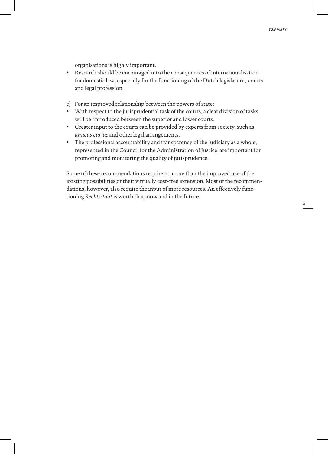organisations is highly important.

- Research should be encouraged into the consequences of internationalisation for domestic law, especially for the functioning of the Dutch legislature, courts and legal profession.
- e) For an improved relationship between the powers of state:
- With respect to the jurisprudential task of the courts, a clear division of tasks will be introduced between the superior and lower courts.
- Greater input to the courts can be provided by experts from society, such as *amicus curiae* and other legal arrangements.
- The professional accountability and transparency of the judiciary as a whole, represented in the Council for the Administration of Justice, are important for promoting and monitoring the quality of jurisprudence.

Some of these recommendations require no more than the improved use of the existing possibilities or their virtually cost-free extension. Most of the recommendations, however, also require the input of more resources. An effectively functioning *Rechtsstaat* is worth that, now and in the future.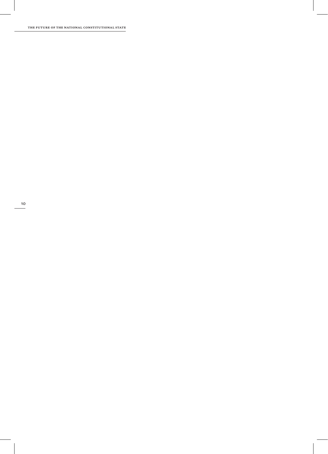**the future of the national constitutional state**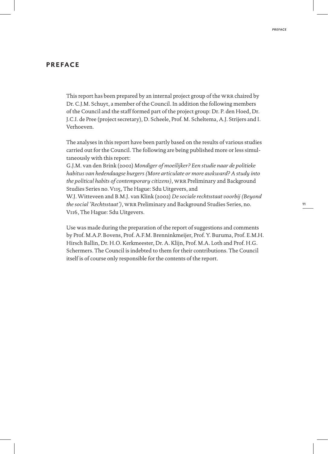### **PREFACE**

This report has been prepared by an internal project group of the WRR chaired by Dr. C.J.M. Schuyt, a member of the Council. In addition the following members of the Council and the staff formed part of the project group: Dr. P. den Hoed, Dr. J.C.I. de Pree (project secretary), D. Scheele, Prof. M. Scheltema, A.J. Strijers and I. Verhoeven.

The analyses in this report have been partly based on the results of various studies carried out for the Council. The following are being published more or less simultaneously with this report:

G.J.M. van den Brink (2002) *Mondiger of moeilijker? Een studie naar de politieke habitus van hedendaagse burgers (More articulate or more awkward? A study into*  the political habits of contemporary citizens), WRR Preliminary and Background Studies Series no. V115, The Hague: Sdu Uitgevers, and

W.J. Witteveen and B.M.J. van Klink (2002) *De sociale rechtsstaat voorbij (Beyond the social 'Rechtsstaat')*, wrr Preliminary and Background Studies Series, no. V116, The Hague: Sdu Uitgevers.

Use was made during the preparation of the report of suggestions and comments by Prof. M.A.P. Bovens, Prof. A.F.M. Brenninkmeijer, Prof. Y. Buruma, Prof. E.M.H. Hirsch Ballin, Dr. H.O. Kerkmeester, Dr. A. Klijn, Prof. M.A. Loth and Prof. H.G. Schermers. The Council is indebted to them for their contributions. The Council itself is of course only responsible for the contents of the report.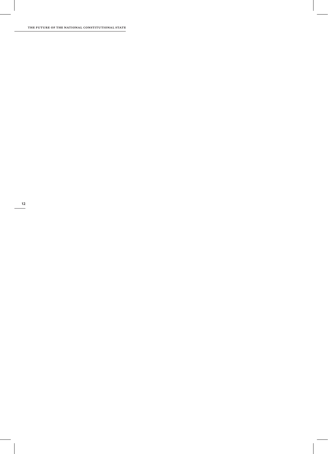**the future of the national constitutional state**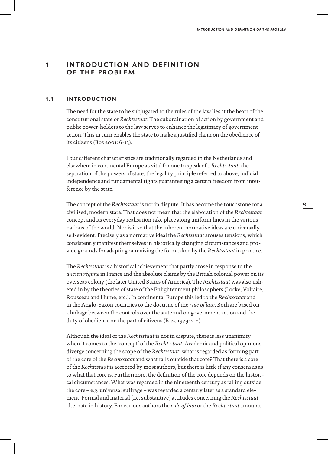# 1 introduction and definition of the problem

#### 1.1 introduction

The need for the state to be subjugated to the rules of the law lies at the heart of the constitutional state or *Rechtsstaat*. The subordination of action by government and public power-holders to the law serves to enhance the legitimacy of government action. This in turn enables the state to make a justified claim on the obedience of its citizens (Bos 2001: 6-13).

Four different characteristics are traditionally regarded in the Netherlands and elsewhere in continental Europe as vital for one to speak of a *Rechtsstaat*: the separation of the powers of state, the legality principle referred to above, judicial independence and fundamental rights guaranteeing a certain freedom from interference by the state.

The concept of the *Rechtsstaat* is not in dispute. It has become the touchstone for a civilised, modern state. That does not mean that the elaboration of the *Rechtsstaat* concept and its everyday realisation take place along uniform lines in the various nations of the world. Nor is it so that the inherent normative ideas are universally self-evident. Precisely as a normative ideal the *Rechtsstaat* arouses tensions, which consistently manifest themselves in historically changing circumstances and provide grounds for adapting or revising the form taken by the *Rechtsstaat* in practice.

The *Rechtsstaat* is a historical achievement that partly arose in response to the *ancien régime* in France and the absolute claims by the British colonial power on its overseas colony (the later United States of America). The *Rechtsstaat* was also ushered in by the theories of state of the Enlightenment philosophers (Locke, Voltaire, Rousseau and Hume, etc.). In continental Europe this led to the *Rechtsstaat* and in the Anglo-Saxon countries to the doctrine of the *rule of law*. Both are based on a linkage between the controls over the state and on government action and the duty of obedience on the part of citizens (Raz, 1979: 212).

Although the ideal of the *Rechtsstaat* is not in dispute, there is less unanimity when it comes to the 'concept' of the *Rechtsstaat*. Academic and political opinions diverge concerning the scope of the *Rechtsstaat*: what is regarded as forming part of the core of the *Rechtsstaat* and what falls outside that core? That there is a core of the *Rechtsstaat* is accepted by most authors, but there is little if any consensus as to what that core is. Furthermore, the definition of the core depends on the historical circumstances. What was regarded in the nineteenth century as falling outside the core – e.g. universal suffrage – was regarded a century later as a standard element. Formal and material (i.e. substantive) attitudes concerning the *Rechtsstaat* alternate in history. For various authors the *rule of law* or the *Rechtsstaat* amounts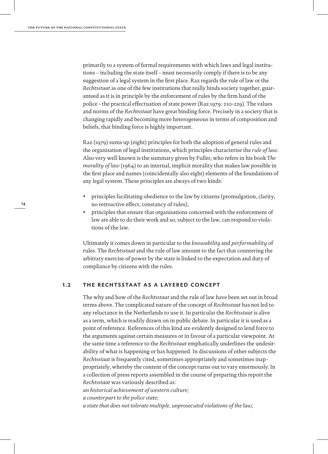primarily to a system of formal requirements with which laws and legal institutions – including the state itself – must necessarily comply if there is to be any suggestion of a legal system in the first place. Raz regards the rule of law or the *Rechtsstaat* as one of the few institutions that really binds society together, guaranteed as it is in principle by the enforcement of rules by the firm hand of the police - the practical effectuation of state power (Raz 1979: 210-229). The values and norms of the *Rechtsstaat* have great binding force. Precisely in a society that is changing rapidly and becoming more heterogeneous in terms of composition and beliefs, that binding force is highly important.

Raz (1979) sums up (eight) principles for both the adoption of general rules and the organisation of legal institutions, which principles characterise the *rule of law*. Also very well known is the summary given by Fuller, who refers in his book *The morality of law* (1964) to an internal, implicit morality that makes law possible in the first place and names (coincidentally also eight) elements of the foundations of any legal system. These principles are always of two kinds:

- principles facilitating obedience to the law by citizens (promulgation, clarity, no retroactive effect, constancy of rules);
- principles that ensure that organisations concerned with the enforcement of law are able to do their work and so, subject to the law, can respond to violations of the law.

Ultimately it comes down in particular to the *knowability* and *performability* of rules. The *Rechtsstaat* and the rule of law amount to the fact that countering the arbitrary exercise of power by the state is linked to the expectation and duty of compliance by citizens with the rules.

#### 1.2 the rechtsstaat as a layered concept

The why and how of the *Rechtsstaat* and the rule of law have been set out in broad terms above. The complicated nature of the concept of *Rechtsstaat* has not led to any reluctance in the Netherlands to use it. In particular the *Rechtsstaat* is alive as a term, which is readily drawn on in public debate. In particular it is used as a point of reference. References of this kind are evidently designed to lend force to the arguments against certain measures or in favour of a particular viewpoint. At the same time a reference to the *Rechtsstaat* emphatically underlines the undesirability of what is happening or has happened. In discussions of other subjects the *Rechtsstaat* is frequently cited, sometimes appropriately and sometimes inappropriately, whereby the content of the concept turns out to vary enormously. In a collection of press reports assembled in the course of preparing this report the *Rechtsstaat* was variously described as:

*an historical achievement of western culture;*

*a counterpart to the police state;*

*a state that does not tolerate multiple, unprosecuted violations of the law;*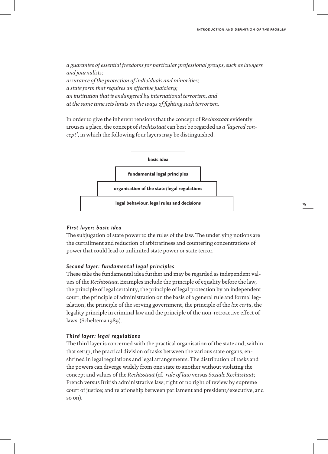*a guarantee of essential freedoms for particular professional groups, such as lawyers and journalists; assurance of the protection of individuals and minorities; a state form that requires an effective judiciary; an institution that is endangered by international terrorism, and at the same time sets limits on the ways of fighting such terrorism.*

In order to give the inherent tensions that the concept of *Rechtsstaat* evidently arouses a place, the concept of *Rechtsstaat* can best be regarded as *a 'layered concept'*, in which the following four layers may be distinguished.



#### *First layer: basic idea*

The subjugation of state power to the rules of the law. The underlying notions are the curtailment and reduction of arbitrariness and countering concentrations of power that could lead to unlimited state power or state terror.

#### *Second layer: fundamental legal principles*

These take the fundamental idea further and may be regarded as independent values of the *Rechtsstaat*. Examples include the principle of equality before the law, the principle of legal certainty, the principle of legal protection by an independent court, the principle of administration on the basis of a general rule and formal legislation, the principle of the serving government, the principle of the *lex certa*, the legality principle in criminal law and the principle of the non-retroactive effect of laws (Scheltema 1989).

#### *Third layer: legal regulations*

The third layer is concerned with the practical organisation of the state and, within that setup, the practical division of tasks between the various state organs, enshrined in legal regulations and legal arrangements. The distribution of tasks and the powers can diverge widely from one state to another without violating the concept and values of the *Rechtsstaat* (cf. *rule of law* versus *Soziale Rechtsstaat*; French versus British administrative law; right or no right of review by supreme court of justice; and relationship between parliament and president/executive, and so on).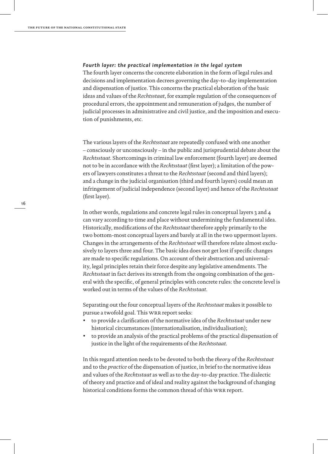#### *Four th layer: the practical implementation in the legal system*

The fourth layer concerns the concrete elaboration in the form of legal rules and decisions and implementation decrees governing the day-to-day implementation and dispensation of justice. This concerns the practical elaboration of the basic ideas and values of the *Rechtsstaat*, for example regulation of the consequences of procedural errors, the appointment and remuneration of judges, the number of judicial processes in administrative and civil justice, and the imposition and execution of punishments, etc.

The various layers of the *Rechtsstaat* are repeatedly confused with one another – consciously or unconsciously – in the public and jurisprudential debate about the *Rechtsstaat*. Shortcomings in criminal law enforcement (fourth layer) are deemed not to be in accordance with the *Rechtsstaat* (first layer); a limitation of the powers of lawyers constitutes a threat to the *Rechtsstaat* (second and third layers); and a change in the judicial organisation (third and fourth layers) could mean an infringement of judicial independence (second layer) and hence of the *Rechtsstaat* (first layer).

In other words, regulations and concrete legal rules in conceptual layers 3 and 4 can vary according to time and place without undermining the fundamental idea. Historically, modifications of the *Rechtsstaat* therefore apply primarily to the two bottom-most conceptual layers and barely at all in the two uppermost layers. Changes in the arrangements of the *Rechtsstaat* will therefore relate almost exclusively to layers three and four. The basic idea does not get lost if specific changes are made to specific regulations. On account of their abstraction and universality, legal principles retain their force despite any legislative amendments. The *Rechtsstaat* in fact derives its strength from the ongoing combination of the general with the specific, of general principles with concrete rules: the concrete level is worked out in terms of the values of the *Rechtsstaat*.

Separating out the four conceptual layers of the *Rechtsstaat* makes it possible to pursue a twofold goal. This WRR report seeks:

- to provide a clarification of the normative idea of the *Rechtsstaat* under new historical circumstances (internationalisation, individualisation);
- to provide an analysis of the practical problems of the practical dispensation of justice in the light of the requirements of the *Rechtsstaat*.

In this regard attention needs to be devoted to both the *theory* of the *Rechtsstaat* and to the *practice* of the dispensation of justice, in brief to the normative ideas and values of the *Rechtsstaat* as well as to the day-to-day practice. The dialectic of theory and practice and of ideal and reality against the background of changing historical conditions forms the common thread of this WRR report.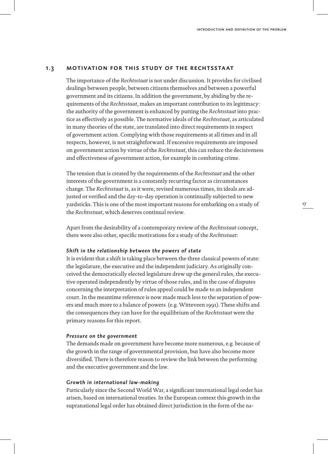#### 1.3 motivation for this study of the rechtsstaat

The importance of the *Rechtsstaat* is not under discussion. It provides for civilised dealings between people, between citizens themselves and between a powerful government and its citizens. In addition the government, by abiding by the requirements of the *Rechtsstaat*, makes an important contribution to its legitimacy: the authority of the government is enhanced by putting the *Rechtsstaat* into practice as effectively as possible. The normative ideals of the *Rechtsstaat*, as articulated in many theories of the state, are translated into direct requirements in respect of government action. Complying with those requirements at all times and in all respects, however, is not straightforward. If excessive requirements are imposed on government action by virtue of the *Rechtsstaat*, this can reduce the decisiveness and effectiveness of government action, for example in combating crime.

The tension that is created by the requirements of the *Rechtsstaat* and the other interests of the government is a constantly recurring factor as circumstances change. The *Rechtsstaat* is, as it were, revised numerous times, its ideals are adjusted or verified and the day-to-day operation is continually subjected to new yardsticks. This is one of the most important reasons for embarking on a study of the *Rechtsstaat*, which deserves continual review.

Apart from the desirability of a contemporary review of the *Rechtsstaat* concept, there were also other, specific motivations for a study of the *Rechtsstaat*:

#### Shift in the relationship between the powers of state

It is evident that a shift is taking place between the three classical powers of state: the legislature, the executive and the independent judiciary. As originally conceived the democratically elected legislature drew up the general rules, the executive operated independently by virtue of those rules, and in the case of disputes concerning the interpretation of rules appeal could be made to an independent court. In the meantime reference is now made much less to the separation of powers and much more to a balance of powers (e.g. Witteveen 1991). These shifts and the consequences they can have for the equilibrium of the *Rechtsstaat* were the primary reasons for this report.

#### *Pressure on the government*

The demands made on government have become more numerous, e.g. because of the growth in the range of governmental provision, but have also become more diversified. There is therefore reason to review the link between the performing and the executive government and the law.

#### *Growth in international law-making*

Particularly since the Second World War, a significant international legal order has arisen, based on international treaties. In the European context this growth in the supranational legal order has obtained direct jurisdiction in the form of the na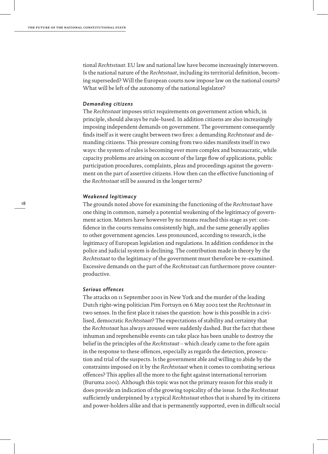tional *Rechtsstaat*. EU law and national law have become increasingly interwoven. Is the national nature of the *Rechtsstaat*, including its territorial definition, becoming superseded? Will the European courts now impose law on the national courts? What will be left of the autonomy of the national legislator?

#### *Demanding citizens*

The *Rechtsstaat* imposes strict requirements on government action which, in principle, should always be rule-based. In addition citizens are also increasingly imposing independent demands on government. The government consequently finds itself as it were caught between two fires: a demanding *Rechtsstaat* and demanding citizens. This pressure coming from two sides manifests itself in two ways: the system of rules is becoming ever more complex and bureaucratic, while capacity problems are arising on account of the large flow of applications, public participation procedures, complaints, pleas and proceedings against the government on the part of assertive citizens. How then can the effective functioning of the *Rechtsstaat* still be assured in the longer term?

#### *Weakened legitimacy*

The grounds noted above for examining the functioning of the *Rechtsstaat* have one thing in common, namely a potential weakening of the legitimacy of government action. Matters have however by no means reached this stage as yet: confidence in the courts remains consistently high, and the same generally applies to other government agencies. Less pronounced, according to research, is the legitimacy of European legislation and regulations. In addition confidence in the police and judicial system is declining. The contribution made in theory by the *Rechtsstaat* to the legitimacy of the government must therefore be re-examined. Excessive demands on the part of the *Rechtsstaat* can furthermore prove counterproductive.

#### *Serious offences*

The attacks on 11 September 2001 in New York and the murder of the leading Dutch right-wing politician Pim Fortuyn on 6 May 2002 test the *Rechtsstaat* in two senses. In the first place it raises the question: how is this possible in a civilised, democratic *Rechtsstaat*? The expectations of stability and certainty that the *Rechtsstaat* has always aroused were suddenly dashed. But the fact that these inhuman and reprehensible events can take place has been unable to destroy the belief in the principles of the *Rechtsstaat* – which clearly came to the fore again in the response to these offences, especially as regards the detection, prosecution and trial of the suspects. Is the government able and willing to abide by the constraints imposed on it by the *Rechtsstaat* when it comes to combating serious offences? This applies all the more to the fight against international terrorism (Buruma 2001). Although this topic was not the primary reason for this study it does provide an indication of the growing topicality of the issue. Is the *Rechtsstaat* sufficiently underpinned by a typical *Rechtsstaat* ethos that is shared by its citizens and power-holders alike and that is permanently supported, even in difficult social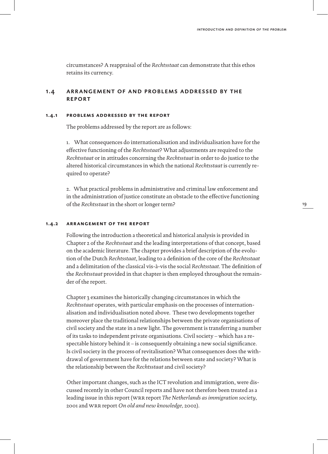circumstances? A reappraisal of the *Rechtsstaat* can demonstrate that this ethos retains its currency.

### 1.4 arrangement of and problems addressed by the **REPORT**

#### **1.4.1 problems addressed by the report**

The problems addressed by the report are as follows:

1. What consequences do internationalisation and individualisation have for the effective functioning of the *Rechtsstaat*? What adjustments are required to the *Rechtsstaat* or in attitudes concerning the *Rechtsstaat* in order to do justice to the altered historical circumstances in which the national *Rechtsstaat* is currently required to operate?

2. What practical problems in administrative and criminal law enforcement and in the administration of justice constitute an obstacle to the effective functioning of the *Rechtsstaat* in the short or longer term?

#### **1.4.2 arrangement of the report**

Following the introduction a theoretical and historical analysis is provided in Chapter 2 of the *Rechtsstaat* and the leading interpretations of that concept, based on the academic literature. The chapter provides a brief description of the evolution of the Dutch *Rechtsstaat*, leading to a definition of the core of the *Rechtsstaat* and a delimitation of the classical vis-à-vis the social *Rechtsstaat*. The definition of the *Rechtsstaat* provided in that chapter is then employed throughout the remainder of the report.

Chapter 3 examines the historically changing circumstances in which the *Rechtsstaat* operates, with particular emphasis on the processes of internationalisation and individualisation noted above. These two developments together moreover place the traditional relationships between the private organisations of civil society and the state in a new light. The government is transferring a number of its tasks to independent private organisations. Civil society – which has a respectable history behind it – is consequently obtaining a new social significance. Is civil society in the process of revitalisation? What consequences does the withdrawal of government have for the relations between state and society? What is the relationship between the *Rechtsstaat* and civil society?

Other important changes, such as the ICT revolution and immigration, were discussed recently in other Council reports and have not therefore been treated as a leading issue in this report (WRR report *The Netherlands as immigration society*, 2001 and wrr report *On old and new knowledge,* 2002).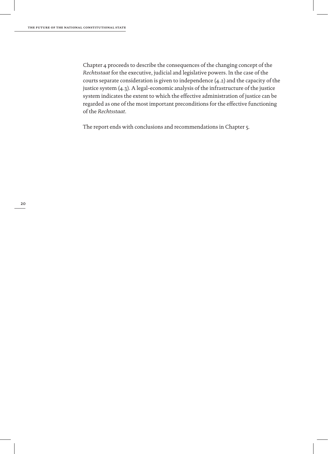Chapter 4 proceeds to describe the consequences of the changing concept of the *Rechtsstaat* for the executive, judicial and legislative powers. In the case of the courts separate consideration is given to independence (4.2) and the capacity of the justice system (4.3). A legal-economic analysis of the infrastructure of the justice system indicates the extent to which the effective administration of justice can be regarded as one of the most important preconditions for the effective functioning of the *Rechtsstaat*.

The report ends with conclusions and recommendations in Chapter 5.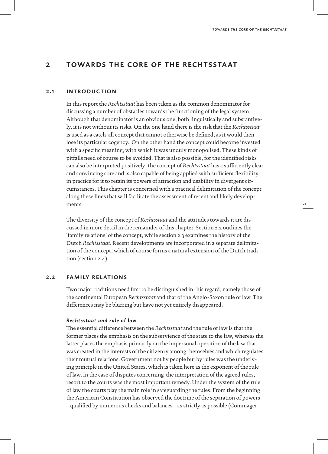# 2 towards the core of the rechtsstaat

#### 2.1 introduction

In this report the *Rechtsstaat* has been taken as the common denominator for discussing a number of obstacles towards the functioning of the legal system. Although that denominator is an obvious one, both linguistically and substantively, it is not without its risks. On the one hand there is the risk that the *Rechtsstaat* is used as a catch-all concept that cannot otherwise be defined, as it would then lose its particular cogency. On the other hand the concept could become invested with a specific meaning, with which it was unduly monopolised. These kinds of pitfalls need of course to be avoided. That is also possible, for the identified risks can also be interpreted positively: the concept of *Rechtsstaat* has a sufficiently clear and convincing core and is also capable of being applied with sufficient flexibility in practice for it to retain its powers of attraction and usability in divergent circumstances. This chapter is concerned with a practical delimitation of the concept along these lines that will facilitate the assessment of recent and likely developments.

The diversity of the concept of *Rechtsstaat* and the attitudes towards it are discussed in more detail in the remainder of this chapter. Section 2.2 outlines the 'family relations' of the concept, while section 2.3 examines the history of the Dutch *Rechtsstaat*. Recent developments are incorporated in a separate delimitation of the concept, which of course forms a natural extension of the Dutch tradition (section 2.4).

#### 2.2 family relations

Two major traditions need first to be distinguished in this regard, namely those of the continental European *Rechtsstaat* and that of the Anglo-Saxon rule of law. The differences may be blurring but have not yet entirely disappeared.

#### *Rechtsstaat and rule of law*

The essential difference between the *Rechtsstaat* and the rule of law is that the former places the emphasis on the subservience of the state to the law, whereas the latter places the emphasis primarily on the impersonal operation of the law that was created in the interests of the citizenry among themselves and which regulates their mutual relations. Government not by people but by rules was the underlying principle in the United States, which is taken here as the exponent of the rule of law. In the case of disputes concerning the interpretation of the agreed rules, resort to the courts was the most important remedy. Under the system of the rule of law the courts play the main role in safeguarding the rules. From the beginning the American Constitution has observed the doctrine of the separation of powers – qualified by numerous checks and balances – as strictly as possible (Commager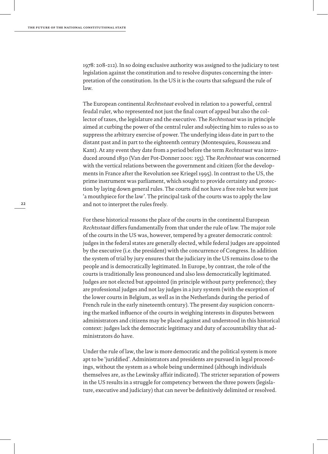1978: 208-212). In so doing exclusive authority was assigned to the judiciary to test legislation against the constitution and to resolve disputes concerning the interpretation of the constitution. In the US it is the courts that safeguard the rule of law.

The European continental *Rechtsstaat* evolved in relation to a powerful, central feudal ruler, who represented not just the final court of appeal but also the collector of taxes, the legislature and the executive. The *Rechtsstaat* was in principle aimed at curbing the power of the central ruler and subjecting him to rules so as to suppress the arbitrary exercise of power. The underlying ideas date in part to the distant past and in part to the eighteenth century (Montesquieu, Rousseau and Kant). At any event they date from a period before the term *Rechtsstaat* was introduced around 1830 (Van der Pot-Donner 2001: 155). The *Rechtsstaat* was concerned with the vertical relations between the government and citizen (for the developments in France after the Revolution see Kriegel 1995). In contrast to the US, the prime instrument was parliament, which sought to provide certainty and protection by laying down general rules. The courts did not have a free role but were just 'a mouthpiece for the law'. The principal task of the courts was to apply the law and not to interpret the rules freely.

For these historical reasons the place of the courts in the continental European *Rechtsstaat* differs fundamentally from that under the rule of law. The major role of the courts in the US was, however, tempered by a greater democratic control: judges in the federal states are generally elected, while federal judges are appointed by the executive (i.e. the president) with the concurrence of Congress. In addition the system of trial by jury ensures that the judiciary in the US remains close to the people and is democratically legitimated. In Europe, by contrast, the role of the courts is traditionally less pronounced and also less democratically legitimated. Judges are not elected but appointed (in principle without party preference); they are professional judges and not lay judges in a jury system (with the exception of the lower courts in Belgium, as well as in the Netherlands during the period of French rule in the early nineteenth century). The present day suspicion concerning the marked influence of the courts in weighing interests in disputes between administrators and citizens may be placed against and understood in this historical context: judges lack the democratic legitimacy and duty of accountability that administrators do have.

Under the rule of law, the law is more democratic and the political system is more apt to be 'juridified'. Administrators and presidents are pursued in legal proceedings, without the system as a whole being undermined (although individuals themselves are, as the Lewinsky affair indicated). The stricter separation of powers in the US results in a struggle for competency between the three powers (legislature, executive and judiciary) that can never be definitively delimited or resolved.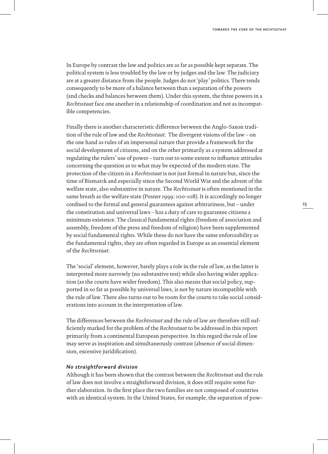In Europe by contrast the law and politics are as far as possible kept separate. The political system is less troubled by the law or by judges and the law. The judiciary are at a greater distance from the people. Judges do not 'play' politics. There tends consequently to be more of a balance between than a separation of the powers (and checks and balances between them). Under this system, the three powers in a *Rechtsstaat* face one another in a relationship of coordination and not as incompatible competencies.

Finally there is another characteristic difference between the Anglo-Saxon tradition of the rule of law and the *Rechtsstaat*. The divergent visions of the law – on the one hand as rules of an impersonal nature that provide a framework for the social development of citizens, and on the other primarily as a system addressed at regulating the rulers' use of power – turn out to some extent to influence attitudes concerning the question as to what may be expected of the modern state. The protection of the citizen in a *Rechtsstaat* is not just formal in nature but, since the time of Bismarck and especially since the Second World War and the advent of the welfare state, also substantive in nature. The *Rechtsstaat* is often mentioned in the same breath as the welfare state (Posner 1999: 100-108). It is accordingly no longer confined to the formal and general guarantees against arbitrariness, but – under the constitution and universal laws – has a duty of care to guarantee citizens a minimum existence. The classical fundamental rights (freedom of association and assembly, freedom of the press and freedom of religion) have been supplemented by social fundamental rights. While these do not have the same enforceability as the fundamental rights, they are often regarded in Europe as an essential element of the *Rechtsstaat*.

The 'social' element, however, barely plays a role in the rule of law, as the latter is interpreted more narrowly (no substantive test) while also having wider application (as the courts have wider freedom). This also means that social policy, supported in so far as possible by universal laws, is not by nature incompatible with the rule of law. There also turns out to be room for the courts to take social considerations into account in the interpretation of law.

The differences between the *Rechtsstaat* and the rule of law are therefore still sufficiently marked for the problem of the *Rechtsstaat* to be addressed in this report primarily from a continental European perspective. In this regard the rule of law may serve as inspiration and simultaneously contrast (absence of social dimension, excessive juridification).

#### *No straightfor ward division*

Although it has been shown that the contrast between the *Rechtsstaat* and the rule of law does not involve a straightforward division, it does still require some further elaboration. In the first place the two families are not composed of countries with an identical system. In the United States, for example, the separation of pow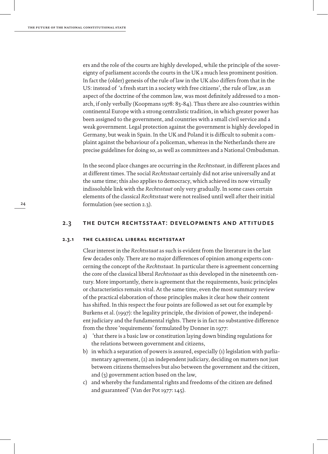ers and the role of the courts are highly developed, while the principle of the sovereignty of parliament accords the courts in the UK a much less prominent position. In fact the (older) genesis of the rule of law in the UK also differs from that in the US: instead of 'a fresh start in a society with free citizens', the rule of law, as an aspect of the doctrine of the common law, was most definitely addressed to a monarch, if only verbally (Koopmans 1978: 83-84). Thus there are also countries within continental Europe with a strong centralistic tradition, in which greater power has been assigned to the government, and countries with a small civil service and a weak government. Legal protection against the government is highly developed in Germany, but weak in Spain. In the UK and Poland it is difficult to submit a complaint against the behaviour of a policeman, whereas in the Netherlands there are precise guidelines for doing so, as well as committees and a National Ombudsman.

In the second place changes are occurring in the *Rechtsstaat,* in different places and at different times. The social *Rechtsstaat* certainly did not arise universally and at the same time; this also applies to democracy, which achieved its now virtually indissoluble link with the *Rechtsstaat* only very gradually. In some cases certain elements of the classical *Rechtsstaat* were not realised until well after their initial formulation (see section 2.3).

#### 2.3 the dutch rechtsstaat: developments and attitudes

#### **2.3.1 the classical liberal rechtsstaat**

Clear interest in the *Rechtsstaat* as such is evident from the literature in the last few decades only. There are no major differences of opinion among experts concerning the concept of the *Rechtsstaat*. In particular there is agreement concerning the core of the classical liberal *Rechtsstaat* as this developed in the nineteenth century. More importantly, there is agreement that the requirements, basic principles or characteristics remain vital. At the same time, even the most summary review of the practical elaboration of those principles makes it clear how their content has shifted. In this respect the four points are followed as set out for example by Burkens et al. (1997): the legality principle, the division of power, the independent judiciary and the fundamental rights. There is in fact no substantive difference from the three 'requirements' formulated by Donner in 1977:

- a) 'that there is a basic law or constitution laying down binding regulations for the relations between government and citizens,
- b) in which a separation of powers is assured, especially (1) legislation with parliamentary agreement, (2) an independent judiciary, deciding on matters not just between citizens themselves but also between the government and the citizen, and (3) government action based on the law,
- c) and whereby the fundamental rights and freedoms of the citizen are defined and guaranteed' (Van der Pot 1977: 145).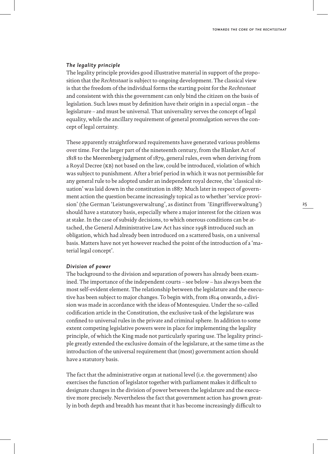#### *The legality principle*

The legality principle provides good illustrative material in support of the proposition that the *Rechtsstaat* is subject to ongoing development. The classical view is that the freedom of the individual forms the starting point for the *Rechtsstaat* and consistent with this the government can only bind the citizen on the basis of legislation. Such laws must by definition have their origin in a special organ – the legislature – and must be universal. That universality serves the concept of legal equality, while the ancillary requirement of general promulgation serves the concept of legal certainty.

These apparently straightforward requirements have generated various problems over time. For the larger part of the nineteenth century, from the Blanket Act of 1818 to the Meerenberg judgment of 1879, general rules, even when deriving from a Royal Decree (kb) not based on the law, could be introduced, violation of which was subject to punishment. After a brief period in which it was not permissible for any general rule to be adopted under an independent royal decree, the 'classical situation' was laid down in the constitution in 1887. Much later in respect of government action the question became increasingly topical as to whether 'service provision' (the German 'Leistungsverwaltung', as distinct from 'Eingriffsverwaltung') should have a statutory basis, especially where a major interest for the citizen was at stake. In the case of subsidy decisions, to which onerous conditions can be attached, the General Administrative Law Act has since 1998 introduced such an obligation, which had already been introduced on a scattered basis, on a universal basis. Matters have not yet however reached the point of the introduction of a 'material legal concept'.

#### *Division of power*

The background to the division and separation of powers has already been examined. The importance of the independent courts – see below – has always been the most self-evident element. The relationship between the legislature and the executive has been subject to major changes. To begin with, from 1814 onwards, a division was made in accordance with the ideas of Montesquieu. Under the so-called codification article in the Constitution, the exclusive task of the legislature was confined to universal rules in the private and criminal sphere. In addition to some extent competing legislative powers were in place for implementing the legality principle, of which the King made not particularly sparing use. The legality principle greatly extended the exclusive domain of the legislature, at the same time as the introduction of the universal requirement that (most) government action should have a statutory basis.

The fact that the administrative organ at national level (i.e. the government) also exercises the function of legislator together with parliament makes it difficult to designate changes in the division of power between the legislature and the executive more precisely. Nevertheless the fact that government action has grown greatly in both depth and breadth has meant that it has become increasingly difficult to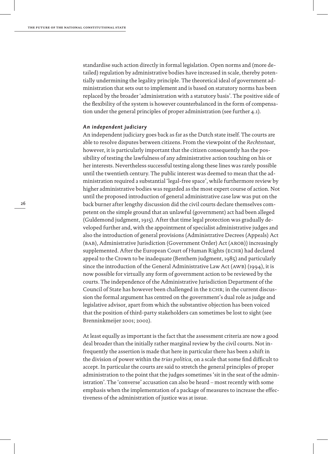standardise such action directly in formal legislation. Open norms and (more detailed) regulation by administrative bodies have increased in scale, thereby potentially undermining the legality principle. The theoretical ideal of government administration that sets out to implement and is based on statutory norms has been replaced by the broader 'administration with a statutory basis'. The positive side of the flexibility of the system is however counterbalanced in the form of compensation under the general principles of proper administration (see further 4.1).

#### *An independent judiciar y*

An independent judiciary goes back as far as the Dutch state itself. The courts are able to resolve disputes between citizens. From the viewpoint of the *Rechtsstaat*, however, it is particularly important that the citizen consequently has the possibility of testing the lawfulness of any administrative action touching on his or her interests. Nevertheless successful testing along these lines was rarely possible until the twentieth century. The public interest was deemed to mean that the administration required a substantial 'legal-free space', while furthermore review by higher administrative bodies was regarded as the most expert course of action. Not until the proposed introduction of general administrative case law was put on the back burner after lengthy discussion did the civil courts declare themselves competent on the simple ground that an unlawful (government) act had been alleged (Guldemond judgment, 1915). After that time legal protection was gradually developed further and, with the appointment of specialist administrative judges and also the introduction of general provisions (Administrative Decrees (Appeals) Act (bab), Administrative Jurisdiction (Government Order) Act (arob)) increasingly supplemented. After the European Court of Human Rights (ECHR) had declared appeal to the Crown to be inadequate (Benthem judgment, 1985) and particularly since the introduction of the General Administrative Law Act (awb) (1994), it is now possible for virtually any form of government action to be reviewed by the courts. The independence of the Administrative Jurisdiction Department of the Council of State has however been challenged in the ECHR; in the current discussion the formal argument has centred on the government's dual role as judge and legislative advisor, apart from which the substantive objection has been voiced that the position of third-party stakeholders can sometimes be lost to sight (see Brenninkmeijer 2001; 2002).

At least equally as important is the fact that the assessment criteria are now a good deal broader than the initially rather marginal review by the civil courts. Not infrequently the assertion is made that here in particular there has been a shift in the division of power within the *trias politica*, on a scale that some find difficult to accept. In particular the courts are said to stretch the general principles of proper administration to the point that the judges sometimes 'sit in the seat of the administration'. The 'converse' accusation can also be heard – most recently with some emphasis when the implementation of a package of measures to increase the effectiveness of the administration of justice was at issue.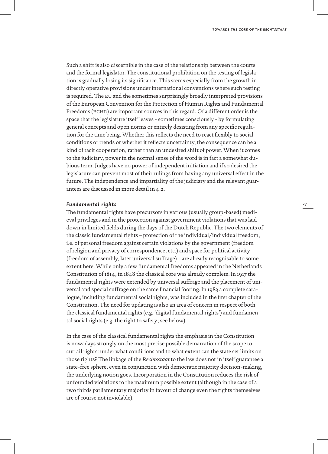Such a shift is also discernible in the case of the relationship between the courts and the formal legislator. The constitutional prohibition on the testing of legislation is gradually losing its significance. This stems especially from the growth in directly operative provisions under international conventions where such testing is required. The EU and the sometimes surprisingly broadly interpreted provisions of the European Convention for the Protection of Human Rights and Fundamental Freedoms (ECHR) are important sources in this regard. Of a different order is the space that the legislature itself leaves - sometimes consciously - by formulating general concepts and open norms or entirely desisting from any specific regulation for the time being. Whether this reflects the need to react flexibly to social conditions or trends or whether it reflects uncertainty, the consequence can be a kind of tacit cooperation, rather than an undesired shift of power. When it comes to the judiciary, power in the normal sense of the word is in fact a somewhat dubious term. Judges have no power of independent initiation and if so desired the legislature can prevent most of their rulings from having any universal effect in the future. The independence and impartiality of the judiciary and the relevant guarantees are discussed in more detail in 4.2.

#### *Fundamental rights*

The fundamental rights have precursors in various (usually group-based) medieval privileges and in the protection against government violations that was laid down in limited fields during the days of the Dutch Republic. The two elements of the classic fundamental rights – protection of the individual/individual freedom, i.e. of personal freedom against certain violations by the government (freedom of religion and privacy of correspondence, etc.) and space for political activity (freedom of assembly, later universal suffrage) – are already recognisable to some extent here. While only a few fundamental freedoms appeared in the Netherlands Constitution of 1814, in 1848 the classical core was already complete. In 1917 the fundamental rights were extended by universal suffrage and the placement of universal and special suffrage on the same financial footing. In 1983 a complete catalogue, including fundamental social rights, was included in the first chapter of the Constitution. The need for updating is also an area of concern in respect of both the classical fundamental rights (e.g. 'digital fundamental rights') and fundamental social rights (e.g. the right to safety; see below).

In the case of the classical fundamental rights the emphasis in the Constitution is nowadays strongly on the most precise possible demarcation of the scope to curtail rights: under what conditions and to what extent can the state set limits on those rights? The linkage of the *Rechtsstaat* to the law does not in itself guarantee a state-free sphere, even in conjunction with democratic majority decision-making, the underlying notion goes. Incorporation in the Constitution reduces the risk of unfounded violations to the maximum possible extent (although in the case of a two thirds parliamentary majority in favour of change even the rights themselves are of course not inviolable).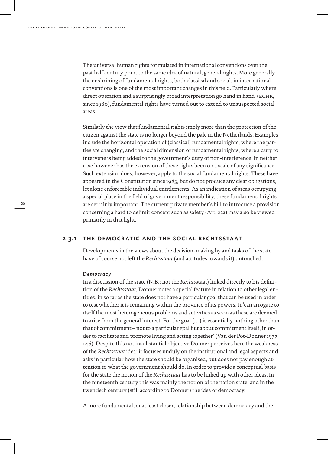The universal human rights formulated in international conventions over the past half century point to the same idea of natural, general rights. More generally the enshrining of fundamental rights, both classical and social, in international conventions is one of the most important changes in this field. Particularly where direct operation and a surprisingly broad interpretation go hand in hand (ECHR, since 1980), fundamental rights have turned out to extend to unsuspected social areas.

Similarly the view that fundamental rights imply more than the protection of the citizen against the state is no longer beyond the pale in the Netherlands. Examples include the horizontal operation of (classical) fundamental rights, where the parties are changing, and the social dimension of fundamental rights, where a duty to intervene is being added to the government's duty of non-interference. In neither case however has the extension of these rights been on a scale of any significance. Such extension does, however, apply to the social fundamental rights. These have appeared in the Constitution since 1983, but do not produce any clear obligations, let alone enforceable individual entitlements. As an indication of areas occupying a special place in the field of government responsibility, these fundamental rights are certainly important. The current private member's bill to introduce a provision concerning a hard to delimit concept such as safety (Art. 22a) may also be viewed primarily in that light.

#### 2.3.1 the democratic and the social rechtsstaat

Developments in the views about the decision-making by and tasks of the state have of course not left the *Rechtsstaat* (and attitudes towards it) untouched.

#### *Democracy*

In a discussion of the state (N.B.: not the *Rechts*staat) linked directly to his definition of the *Rechtsstaat*, Donner notes a special feature in relation to other legal entities, in so far as the state does not have a particular goal that can be used in order to test whether it is remaining within the province of its powers. It 'can arrogate to itself the most heterogeneous problems and activities as soon as these are deemed to arise from the general interest. For the goal (…) is essentially nothing other than that of commitment – not to a particular goal but about commitment itself, in order to facilitate and promote living and acting together' (Van der Pot-Donner 1977: 146). Despite this not insubstantial objective Donner perceives here the weakness of the *Rechtsstaat* idea: it focuses unduly on the institutional and legal aspects and asks in particular how the state should be organised, but does not pay enough attention to what the government should do. In order to provide a conceptual basis for the state the notion of the *Rechtsstaat* has to be linked up with other ideas. In the nineteenth century this was mainly the notion of the nation state, and in the twentieth century (still according to Donner) the idea of democracy.

A more fundamental, or at least closer, relationship between democracy and the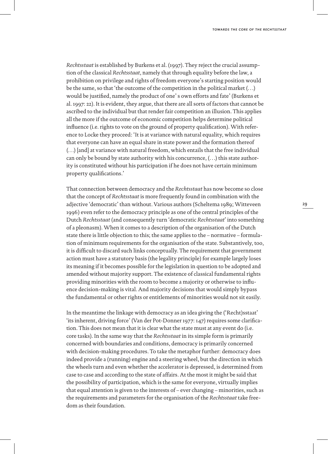*Rechtsstaat* is established by Burkens et al. (1997). They reject the crucial assumption of the classical *Rechtsstaat*, namely that through equality before the law, a prohibition on privilege and rights of freedom everyone's starting position would be the same, so that 'the outcome of the competition in the political market (…) would be justified, namely the product of one' s own efforts and fate' (Burkens et al. 1997: 22). It is evident, they argue, that there are all sorts of factors that cannot be ascribed to the individual but that render fair competition an illusion. This applies all the more if the outcome of economic competition helps determine political influence (i.e. rights to vote on the ground of property qualification). With reference to Locke they proceed: 'It is at variance with natural equality, which requires that everyone can have an equal share in state power and the formation thereof (…) [and] at variance with natural freedom, which entails that the free individual can only be bound by state authority with his concurrence, (…) this state authority is constituted without his participation if he does not have certain minimum property qualifications.'

That connection between democracy and the *Rechtsstaat* has now become so close that the concept of *Rechtsstaat* is more frequently found in combination with the adjective 'democratic' than without. Various authors (Scheltema 1989; Witteveen 1996) even refer to the democracy principle as one of the central principles of the Dutch *Rechtsstaat* (and consequently turn 'democratic *Rechtsstaat*' into something of a pleonasm). When it comes to a description of the organisation of the Dutch state there is little objection to this; the same applies to the – normative – formulation of minimum requirements for the organisation of the state. Substantively, too, it is difficult to discard such links conceptually. The requirement that government action must have a statutory basis (the legality principle) for example largely loses its meaning if it becomes possible for the legislation in question to be adopted and amended without majority support. The existence of classical fundamental rights providing minorities with the room to become a majority or otherwise to influence decision-making is vital. And majority decisions that would simply bypass the fundamental or other rights or entitlements of minorities would not sit easily.

In the meantime the linkage with democracy as an idea giving the ('Recht)sstaat' 'its inherent, driving force' (Van der Pot-Donner 1977: 147) requires some clarification. This does not mean that it is clear what the state must at any event do (i.e. core tasks). In the same way that the *Rechtsstaat* in its simple form is primarily concerned with boundaries and conditions, democracy is primarily concerned with decision-making procedures. To take the metaphor further: democracy does indeed provide a (running) engine and a steering wheel, but the direction in which the wheels turn and even whether the accelerator is depressed, is determined from case to case and according to the state of affairs. At the most it might be said that the possibility of participation, which is the same for everyone, virtually implies that equal attention is given to the interests of – ever changing – minorities, such as the requirements and parameters for the organisation of the *Rechtsstaat* take freedom as their foundation.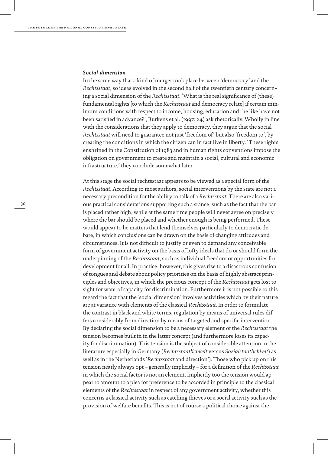#### *Social dimension*

In the same way that a kind of merger took place between 'democracy' and the *Rechtsstaat*, so ideas evolved in the second half of the twentieth century concerning a social dimension of the *Rechtsstaat*. 'What is the real significance of (these) fundamental rights [to which the *Rechtsstaat* and democracy relate] if certain minimum conditions with respect to income, housing, education and the like have not been satisfied in advance?', Burkens et al. (1997: 24) ask rhetorically. Wholly in line with the considerations that they apply to democracy, they argue that the social *Rechtsstaat* will need to guarantee not just 'freedom of' but also 'freedom to', by creating the conditions in which the citizen can in fact live in liberty. 'These rights enshrined in the Constitution of 1983 and in human rights conventions impose the obligation on government to create and maintain a social, cultural and economic infrastructure,' they conclude somewhat later.

At this stage the social rechtsstaat appears to be viewed as a special form of the *Rechtsstaat*. According to most authors, social interventions by the state are not a necessary precondition for the ability to talk of a *Rechtsstaat*. There are also various practical considerations supporting such a stance, such as the fact that the bar is placed rather high, while at the same time people will never agree on precisely where the bar should be placed and whether enough is being performed. These would appear to be matters that lend themselves particularly to democratic debate, in which conclusions can be drawn on the basis of changing attitudes and circumstances. It is not difficult to justify or even to demand any conceivable form of government activity on the basis of lofty ideals that do or should form the underpinning of the *Rechtsstaat*, such as individual freedom or opportunities for development for all. In practice, however, this gives rise to a disastrous confusion of tongues and debate about policy priorities on the basis of highly abstract principles and objectives, in which the precious concept of the *Rechtsstaat* gets lost to sight for want of capacity for discrimination. Furthermore it is not possible to this regard the fact that the 'social dimension' involves activities which by their nature are at variance with elements of the classical *Rechtsstaat*. In order to formulate the contrast in black and white terms, regulation by means of universal rules differs considerably from direction by means of targeted and specific intervention. By declaring the social dimension to be a necessary element of the *Rechtsstaat* the tension becomes built in in the latter concept (and furthermore loses its capacity for discrimination). This tension is the subject of considerable attention in the literature especially in Germany (*Rechtsstaatlichkeit* versus *Sozialstaatlichkeit*) as well as in the Netherlands '*Rechtsstaat* and direction'). Those who pick up on this tension nearly always opt – generally implicitly – for a definition of the *Rechtsstaat* in which the social factor is not an element. Implicitly too the tension would appear to amount to a plea for preference to be accorded in principle to the classical elements of the *Rechtsstaat* in respect of any government activity, whether this concerns a classical activity such as catching thieves or a social activity such as the provision of welfare benefits. This is not of course a political choice against the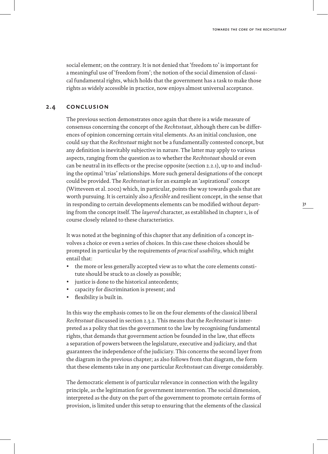social element; on the contrary. It is not denied that 'freedom to' is important for a meaningful use of 'freedom from'; the notion of the social dimension of classical fundamental rights, which holds that the government has a task to make those rights as widely accessible in practice, now enjoys almost universal acceptance.

#### 2.4 conclusion

The previous section demonstrates once again that there is a wide measure of consensus concerning the concept of the *Rechtsstaat*, although there can be differences of opinion concerning certain vital elements. As an initial conclusion, one could say that the *Rechtsstaat* might not be a fundamentally contested concept, but any definition is inevitably subjective in nature. The latter may apply to various aspects, ranging from the question as to whether the *Rechtsstaat* should or even can be neutral in its effects or the precise opposite (section 2.2.1), up to and including the optimal 'trias' relationships. More such general designations of the concept could be provided. The *Rechtsstaat* is for an example an 'aspirational' concept (Witteveen et al. 2002) which, in particular, points the way towards goals that are worth pursuing. It is certainly also a *flexible* and resilient concept, in the sense that in responding to certain developments elements can be modified without departing from the concept itself. The *layered* character, as established in chapter 1, is of course closely related to these characteristics.

It was noted at the beginning of this chapter that any definition of a concept involves a choice or even a series of choices. In this case these choices should be prompted in particular by the requirements of *practical usability*, which might entail that:

- the more or less generally accepted view as to what the core elements constitute should be stuck to as closely as possible;
- justice is done to the historical antecedents;
- capacity for discrimination is present; and
- flexibility is built in.

In this way the emphasis comes to lie on the four elements of the classical liberal *Rechtsstaat* discussed in section 2.3.2. This means that the *Rechtsstaat* is interpreted as a polity that ties the government to the law by recognising fundamental rights, that demands that government action be founded in the law, that effects a separation of powers between the legislature, executive and judiciary, and that guarantees the independence of the judiciary. This concerns the second layer from the diagram in the previous chapter; as also follows from that diagram, the form that these elements take in any one particular *Rechtsstaat* can diverge considerably.

The democratic element is of particular relevance in connection with the legality principle, as the legitimation for government intervention. The social dimension, interpreted as the duty on the part of the government to promote certain forms of provision, is limited under this setup to ensuring that the elements of the classical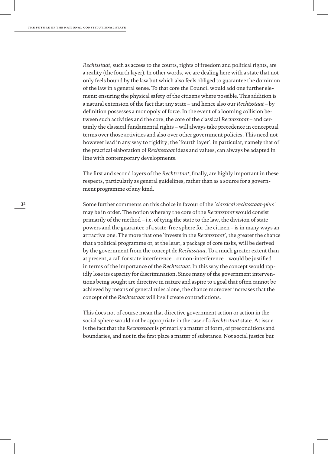*Rechtsstaat*, such as access to the courts, rights of freedom and political rights, are a reality (the fourth layer). In other words, we are dealing here with a state that not only feels bound by the law but which also feels obliged to guarantee the dominion of the law in a general sense. To that core the Council would add one further element: ensuring the physical safety of the citizens where possible. This addition is a natural extension of the fact that any state – and hence also our *Rechtsstaat* – by definition possesses a monopoly of force. In the event of a looming collision between such activities and the core, the core of the classical *Rechtsstaat* – and certainly the classical fundamental rights – will always take precedence in conceptual terms over those activities and also over other government policies. This need not however lead in any way to rigidity; the 'fourth layer', in particular, namely that of the practical elaboration of *Rechtsstaat* ideas and values, can always be adapted in line with contemporary developments.

The first and second layers of the *Rechtsstaat*, finally, are highly important in these respects, particularly as general guidelines, rather than as a source for a government programme of any kind.

Some further comments on this choice in favour of the *'classical rechtsstaat-plus'*  may be in order. The notion whereby the core of the *Rechtsstaat* would consist primarily of the method – i.e. of tying the state to the law, the division of state powers and the guarantee of a state-free sphere for the citizen – is in many ways an attractive one. The more that one 'invests in the *Rechtsstaat*', the greater the chance that a political programme or, at the least, a package of core tasks, will be derived by the government from the concept de *Rechtsstaat*. To a much greater extent than at present, a call for state interference – or non-interference – would be justified in terms of the importance of the *Rechtsstaat*. In this way the concept would rapidly lose its capacity for discrimination. Since many of the government interventions being sought are directive in nature and aspire to a goal that often cannot be achieved by means of general rules alone, the chance moreover increases that the concept of the *Rechtsstaat* will itself create contradictions.

This does not of course mean that directive government action or action in the social sphere would not be appropriate in the case of a *Rechtsstaat* state. At issue is the fact that the *Rechtsstaat* is primarily a matter of form, of preconditions and boundaries, and not in the first place a matter of substance. Not social justice but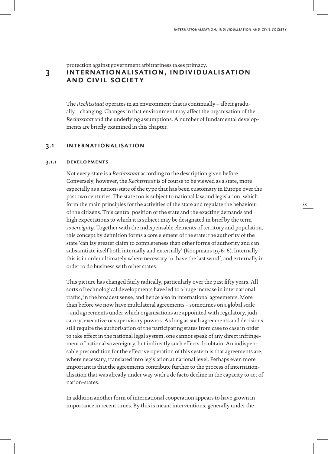protection against government arbitrariness takes primacy.

# 3 internationalisation, individualisation and civil societ y

The *Rechtsstaat* operates in an environment that is continually – albeit gradually – changing. Changes in that environment may affect the organisation of the *Rechtsstaat* and the underlying assumptions. A number of fundamental developments are briefly examined in this chapter.

#### 3.1 internationalisation

#### **3.1.1 developments**

Not every state is a *Rechtsstaat* according to the description given before. Conversely, however, the *Rechtsstaat* is of course to be viewed as a state, more especially as a nation-state of the type that has been customary in Europe over the past two centuries. The state too is subject to national law and legislation, which form the main principles for the activities of the state and regulate the behaviour of the citizens. This central position of the state and the exacting demands and high expectations to which it is subject may be designated in brief by the term *sovereignty*. Together with the indispensable elements of territory and population, this concept by definition forms a core element of the state: the authority of the state 'can lay greater claim to completeness than other forms of authority and can substantiate itself both internally and externally' (Koopmans 1976: 6). Internally this is in order ultimately where necessary to 'have the last word', and externally in order to do business with other states.

This picture has changed fairly radically, particularly over the past fifty years. All sorts of technological developments have led to a huge increase in international traffic, in the broadest sense, and hence also in international agreements. More than before we now have multilateral agreements – sometimes on a global scale – and agreements under which organisations are appointed with regulatory, judicatory, executive or supervisory powers. As long as such agreements and decisions still require the authorisation of the participating states from case to case in order to take effect in the national legal system, one cannot speak of any direct infringement of national sovereignty, but indirectly such effects do obtain. An indispensable precondition for the effective operation of this system is that agreements are, where necessary, translated into legislation at national level. Perhaps even more important is that the agreements contribute further to the process of internationalisation that was already under way with a de facto decline in the capacity to act of nation-states.

In addition another form of international cooperation appears to have grown in importance in recent times. By this is meant interventions, generally under the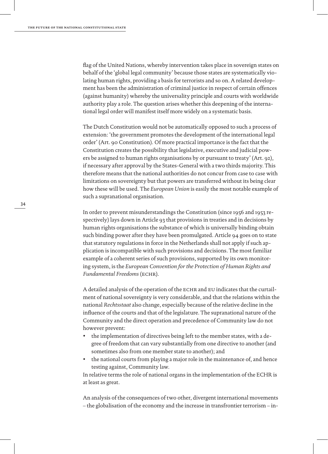flag of the United Nations, whereby intervention takes place in sovereign states on behalf of the 'global legal community' because those states are systematically violating human rights, providing a basis for terrorists and so on. A related development has been the administration of criminal justice in respect of certain offences (against humanity) whereby the universality principle and courts with worldwide authority play a role. The question arises whether this deepening of the international legal order will manifest itself more widely on a systematic basis.

The Dutch Constitution would not be automatically opposed to such a process of extension: 'the government promotes the development of the international legal order' (Art. 90 Constitution). Of more practical importance is the fact that the Constitution creates the possibility that legislative, executive and judicial powers be assigned to human rights organisations by or pursuant to treaty' (Art. 92), if necessary after approval by the States-General with a two thirds majority. This therefore means that the national authorities do not concur from case to case with limitations on sovereignty but that powers are transferred without its being clear how these will be used. The *European Union* is easily the most notable example of such a supranational organisation.

In order to prevent misunderstandings the Constitution (since 1956 and 1953 respectively) lays down in Article 93 that provisions in treaties and in decisions by human rights organisations the substance of which is universally binding obtain such binding power after they have been promulgated. Article 94 goes on to state that statutory regulations in force in the Netherlands shall not apply if such application is incompatible with such provisions and decisions. The most familiar example of a coherent series of such provisions, supported by its own monitoring system, is the *European Convention for the Protection of Human Rights and Fundamental Freedoms* (echr).

A detailed analysis of the operation of the ECHR and EU indicates that the curtailment of national sovereignty is very considerable, and that the relations within the national *Rechtsstaat* also change, especially because of the relative decline in the influence of the courts and that of the legislature. The supranational nature of the Community and the direct operation and precedence of Community law do not however prevent:

- the implementation of directives being left to the member states, with a degree of freedom that can vary substantially from one directive to another (and sometimes also from one member state to another); and
- the national courts from playing a major role in the maintenance of, and hence testing against, Community law.

In relative terms the role of national organs in the implementation of the ECHR is at least as great.

An analysis of the consequences of two other, divergent international movements – the globalisation of the economy and the increase in transfrontier terrorism – in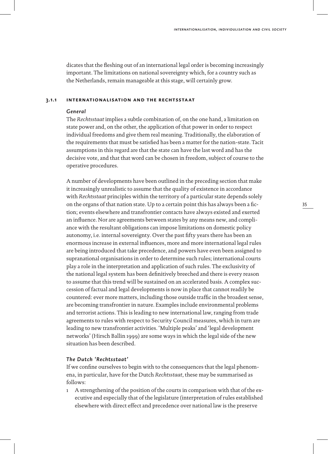dicates that the fleshing out of an international legal order is becoming increasingly important. The limitations on national sovereignty which, for a country such as the Netherlands, remain manageable at this stage, will certainly grow.

#### **3.1.1 internationalisation and the rechtsstaat**

#### *General*

The *Rechtsstaat* implies a subtle combination of, on the one hand, a limitation on state power and, on the other, the application of that power in order to respect individual freedoms and give them real meaning. Traditionally, the elaboration of the requirements that must be satisfied has been a matter for the nation-state. Tacit assumptions in this regard are that the state can have the last word and has the decisive vote, and that that word can be chosen in freedom, subject of course to the operative procedures.

A number of developments have been outlined in the preceding section that make it increasingly unrealistic to assume that the quality of existence in accordance with *Rechtsstaat* principles within the territory of a particular state depends solely on the organs of that nation state. Up to a certain point this has always been a fiction; events elsewhere and transfrontier contacts have always existed and exerted an influence. Nor are agreements between states by any means new, and compliance with the resultant obligations can impose limitations on domestic policy autonomy, i.e. internal sovereignty. Over the past fifty years there has been an enormous increase in external influences, more and more international legal rules are being introduced that take precedence, and powers have even been assigned to supranational organisations in order to determine such rules; international courts play a role in the interpretation and application of such rules. The exclusivity of the national legal system has been definitively breeched and there is every reason to assume that this trend will be sustained on an accelerated basis. A complex succession of factual and legal developments is now in place that cannot readily be countered: ever more matters, including those outside traffic in the broadest sense, are becoming transfrontier in nature. Examples include environmental problems and terrorist actions. This is leading to new international law, ranging from trade agreements to rules with respect to Security Council measures, which in turn are leading to new transfrontier activities. 'Multiple peaks' and 'legal development networks' (Hirsch Ballin 1999) are some ways in which the legal side of the new situation has been described.

#### *The Dutch ' Rechtsstaat'*

If we confine ourselves to begin with to the consequences that the legal phenomena, in particular, have for the Dutch *Rechtsstaat*, these may be summarised as follows:

1 A strengthening of the position of the courts in comparison with that of the executive and especially that of the legislature (interpretation of rules established elsewhere with direct effect and precedence over national law is the preserve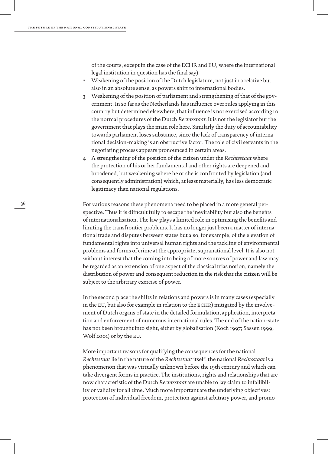of the courts, except in the case of the ECHR and EU, where the international legal institution in question has the final say).

- 2 Weakening of the position of the Dutch legislature, not just in a relative but also in an absolute sense, as powers shift to international bodies.
- 3 Weakening of the position of parliament and strengthening of that of the government. In so far as the Netherlands has influence over rules applying in this country but determined elsewhere, that influence is not exercised according to the normal procedures of the Dutch *Rechtsstaat*. It is not the legislator but the government that plays the main role here. Similarly the duty of accountability towards parliament loses substance, since the lack of transparency of international decision-making is an obstructive factor. The role of civil servants in the negotiating process appears pronounced in certain areas.
- 4 A strengthening of the position of the citizen under the *Rechtsstaat* where the protection of his or her fundamental and other rights are deepened and broadened, but weakening where he or she is confronted by legislation (and consequently administration) which, at least materially, has less democratic legitimacy than national regulations.

For various reasons these phenomena need to be placed in a more general perspective. Thus it is difficult fully to escape the inevitability but also the benefits of internationalisation. The law plays a limited role in optimising the benefits and limiting the transfrontier problems. It has no longer just been a matter of international trade and disputes between states but also, for example, of the elevation of fundamental rights into universal human rights and the tackling of environmental problems and forms of crime at the appropriate, supranational level. It is also not without interest that the coming into being of more sources of power and law may be regarded as an extension of one aspect of the classical trias notion, namely the distribution of power and consequent reduction in the risk that the citizen will be subject to the arbitrary exercise of power.

In the second place the shifts in relations and powers is in many cases (especially in the EU, but also for example in relation to the ECHR) mitigated by the involvement of Dutch organs of state in the detailed formulation, application, interpretation and enforcement of numerous international rules. The end of the nation-state has not been brought into sight, either by globalisation (Koch 1997; Sassen 1999; Wolf 2001) or by the eu.

More important reasons for qualifying the consequences for the national *Rechtsstaat* lie in the nature of the *Rechtsstaat* itself: the national *Rechtsstaat* is a phenomenon that was virtually unknown before the 19th century and which can take divergent forms in practice. The institutions, rights and relationships that are now characteristic of the Dutch *Rechtsstaat* are unable to lay claim to infallibility or validity for all time. Much more important are the underlying objectives: protection of individual freedom, protection against arbitrary power, and promo-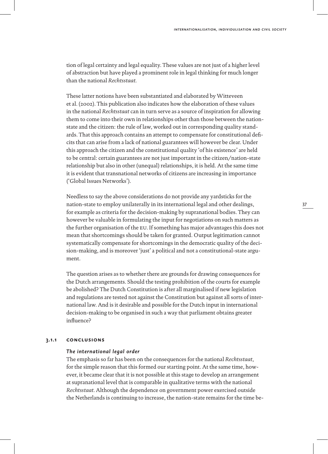tion of legal certainty and legal equality. These values are not just of a higher level of abstraction but have played a prominent role in legal thinking for much longer than the national *Rechtsstaat*.

These latter notions have been substantiated and elaborated by Witteveen et al. (2002). This publication also indicates how the elaboration of these values in the national *Rechtsstaat* can in turn serve as a source of inspiration for allowing them to come into their own in relationships other than those between the nationstate and the citizen: the rule of law, worked out in corresponding quality standards. That this approach contains an attempt to compensate for constitutional deficits that can arise from a lack of national guarantees will however be clear. Under this approach the citizen and the constitutional quality 'of his existence' are held to be central: certain guarantees are not just important in the citizen/nation-state relationship but also in other (unequal) relationships, it is held. At the same time it is evident that transnational networks of citizens are increasing in importance ('Global Issues Networks').

Needless to say the above considerations do not provide any yardsticks for the nation-state to employ unilaterally in its international legal and other dealings, for example as criteria for the decision-making by supranational bodies. They can however be valuable in formulating the input for negotiations on such matters as the further organisation of the eu. If something has major advantages this does not mean that shortcomings should be taken for granted. Output legitimation cannot systematically compensate for shortcomings in the democratic quality of the decision-making, and is moreover 'just' a political and not a constitutional-state argument.

The question arises as to whether there are grounds for drawing consequences for the Dutch arrangements. Should the testing prohibition of the courts for example be abolished? The Dutch Constitution is after all marginalised if new legislation and regulations are tested not against the Constitution but against all sorts of international law. And is it desirable and possible for the Dutch input in international decision-making to be organised in such a way that parliament obtains greater influence?

## **3.1.1 conclusions**

## *The international legal order*

The emphasis so far has been on the consequences for the national *Rechtsstaat*, for the simple reason that this formed our starting point. At the same time, however, it became clear that it is not possible at this stage to develop an arrangement at supranational level that is comparable in qualitative terms with the national *Rechtsstaat*. Although the dependence on government power exercised outside the Netherlands is continuing to increase, the nation-state remains for the time be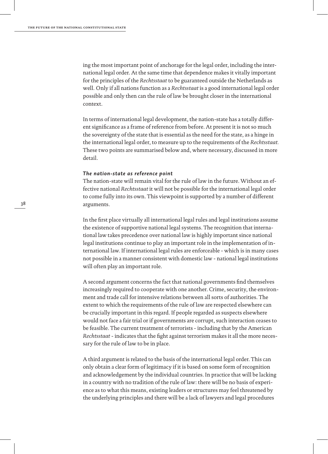ing the most important point of anchorage for the legal order, including the international legal order. At the same time that dependence makes it vitally important for the principles of the *Rechtsstaat* to be guaranteed outside the Netherlands as well. Only if all nations function as a *Rechtsstaat* is a good international legal order possible and only then can the rule of law be brought closer in the international context.

In terms of international legal development, the nation-state has a totally different significance as a frame of reference from before. At present it is not so much the sovereignty of the state that is essential as the need for the state, as a hinge in the international legal order, to measure up to the requirements of the *Rechtsstaat.*  These two points are summarised below and, where necessary, discussed in more detail.

## *The nation-state as reference point*

The nation-state will remain vital for the rule of law in the future. Without an effective national *Rechtsstaat* it will not be possible for the international legal order to come fully into its own. This viewpoint is supported by a number of different arguments.

In the first place virtually all international legal rules and legal institutions assume the existence of supportive national legal systems. The recognition that international law takes precedence over national law is highly important since national legal institutions continue to play an important role in the implementation of international law. If international legal rules are enforceable - which is in many cases not possible in a manner consistent with domestic law - national legal institutions will often play an important role.

A second argument concerns the fact that national governments find themselves increasingly required to cooperate with one another. Crime, security, the environment and trade call for intensive relations between all sorts of authorities. The extent to which the requirements of the rule of law are respected elsewhere can be crucially important in this regard. If people regarded as suspects elsewhere would not face a fair trial or if governments are corrupt, such interaction ceases to be feasible. The current treatment of terrorists - including that by the American *Rechtsstaat* - indicates that the fight against terrorism makes it all the more necessary for the rule of law to be in place.

A third argument is related to the basis of the international legal order. This can only obtain a clear form of legitimacy if it is based on some form of recognition and acknowledgement by the individual countries. In practice that will be lacking in a country with no tradition of the rule of law: there will be no basis of experience as to what this means, existing leaders or structures may feel threatened by the underlying principles and there will be a lack of lawyers and legal procedures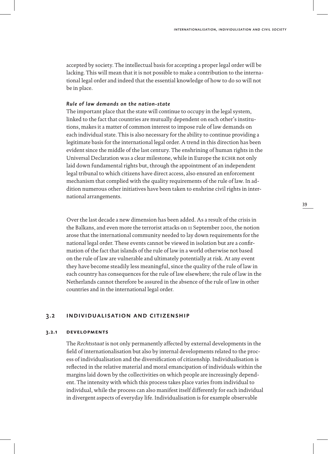accepted by society. The intellectual basis for accepting a proper legal order will be lacking. This will mean that it is not possible to make a contribution to the international legal order and indeed that the essential knowledge of how to do so will not be in place.

# *Rule of law demands on the nation-state*

The important place that the state will continue to occupy in the legal system, linked to the fact that countries are mutually dependent on each other's institutions, makes it a matter of common interest to impose rule of law demands on each individual state. This is also necessary for the ability to continue providing a legitimate basis for the international legal order. A trend in this direction has been evident since the middle of the last century. The enshrining of human rights in the Universal Declaration was a clear milestone, while in Europe the ECHR not only laid down fundamental rights but, through the appointment of an independent legal tribunal to which citizens have direct access, also ensured an enforcement mechanism that complied with the quality requirements of the rule of law. In addition numerous other initiatives have been taken to enshrine civil rights in international arrangements.

Over the last decade a new dimension has been added. As a result of the crisis in the Balkans, and even more the terrorist attacks on 11 September 2001, the notion arose that the international community needed to lay down requirements for the national legal order. These events cannot be viewed in isolation but are a confirmation of the fact that islands of the rule of law in a world otherwise not based on the rule of law are vulnerable and ultimately potentially at risk. At any event they have become steadily less meaningful, since the quality of the rule of law in each country has consequences for the rule of law elsewhere; the rule of law in the Netherlands cannot therefore be assured in the absence of the rule of law in other countries and in the international legal order.

# 3.2 individualisation and citizenship

### **3.2.1 developments**

The *Rechtsstaat* is not only permanently affected by external developments in the field of internationalisation but also by internal developments related to the process of individualisation and the diversification of citizenship. Individualisation is reflected in the relative material and moral emancipation of individuals within the margins laid down by the collectivities on which people are increasingly dependent. The intensity with which this process takes place varies from individual to individual, while the process can also manifest itself differently for each individual in divergent aspects of everyday life. Individualisation is for example observable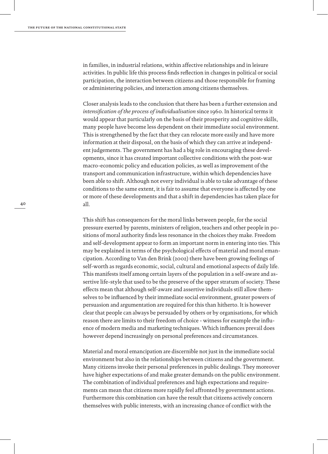in families, in industrial relations, within affective relationships and in leisure activities. In public life this process finds reflection in changes in political or social participation, the interaction between citizens and those responsible for framing or administering policies, and interaction among citizens themselves.

Closer analysis leads to the conclusion that there has been a further extension and *intensification of the process of individualisation* since 1960. In historical terms it would appear that particularly on the basis of their prosperity and cognitive skills, many people have become less dependent on their immediate social environment. This is strengthened by the fact that they can relocate more easily and have more information at their disposal, on the basis of which they can arrive at independent judgements. The government has had a big role in encouraging these developments, since it has created important collective conditions with the post-war macro-economic policy and education policies, as well as improvement of the transport and communication infrastructure, within which dependencies have been able to shift. Although not every individual is able to take advantage of these conditions to the same extent, it is fair to assume that everyone is affected by one or more of these developments and that a shift in dependencies has taken place for all.

This shift has consequences for the moral links between people, for the social pressure exerted by parents, ministers of religion, teachers and other people in positions of moral authority finds less resonance in the choices they make. Freedom and self-development appear to form an important norm in entering into ties. This may be explained in terms of the psychological effects of material and moral emancipation. According to Van den Brink (2002) there have been growing feelings of self-worth as regards economic, social, cultural and emotional aspects of daily life. This manifests itself among certain layers of the population in a self-aware and assertive life-style that used to be the preserve of the upper stratum of society. These effects mean that although self-aware and assertive individuals still allow themselves to be influenced by their immediate social environment, greater powers of persuasion and argumentation are required for this than hitherto. It is however clear that people can always be persuaded by others or by organisations, for which reason there are limits to their freedom of choice - witness for example the influence of modern media and marketing techniques. Which influences prevail does however depend increasingly on personal preferences and circumstances.

Material and moral emancipation are discernible not just in the immediate social environment but also in the relationships between citizens and the government. Many citizens invoke their personal preferences in public dealings. They moreover have higher expectations of and make greater demands on the public environment. The combination of individual preferences and high expectations and requirements can mean that citizens more rapidly feel affronted by government actions. Furthermore this combination can have the result that citizens actively concern themselves with public interests, with an increasing chance of conflict with the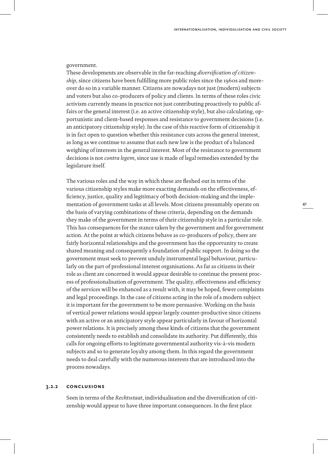## government.

These developments are observable in the far-reaching *diversification of citizenship*, since citizens have been fulfilling more public roles since the 1960s and moreover do so in a variable manner. Citizens are nowadays not just (modern) subjects and voters but also co-producers of policy and clients. In terms of these roles civic activism currently means in practice not just contributing proactively to public affairs or the general interest (i.e. an active citizenship style), but also calculating, opportunistic and client-based responses and resistance to government decisions (i.e. an anticipatory citizenship style). In the case of this reactive form of citizenship it is in fact open to question whether this resistance cuts across the general interest, as long as we continue to assume that each new law is the product of a balanced weighing of interests in the general interest. Most of the resistance to government decisions is not *contra legem*, since use is made of legal remedies extended by the legislature itself.

The various roles and the way in which these are fleshed out in terms of the various citizenship styles make more exacting demands on the effectiveness, efficiency, justice, quality and legitimacy of both decision-making and the implementation of government tasks at all levels. Most citizens presumably operate on the basis of varying combinations of these criteria, depending on the demands they make of the government in terms of their citizenship style in a particular role. This has consequences for the stance taken by the government and for government action. At the point at which citizens behave as co-producers of policy, there are fairly horizontal relationships and the government has the opportunity to create shared meaning and consequently a foundation of public support. In doing so the government must seek to prevent unduly instrumental legal behaviour, particularly on the part of professional interest organisations. As far as citizens in their role as client are concerned it would appear desirable to continue the present process of professionalisation of government. The quality, effectiveness and efficiency of the services will be enhanced as a result with, it may be hoped, fewer complaints and legal proceedings. In the case of citizens acting in the role of a modern subject it is important for the government to be more persuasive. Working on the basis of vertical power relations would appear largely counter-productive since citizens with an active or an anticipatory style appear particularly in favour of horizontal power relations. It is precisely among these kinds of citizens that the government consistently needs to establish and consolidate its authority. Put differently, this calls for ongoing efforts to legitimate governmental authority vis-à-vis modern subjects and so to generate loyalty among them. In this regard the government needs to deal carefully with the numerous interests that are introduced into the process nowadays.

# **3.2.2 conclusions**

Seen in terms of the *Rechtsstaat*, individualisation and the diversification of citizenship would appear to have three important consequences. In the first place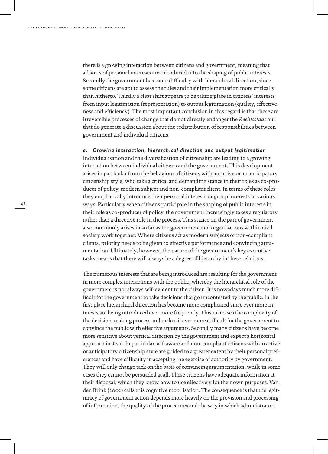there is a growing interaction between citizens and government, meaning that all sorts of personal interests are introduced into the shaping of public interests. Secondly the government has more difficulty with hierarchical direction, since some citizens are apt to assess the rules and their implementation more critically than hitherto. Thirdly a clear shift appears to be taking place in citizens' interests from input legitimation (representation) to output legitimation (quality, effectiveness and efficiency). The most important conclusion in this regard is that these are irreversible processes of change that do not directly endanger the *Rechtsstaat* but that do generate a discussion about the redistribution of responsibilities between government and individual citizens.

# *a. Growing interaction, hierarchical direction and output legitimation*

Individualisation and the diversification of citizenship are leading to a growing interaction between individual citizens and the government. This development arises in particular from the behaviour of citizens with an active or an anticipatory citizenship style, who take a critical and demanding stance in their roles as co-producer of policy, modern subject and non-compliant client. In terms of these roles they emphatically introduce their personal interests or group interests in various ways. Particularly when citizens participate in the shaping of public interests in their role as co-producer of policy, the government increasingly takes a regulatory rather than a directive role in the process. This stance on the part of government also commonly arises in so far as the government and organisations within civil society work together. Where citizens act as modern subjects or non-compliant clients, priority needs to be given to effective performance and convincing argumentation. Ultimately, however, the nature of the government's key executive tasks means that there will always be a degree of hierarchy in these relations.

The numerous interests that are being introduced are resulting for the government in more complex interactions with the public, whereby the hierarchical role of the government is not always self-evident to the citizen. It is nowadays much more difficult for the government to take decisions that go uncontested by the public. In the first place hierarchical direction has become more complicated since ever more interests are being introduced ever more frequently. This increases the complexity of the decision-making process and makes it ever more difficult for the government to convince the public with effective arguments. Secondly many citizens have become more sensitive about vertical direction by the government and expect a horizontal approach instead. In particular self-aware and non-compliant citizens with an active or anticipatory citizenship style are guided to a greater extent by their personal preferences and have difficulty in accepting the exercise of authority by government. They will only change tack on the basis of convincing argumentation, while in some cases they cannot be persuaded at all. These citizens have adequate information at their disposal, which they know how to use effectively for their own purposes. Van den Brink (2002) calls this cognitive mobilisation. The consequence is that the legitimacy of government action depends more heavily on the provision and processing of information, the quality of the procedures and the way in which administrators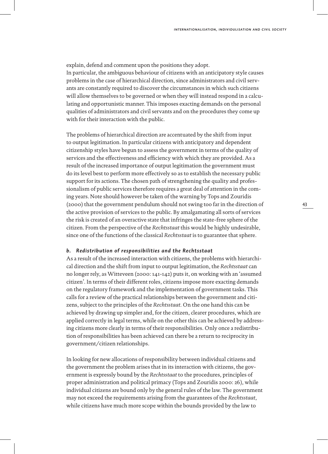explain, defend and comment upon the positions they adopt. In particular, the ambiguous behaviour of citizens with an anticipatory style causes problems in the case of hierarchical direction, since administrators and civil servants are constantly required to discover the circumstances in which such citizens will allow themselves to be governed or when they will instead respond in a calculating and opportunistic manner. This imposes exacting demands on the personal qualities of administrators and civil servants and on the procedures they come up with for their interaction with the public.

The problems of hierarchical direction are accentuated by the shift from input to output legitimation. In particular citizens with anticipatory and dependent citizenship styles have begun to assess the government in terms of the quality of services and the effectiveness and efficiency with which they are provided. As a result of the increased importance of output legitimation the government must do its level best to perform more effectively so as to establish the necessary public support for its actions. The chosen path of strengthening the quality and professionalism of public services therefore requires a great deal of attention in the coming years. Note should however be taken of the warning by Tops and Zouridis (2000) that the government pendulum should not swing too far in the direction of the active provision of services to the public. By amalgamating all sorts of services the risk is created of an overactive state that infringes the state-free sphere of the citizen. From the perspective of the *Rechtsstaat* this would be highly undesirable, since one of the functions of the classical *Rechtsstaat* is to guarantee that sphere.

### *b. Redistribution of responsibilities and the Rechtsstaat*

As a result of the increased interaction with citizens, the problems with hierarchical direction and the shift from input to output legitimation, the *Rechtsstaat* can no longer rely, as Witteveen (2000: 141-142) puts it, on working with an 'assumed citizen'. In terms of their different roles, citizens impose more exacting demands on the regulatory framework and the implementation of government tasks. This calls for a review of the practical relationships between the government and citizens, subject to the principles of the *Rechtsstaat*. On the one hand this can be achieved by drawing up simpler and, for the citizen, clearer procedures, which are applied correctly in legal terms, while on the other this can be achieved by addressing citizens more clearly in terms of their responsibilities. Only once a redistribution of responsibilities has been achieved can there be a return to reciprocity in government/citizen relationships.

In looking for new allocations of responsibility between individual citizens and the government the problem arises that in its interaction with citizens, the government is expressly bound by the *Rechtsstaat* to the procedures, principles of proper administration and political primacy (Tops and Zouridis 2000: 26), while individual citizens are bound only by the general rules of the law. The government may not exceed the requirements arising from the guarantees of the *Rechtsstaat*, while citizens have much more scope within the bounds provided by the law to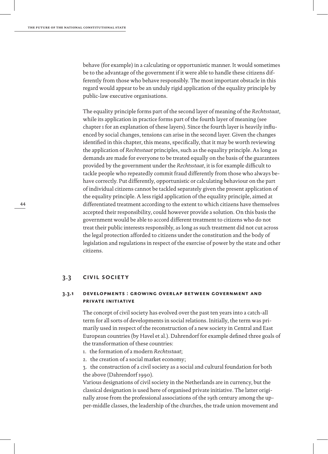behave (for example) in a calculating or opportunistic manner. It would sometimes be to the advantage of the government if it were able to handle these citizens differently from those who behave responsibly. The most important obstacle in this regard would appear to be an unduly rigid application of the equality principle by public-law executive organisations.

The equality principle forms part of the second layer of meaning of the *Rechtsstaat*, while its application in practice forms part of the fourth layer of meaning (see chapter 1 for an explanation of these layers). Since the fourth layer is heavily influenced by social changes, tensions can arise in the second layer. Given the changes identified in this chapter, this means, specifically, that it may be worth reviewing the application of *Rechtsstaat* principles, such as the equality principle. As long as demands are made for everyone to be treated equally on the basis of the guarantees provided by the government under the *Rechtsstaat*, it is for example difficult to tackle people who repeatedly commit fraud differently from those who always behave correctly. Put differently, opportunistic or calculating behaviour on the part of individual citizens cannot be tackled separately given the present application of the equality principle. A less rigid application of the equality principle, aimed at differentiated treatment according to the extent to which citizens have themselves accepted their responsibility, could however provide a solution. On this basis the government would be able to accord different treatment to citizens who do not treat their public interests responsibly, as long as such treatment did not cut across the legal protection afforded to citizens under the constitution and the body of legislation and regulations in respect of the exercise of power by the state and other citizens.

# 3.3 CIVIL SOCIETY

# **3.3.1 developments : growing overlap between government and private initiative**

The concept of civil society has evolved over the past ten years into a catch-all term for all sorts of developments in social relations. Initially, the term was primarily used in respect of the reconstruction of a new society in Central and East European countries (by Havel et al.). Dahrendorf for example defined three goals of the transformation of these countries:

- 1. the formation of a modern *Rechtsstaat*;
- 2. the creation of a social market economy;

3. the construction of a civil society as a social and cultural foundation for both the above (Dahrendorf 1990).

Various designations of civil society in the Netherlands are in currency, but the classical designation is used here of organised private initiative. The latter originally arose from the professional associations of the 19th century among the upper-middle classes, the leadership of the churches, the trade union movement and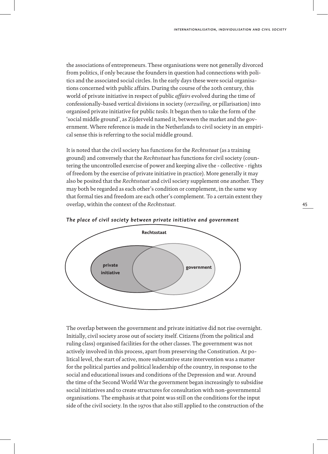the associations of entrepreneurs. These organisations were not generally divorced from politics, if only because the founders in question had connections with politics and the associated social circles. In the early days these were social organisations concerned with public affairs. During the course of the 20th century, this world of private initiative in respect of public *affairs* evolved during the time of confessionally-based vertical divisions in society (*verzuiling*, or pillarisation) into organised private initiative for public *tasks*. It began then to take the form of the 'social middle ground', as Zijderveld named it, between the market and the government. Where reference is made in the Netherlands to civil society in an empirical sense this is referring to the social middle ground.

It is noted that the civil society has functions for the *Rechtsstaat* (as a training ground) and conversely that the *Rechtsstaat* has functions for civil society (countering the uncontrolled exercise of power and keeping alive the - collective - rights of freedom by the exercise of private initiative in practice). More generally it may also be posited that the *Rechtsstaat* and civil society supplement one another. They may both be regarded as each other's condition or complement, in the same way that formal ties and freedom are each other's complement. To a certain extent they overlap, within the context of the *Rechtsstaat*.



*The place of civil society between private initiative and government* 

The overlap between the government and private initiative did not rise overnight. Initially, civil society arose out of society itself. Citizens (from the political and ruling class) organised facilities for the other classes. The government was not actively involved in this process, apart from preserving the Constitution. At political level, the start of active, more substantive state intervention was a matter for the political parties and political leadership of the country, in response to the social and educational issues and conditions of the Depression and war. Around the time of the Second World War the government began increasingly to subsidise social initiatives and to create structures for consultation with non-governmental organisations. The emphasis at that point was still on the conditions for the input side of the civil society. In the 1970s that also still applied to the construction of the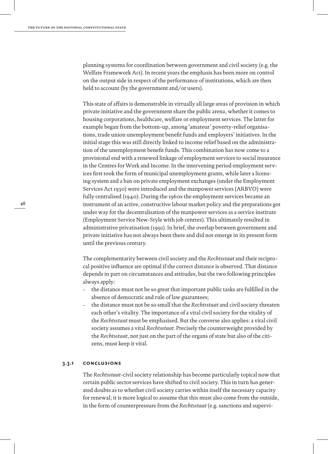planning systems for coordination between government and civil society (e.g. the Welfare Framework Act). In recent years the emphasis has been more on control on the output side in respect of the performance of institutions, which are then held to account (by the government and/or users).

This state of affairs is demonstrable in virtually all large areas of provision in which private initiative and the government share the public arena, whether it comes to housing corporations, healthcare, welfare or employment services. The latter for example began from the bottom-up, among 'amateur' poverty-relief organisations, trade union unemployment benefit funds and employers' initiatives. In the initial stage this was still directly linked to income relief based on the administration of the unemployment benefit funds. This combination has now come to a provisional end with a renewed linkage of employment services to social insurance in the Centres for Work and Income. In the intervening period employment services first took the form of municipal unemployment grants, while later a licensing system and a ban on private employment exchanges (under the Employment Services Act 1930) were introduced and the manpower services (ARBVO) were fully centralised (1940). During the 1960s the employment services became an instrument of an active, constructive labour market policy and the preparations got under way for the decentralisation of the manpower services as a service institute (Employment Service New-Style with job centres). This ultimately resulted in administrative privatisation (1991). In brief, the overlap between government and private initiative has not always been there and did not emerge in its present form until the previous century.

The complementarity between civil society and the *Rechtsstaat* and their reciprocal positive influence are optimal if the correct distance is observed. That distance depends in part on circumstances and attitudes, but the two following principles always apply:

- the distance must not be so great that important public tasks are fulfilled in the absence of democratic and rule of law guarantees;
- the distance must not be so small that the *Rechtsstaat* and civil society threaten each other's vitality. The importance of a vital civil society for the vitality of the *Rechtsstaat* must be emphasised. But the converse also applies: a vital civil society assumes a vital *Rechtsstaat*. Precisely the counterweight provided by the *Rechtsstaat*, not just on the part of the organs of state but also of the citizens, must keep it vital.

## **3.3.1 conclusions**

The *Rechtsstaat*-civil society relationship has become particularly topical now that certain public sector services have shifted to civil society. This in turn has generated doubts as to whether civil society carries within itself the necessary capacity for renewal; it is more logical to assume that this must also come from the outside, in the form of counterpressure from the *Rechtsstaat* (e.g. sanctions and supervi-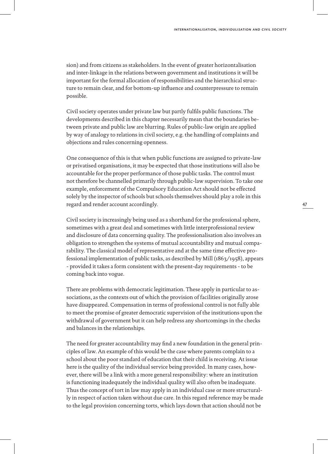sion) and from citizens as stakeholders. In the event of greater horizontalisation and inter-linkage in the relations between government and institutions it will be important for the formal allocation of responsibilities and the hierarchical structure to remain clear, and for bottom-up influence and counterpressure to remain possible.

Civil society operates under private law but partly fulfils public functions. The developments described in this chapter necessarily mean that the boundaries between private and public law are blurring. Rules of public-law origin are applied by way of analogy to relations in civil society, e.g. the handling of complaints and objections and rules concerning openness.

One consequence of this is that when public functions are assigned to private-law or privatised organisations, it may be expected that those institutions will also be accountable for the proper performance of those public tasks. The control must not therefore be channelled primarily through public-law supervision. To take one example, enforcement of the Compulsory Education Act should not be effected solely by the inspector of schools but schools themselves should play a role in this regard and render account accordingly.

Civil society is increasingly being used as a shorthand for the professional sphere, sometimes with a great deal and sometimes with little interprofessional review and disclosure of data concerning quality. The professionalisation also involves an obligation to strengthen the systems of mutual accountability and mutual comparability. The classical model of representative and at the same time effective professional implementation of public tasks, as described by Mill (1863/1958), appears - provided it takes a form consistent with the present-day requirements - to be coming back into vogue.

There are problems with democratic legitimation. These apply in particular to associations, as the contexts out of which the provision of facilities originally arose have disappeared. Compensation in terms of professional control is not fully able to meet the promise of greater democratic supervision of the institutions upon the withdrawal of government but it can help redress any shortcomings in the checks and balances in the relationships.

The need for greater accountability may find a new foundation in the general principles of law. An example of this would be the case where parents complain to a school about the poor standard of education that their child is receiving. At issue here is the quality of the individual service being provided. In many cases, however, there will be a link with a more general responsibility: where an institution is functioning inadequately the individual quality will also often be inadequate. Thus the concept of tort in law may apply in an individual case or more structurally in respect of action taken without due care. In this regard reference may be made to the legal provision concerning torts, which lays down that action should not be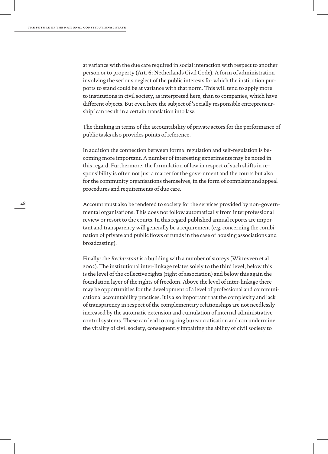at variance with the due care required in social interaction with respect to another person or to property (Art. 6: Netherlands Civil Code). A form of administration involving the serious neglect of the public interests for which the institution purports to stand could be at variance with that norm. This will tend to apply more to institutions in civil society, as interpreted here, than to companies, which have different objects. But even here the subject of 'socially responsible entrepreneurship' can result in a certain translation into law.

The thinking in terms of the accountability of private actors for the performance of public tasks also provides points of reference.

In addition the connection between formal regulation and self-regulation is becoming more important. A number of interesting experiments may be noted in this regard. Furthermore, the formulation of law in respect of such shifts in responsibility is often not just a matter for the government and the courts but also for the community organisations themselves, in the form of complaint and appeal procedures and requirements of due care.

Account must also be rendered to society for the services provided by non-governmental organisations. This does not follow automatically from interprofessional review or resort to the courts. In this regard published annual reports are important and transparency will generally be a requirement (e.g. concerning the combination of private and public flows of funds in the case of housing associations and broadcasting).

Finally: the *Rechtsstaat* is a building with a number of storeys (Witteveen et al. 2002). The institutional inter-linkage relates solely to the third level; below this is the level of the collective rights (right of association) and below this again the foundation layer of the rights of freedom. Above the level of inter-linkage there may be opportunities for the development of a level of professional and communicational accountability practices. It is also important that the complexity and lack of transparency in respect of the complementary relationships are not needlessly increased by the automatic extension and cumulation of internal administrative control systems. These can lead to ongoing bureaucratisation and can undermine the vitality of civil society, consequently impairing the ability of civil society to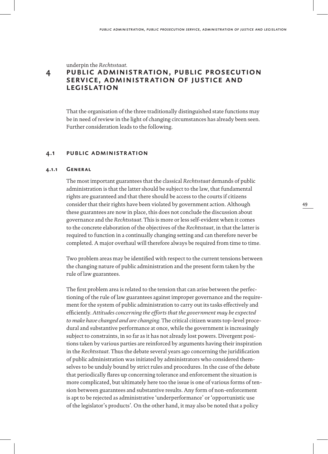underpin the *Rechtsstaat*.

# 4 public administration, public prosecution service, administration of justice and legislation

That the organisation of the three traditionally distinguished state functions may be in need of review in the light of changing circumstances has already been seen. Further consideration leads to the following.

# 4.1 public administration

# **4.1.1 General**

The most important guarantees that the classical *Rechtsstaat* demands of public administration is that the latter should be subject to the law, that fundamental rights are guaranteed and that there should be access to the courts if citizens consider that their rights have been violated by government action. Although these guarantees are now in place, this does not conclude the discussion about governance and the *Rechtsstaat*. This is more or less self-evident when it comes to the concrete elaboration of the objectives of the *Rechtsstaat*, in that the latter is required to function in a continually changing setting and can therefore never be completed. A major overhaul will therefore always be required from time to time.

Two problem areas may be identified with respect to the current tensions between the changing nature of public administration and the present form taken by the rule of law guarantees.

The first problem area is related to the tension that can arise between the perfectioning of the rule of law guarantees against improper governance and the requirement for the system of public administration to carry out its tasks effectively and efficiently. *Attitudes concerning the efforts that the government may be expected to make have changed and are changing.* The critical citizen wants top-level procedural and substantive performance at once, while the government is increasingly subject to constraints, in so far as it has not already lost powers. Divergent positions taken by various parties are reinforced by arguments having their inspiration in the *Rechtsstaat*. Thus the debate several years ago concerning the juridification of public administration was initiated by administrators who considered themselves to be unduly bound by strict rules and procedures. In the case of the debate that periodically flares up concerning tolerance and enforcement the situation is more complicated, but ultimately here too the issue is one of various forms of tension between guarantees and substantive results. Any form of non-enforcement is apt to be rejected as administrative 'underperformance' or 'opportunistic use of the legislator's products'. On the other hand, it may also be noted that a policy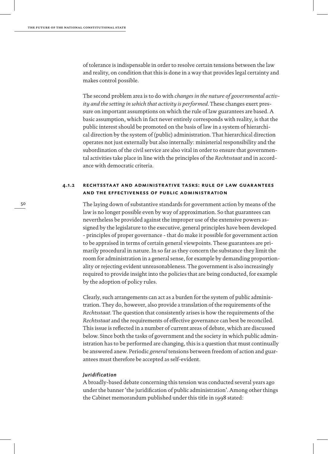of tolerance is indispensable in order to resolve certain tensions between the law and reality, on condition that this is done in a way that provides legal certainty and makes control possible.

The second problem area is to do with *changes in the nature of governmental activity and the setting in which that activity is performed*. These changes exert pressure on important assumptions on which the rule of law guarantees are based. A basic assumption, which in fact never entirely corresponds with reality, is that the public interest should be promoted on the basis of law in a system of hierarchical direction by the system of (public) administration. That hierarchical direction operates not just externally but also internally: ministerial responsibility and the subordination of the civil service are also vital in order to ensure that governmental activities take place in line with the principles of the *Rechtsstaat* and in accordance with democratic criteria.

# **4.1.2 rechtsstaat and administrative tasks: rule of law guarantees and the effectiveness of public administration**

The laying down of substantive standards for government action by means of the law is no longer possible even by way of approximation. So that guarantees can nevertheless be provided against the improper use of the extensive powers assigned by the legislature to the executive, general principles have been developed - principles of proper governance - that do make it possible for government action to be appraised in terms of certain general viewpoints. These guarantees are primarily procedural in nature. In so far as they concern the substance they limit the room for administration in a general sense, for example by demanding proportionality or rejecting evident unreasonableness. The government is also increasingly required to provide insight into the policies that are being conducted, for example by the adoption of policy rules.

Clearly, such arrangements can act as a burden for the system of public administration. They do, however, also provide a translation of the requirements of the *Rechtsstaat*. The question that consistently arises is how the requirements of the *Rechtsstaat* and the requirements of effective governance can best be reconciled. This issue is reflected in a number of current areas of debate, which are discussed below. Since both the tasks of government and the society in which public administration has to be performed are changing, this is a question that must continually be answered anew. Periodic *general* tensions between freedom of action and guarantees must therefore be accepted as self-evident.

### *Juridification*

A broadly-based debate concerning this tension was conducted several years ago under the banner 'the juridification of public administration'. Among other things the Cabinet memorandum published under this title in 1998 stated: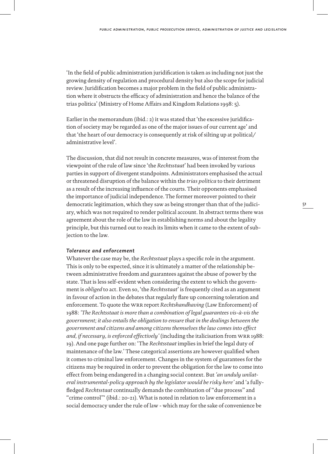'In the field of public administration juridification is taken as including not just the growing density of regulation and procedural density but also the scope for judicial review. Juridification becomes a major problem in the field of public administration where it obstructs the efficacy of administration and hence the balance of the trias politica' (Ministry of Home Affairs and Kingdom Relations 1998: 5).

Earlier in the memorandum (ibid.: 2) it was stated that 'the excessive juridification of society may be regarded as one of the major issues of our current age' and that 'the heart of our democracy is consequently at risk of silting up at political/ administrative level'.

The discussion, that did not result in concrete measures, was of interest from the viewpoint of the rule of law since 'the *Rechtsstaat*' had been invoked by various parties in support of divergent standpoints. Administrators emphasised the actual or threatened disruption of the balance within the *trias politica* to their detriment as a result of the increasing influence of the courts. Their opponents emphasised the importance of judicial independence. The former moreover pointed to their democratic legitimation, which they saw as being stronger than that of the judiciary, which was not required to render political account. In abstract terms there was agreement about the role of the law in establishing norms and about the legality principle, but this turned out to reach its limits when it came to the extent of subjection to the law.

## *Tolerance and enforcement*

Whatever the case may be, the *Rechtsstaat* plays a specific role in the argument. This is only to be expected, since it is ultimately a matter of the relationship between administrative freedom and guarantees against the abuse of power by the state. That is less self-evident when considering the extent to which the government is *obliged* to act. Even so, 'the *Rechtsstaat*' is frequently cited as an argument in favour of action in the debates that regularly flare up concerning toleration and enforcement. To quote the wrr report *Rechtshandhaving* (Law Enforcement) of 1988: *'The Rechtsstaat is more than a combination of legal guarantees vis-à-vis the government; it also entails the obligation to ensure that in the dealings between the government and citizens and among citizens themselves the law comes into effect*  and, if necessary, is enforced effectively' (including the italicisation from WRR 1988: 19). And one page further on: 'The *Rechtsstaat* implies in brief the legal duty of maintenance of the law.' These categorical assertions are however qualified when it comes to criminal law enforcement. Changes in the system of guarantees for the citizens may be required in order to prevent the obligation for the law to come into effect from being endangered in a changing social context. But *'an unduly unilateral instrumental-policy approach by the legislator would be risky here'* and 'a fullyfledged *Rechtsstaat* continually demands the combination of "due process" and "crime control"' (ibid.: 20-21). What is noted in relation to law enforcement in a social democracy under the rule of law - which may for the sake of convenience be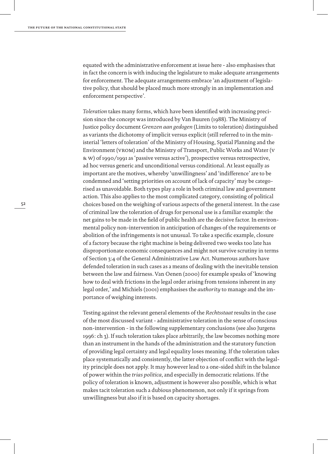equated with the administrative enforcement at issue here - also emphasises that in fact the concern is with inducing the legislature to make adequate arrangements for enforcement. The adequate arrangements embrace 'an adjustment of legislative policy, that should be placed much more strongly in an implementation and enforcement perspective'.

*Toleration* takes many forms, which have been identified with increasing precision since the concept was introduced by Van Buuren (1988). The Ministry of Justice policy document *Grenzen aan gedogen* (Limits to toleration) distinguished as variants the dichotomy of implicit versus explicit (still referred to in the ministerial 'letters of toleration' of the Ministry of Housing, Spatial Planning and the Environment (vrom) and the Ministry of Transport, Public Works and Water (v & w) of 1990/1991 as 'passive versus active'), prospective versus retrospective, ad hoc versus generic and unconditional versus conditional. At least equally as important are the motives, whereby 'unwillingness' and 'indifference' are to be condemned and 'setting priorities on account of lack of capacity' may be categorised as unavoidable. Both types play a role in both criminal law and government action. This also applies to the most complicated category, consisting of political choices based on the weighing of various aspects of the general interest. In the case of criminal law the toleration of drugs for personal use is a familiar example: the net gains to be made in the field of public health are the decisive factor. In environmental policy non-intervention in anticipation of changes of the requirements or abolition of the infringements is not unusual. To take a specific example, closure of a factory because the right machine is being delivered two weeks too late has disproportionate economic consequences and might not survive scrutiny in terms of Section 3:4 of the General Administrative Law Act. Numerous authors have defended toleration in such cases as a means of dealing with the inevitable tension between the law and fairness. Van Oenen (2000) for example speaks of 'knowing how to deal with frictions in the legal order arising from tensions inherent in any legal order,' and Michiels (2001) emphasises the *authority* to manage and the importance of weighing interests.

Testing against the relevant general elements of the *Rechtsstaat* results in the case of the most discussed variant - administrative toleration in the sense of conscious non-intervention - in the following supplementary conclusions (see also Jurgens 1996: ch 3). If such toleration takes place arbitrarily, the law becomes nothing more than an instrument in the hands of the administration and the statutory function of providing legal certainty and legal equality loses meaning. If the toleration takes place systematically and consistently, the latter objection of conflict with the legality principle does not apply. It may however lead to a one-sided shift in the balance of power within the *trias politica*, and especially in democratic relations. If the policy of toleration is known, adjustment is however also possible, which is what makes tacit toleration such a dubious phenomenon, not only if it springs from unwillingness but also if it is based on capacity shortages.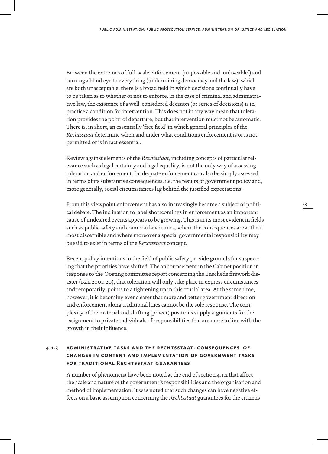Between the extremes of full-scale enforcement (impossible and 'unliveable') and turning a blind eye to everything (undermining democracy and the law), which are both unacceptable, there is a broad field in which decisions continually have to be taken as to whether or not to enforce. In the case of criminal and administrative law, the existence of a well-considered decision (or series of decisions) is in practice a condition for intervention. This does not in any way mean that toleration provides the point of departure, but that intervention must not be automatic. There is, in short, an essentially 'free field' in which general principles of the *Rechtsstaat* determine when and under what conditions enforcement is or is not permitted or is in fact essential.

Review against elements of the *Rechtsstaat*, including concepts of particular relevance such as legal certainty and legal equality, is not the only way of assessing toleration and enforcement. Inadequate enforcement can also be simply assessed in terms of its substantive consequences, i.e. the results of government policy and, more generally, social circumstances lag behind the justified expectations.

From this viewpoint enforcement has also increasingly become a subject of political debate. The inclination to label shortcomings in enforcement as an important cause of undesired events appears to be growing. This is at its most evident in fields such as public safety and common law crimes, where the consequences are at their most discernible and where moreover a special governmental responsibility may be said to exist in terms of the *Rechtsstaat* concept.

Recent policy intentions in the field of public safety provide grounds for suspecting that the priorities have shifted. The announcement in the Cabinet position in response to the Oosting committee report concerning the Enschede firework disaster (BZK 2001: 20), that toleration will only take place in express circumstances and temporarily, points to a tightening up in this crucial area. At the same time, however, it is becoming ever clearer that more and better government direction and enforcement along traditional lines cannot be the sole response. The complexity of the material and shifting (power) positions supply arguments for the assignment to private individuals of responsibilities that are more in line with the growth in their influence.

# **4.1.3 administrative tasks and the rechtsstaat: consequences of changes in content and implementation of government tasks for traditional Rechtsstaat guarantees**

A number of phenomena have been noted at the end of section 4.1.2 that affect the scale and nature of the government's responsibilities and the organisation and method of implementation. It was noted that such changes can have negative effects on a basic assumption concerning the *Rechtsstaat* guarantees for the citizens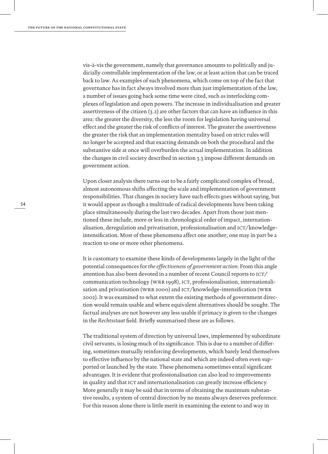vis-à-vis the government, namely that governance amounts to politically and judicially controllable implementation of the law, or at least action that can be traced back to law. As examples of such phenomena, which come on top of the fact that governance has in fact always involved more than just implementation of the law, a number of issues going back some time were cited, such as interlocking complexes of legislation and open powers. The increase in individualisation and greater assertiveness of the citizen (3.2) are other factors that can have an influence in this area: the greater the diversity, the less the room for legislation having universal effect and the greater the risk of conflicts of interest. The greater the assertiveness the greater the risk that an implementation mentality based on strict rules will no longer be accepted and that exacting demands on both the procedural and the substantive side at once will overburden the actual implementation. In addition the changes in civil society described in section 3.3 impose different demands on government action.

Upon closer analysis there turns out to be a fairly complicated complex of broad, almost autonomous shifts affecting the scale and implementation of government responsibilities. That changes in society have such effects goes without saying, but it would appear as though a multitude of radical developments have been taking place simultaneously during the last two decades. Apart from those just mentioned these include, more or less in chronological order of impact, internationalisation, deregulation and privatisation, professionalisation and ICT/knowledgeintensification. Most of these phenomena affect one another; one may in part be a reaction to one or more other phenomena.

It is customary to examine these kinds of developments largely in the light of the potential consequences for *the effectiveness of government action*. From this angle attention has also been devoted in a number of recent Council reports to ICT/ communication technology (WRR 1998), ICT, professionalisation, internationalisation and privatisation (WRR 2000) and ICT/knowledge-intensification (WRR 2002). It was examined to what extent the existing methods of government direction would remain usable and where equivalent alternatives should be sought. The factual analyses are not however any less usable if primacy is given to the changes in the *Rechtsstaat* field. Briefly summarised these are as follows.

The traditional system of direction by universal laws, implemented by subordinate civil servants, is losing much of its significance. This is due to a number of differing, sometimes mutually reinforcing developments, which barely lend themselves to effective influence by the national state and which are indeed often even supported or launched by the state. These phenomena sometimes entail significant advantages. It is evident that professionalisation can also lead to improvements in quality and that ICT and internationalisation can greatly increase efficiency. More generally it may be said that in terms of obtaining the maximum substantive results, a system of central direction by no means always deserves preference. For this reason alone there is little merit in examining the extent to and way in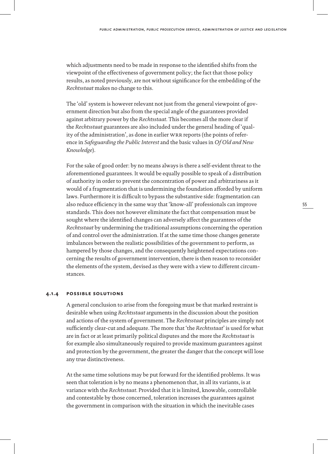which adjustments need to be made in response to the identified shifts from the viewpoint of the effectiveness of government policy; the fact that those policy results, as noted previously, are not without significance for the embedding of the *Rechtsstaat* makes no change to this.

The 'old' system is however relevant not just from the general viewpoint of government direction but also from the special angle of the guarantees provided against arbitrary power by the *Rechtsstaat*. This becomes all the more clear if the *Rechtsstaat* guarantees are also included under the general heading of 'quality of the administration', as done in earlier WRR reports (the points of reference in *Safeguarding the Public Interest* and the basic values in *Of Old and New Knowledge*).

For the sake of good order: by no means always is there a self-evident threat to the aforementioned guarantees. It would be equally possible to speak of a distribution of authority in order to prevent the concentration of power and arbitrariness as it would of a fragmentation that is undermining the foundation afforded by uniform laws. Furthermore it is difficult to bypass the substantive side: fragmentation can also reduce efficiency in the same way that 'know-all' professionals can improve standards. This does not however eliminate the fact that compensation must be sought where the identified changes can adversely affect the guarantees of the *Rechtsstaat* by undermining the traditional assumptions concerning the operation of and control over the administration. If at the same time those changes generate imbalances between the realistic possibilities of the government to perform, as hampered by those changes, and the consequently heightened expectations concerning the results of government intervention, there is then reason to reconsider the elements of the system, devised as they were with a view to different circumstances.

## **4.1.4 possible solutions**

A general conclusion to arise from the foregoing must be that marked restraint is desirable when using *Rechtsstaat* arguments in the discussion about the position and actions of the system of government. The *Rechtsstaat* principles are simply not sufficiently clear-cut and adequate. The more that 'the *Rechtsstaat*' is used for what are in fact or at least primarily political disputes and the more the *Rechtsstaat* is for example also simultaneously required to provide maximum guarantees against and protection by the government, the greater the danger that the concept will lose any true distinctiveness.

At the same time solutions may be put forward for the identified problems. It was seen that toleration is by no means a phenomenon that, in all its variants, is at variance with the *Rechtsstaat*. Provided that it is limited, knowable, controllable and contestable by those concerned, toleration increases the guarantees against the government in comparison with the situation in which the inevitable cases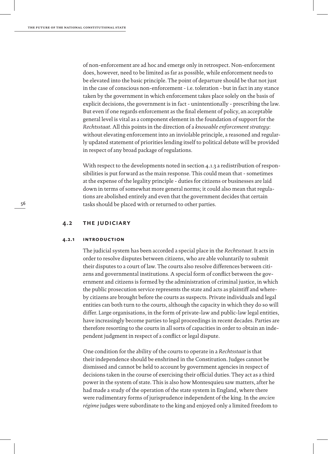of non-enforcement are ad hoc and emerge only in retrospect. Non-enforcement does, however, need to be limited as far as possible, while enforcement needs to be elevated into the basic principle. The point of departure should be that not just in the case of conscious non-enforcement - i.e. toleration - but in fact in any stance taken by the government in which enforcement takes place solely on the basis of explicit decisions, the government is in fact - unintentionally - prescribing the law. But even if one regards enforcement as the final element of policy, an acceptable general level is vital as a component element in the foundation of support for the *Rechtsstaat*. All this points in the direction of a *knowable enforcement strategy*: without elevating enforcement into an inviolable principle, a reasoned and regularly updated statement of priorities lending itself to political debate will be provided in respect of any broad package of regulations.

With respect to the developments noted in section 4.1.3 a redistribution of responsibilities is put forward as the main response. This could mean that - sometimes at the expense of the legality principle - duties for citizens or businesses are laid down in terms of somewhat more general norms; it could also mean that regulations are abolished entirely and even that the government decides that certain tasks should be placed with or returned to other parties.

### 4.2 the judiciary

### **4.2.1 introduction**

The judicial system has been accorded a special place in the *Rechtsstaat*. It acts in order to resolve disputes between citizens, who are able voluntarily to submit their disputes to a court of law. The courts also resolve differences between citizens and governmental institutions. A special form of conflict between the government and citizens is formed by the administration of criminal justice, in which the public prosecution service represents the state and acts as plaintiff and whereby citizens are brought before the courts as suspects. Private individuals and legal entities can both turn to the courts, although the capacity in which they do so will differ. Large organisations, in the form of private-law and public-law legal entities, have increasingly become parties to legal proceedings in recent decades. Parties are therefore resorting to the courts in all sorts of capacities in order to obtain an independent judgment in respect of a conflict or legal dispute.

One condition for the ability of the courts to operate in a *Rechtsstaat* is that their independence should be enshrined in the Constitution. Judges cannot be dismissed and cannot be held to account by government agencies in respect of decisions taken in the course of exercising their official duties. They act as a third power in the system of state. This is also how Montesquieu saw matters, after he had made a study of the operation of the state system in England, where there were rudimentary forms of jurisprudence independent of the king. In the *ancien*  régime judges were subordinate to the king and enjoyed only a limited freedom to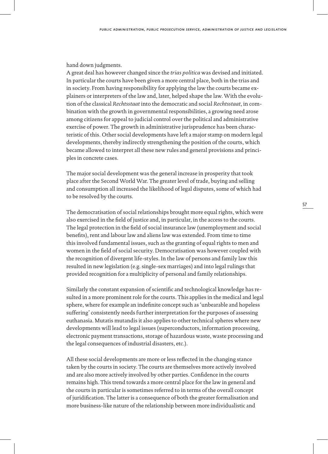hand down judgments.

A great deal has however changed since the *trias politica* was devised and initiated. In particular the courts have been given a more central place, both in the trias and in society. From having responsibility for applying the law the courts became explainers or interpreters of the law and, later, helped shape the law. With the evolution of the classical *Rechtsstaat* into the democratic and social *Rechtsstaat*, in combination with the growth in governmental responsibilities, a growing need arose among citizens for appeal to judicial control over the political and administrative exercise of power. The growth in administrative jurisprudence has been characteristic of this. Other social developments have left a major stamp on modern legal developments, thereby indirectly strengthening the position of the courts, which became allowed to interpret all these new rules and general provisions and principles in concrete cases.

The major social development was the general increase in prosperity that took place after the Second World War. The greater level of trade, buying and selling and consumption all increased the likelihood of legal disputes, some of which had to be resolved by the courts.

The democratisation of social relationships brought more equal rights, which were also exercised in the field of justice and, in particular, in the access to the courts. The legal protection in the field of social insurance law (unemployment and social benefits), rent and labour law and aliens law was extended. From time to time this involved fundamental issues, such as the granting of equal rights to men and women in the field of social security. Democratisation was however coupled with the recognition of divergent life-styles. In the law of persons and family law this resulted in new legislation (e.g. single-sex marriages) and into legal rulings that provided recognition for a multiplicity of personal and family relationships.

Similarly the constant expansion of scientific and technological knowledge has resulted in a more prominent role for the courts. This applies in the medical and legal sphere, where for example an indefinite concept such as 'unbearable and hopeless suffering' consistently needs further interpretation for the purposes of assessing euthanasia. Mutatis mutandis it also applies to other technical spheres where new developments will lead to legal issues (superconductors, information processing, electronic payment transactions, storage of hazardous waste, waste processing and the legal consequences of industrial disasters, etc.).

All these social developments are more or less reflected in the changing stance taken by the courts in society. The courts are themselves more actively involved and are also more actively involved by other parties. Confidence in the courts remains high. This trend towards a more central place for the law in general and the courts in particular is sometimes referred to in terms of the overall concept of juridification. The latter is a consequence of both the greater formalisation and more business-like nature of the relationship between more individualistic and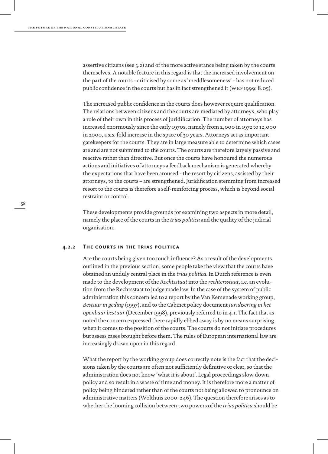assertive citizens (see 3.2) and of the more active stance being taken by the courts themselves. A notable feature in this regard is that the increased involvement on the part of the courts - criticised by some as 'meddlesomeness' - has not reduced public confidence in the courts but has in fact strengthened it (WEF 1999: 8.05).

The increased public confidence in the courts does however require qualification. The relations between citizens and the courts are mediated by attorneys, who play a role of their own in this process of juridification. The number of attorneys has increased enormously since the early 1970s, namely from 2,000 in 1972 to 12,000 in 2000, a six-fold increase in the space of 30 years. Attorneys act as important gatekeepers for the courts. They are in large measure able to determine which cases are and are not submitted to the courts. The courts are therefore largely passive and reactive rather than directive. But once the courts have honoured the numerous actions and initiatives of attorneys a feedback mechanism is generated whereby the expectations that have been aroused - the resort by citizens, assisted by their attorneys, to the courts – are strengthened. Juridification stemming from increased resort to the courts is therefore a self-reinforcing process, which is beyond social restraint or control.

These developments provide grounds for examining two aspects in more detail, namely the place of the courts in the *trias politica* and the quality of the judicial organisation.

#### **4.2.2 The courts in the trias politica**

Are the courts being given too much influence? As a result of the developments outlined in the previous section, some people take the view that the courts have obtained an unduly central place in the *trias politica*. In Dutch reference is even made to the development of the *Rechtsstaat* into the *rechtersstaat*, i.e. an evolution from the Rechtsstaat to judge made law. In the case of the system of public administration this concern led to a report by the Van Kemenade working group, *Bestuur in geding* (1997), and to the Cabinet policy document *Juridisering in het openbaar bestuur* (December 1998), previously referred to in 4.1. The fact that as noted the concern expressed there rapidly ebbed away is by no means surprising when it comes to the position of the courts. The courts do not initiate procedures but assess cases brought before them. The rules of European international law are increasingly drawn upon in this regard.

What the report by the working group does correctly note is the fact that the decisions taken by the courts are often not sufficiently definitive or clear, so that the administration does not know 'what it is about'. Legal proceedings slow down policy and so result in a waste of time and money. It is therefore more a matter of policy being hindered rather than of the courts not being allowed to pronounce on administrative matters (Wolthuis 2000: 246). The question therefore arises as to whether the looming collision between two powers of the *trias politica* should be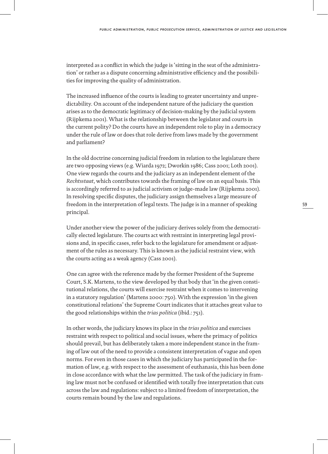interpreted as a conflict in which the judge is 'sitting in the seat of the administration' or rather as a dispute concerning administrative efficiency and the possibilities for improving the quality of administration.

The increased influence of the courts is leading to greater uncertainty and unpredictability. On account of the independent nature of the judiciary the question arises as to the democratic legitimacy of decision-making by the judicial system (Rijpkema 2001). What is the relationship between the legislator and courts in the current polity? Do the courts have an independent role to play in a democracy under the rule of law or does that role derive from laws made by the government and parliament?

In the old doctrine concerning judicial freedom in relation to the legislature there are two opposing views (e.g. Wiarda 1972; Dworkin 1986; Cass 2001; Loth 2001). One view regards the courts and the judiciary as an independent element of the *Rechtsstaat*, which contributes towards the framing of law on an equal basis. This is accordingly referred to as judicial activism or judge-made law (Rijpkema 2001). In resolving specific disputes, the judiciary assign themselves a large measure of freedom in the interpretation of legal texts. The judge is in a manner of speaking principal.

Under another view the power of the judiciary derives solely from the democratically elected legislature. The courts act with restraint in interpreting legal provisions and, in specific cases, refer back to the legislature for amendment or adjustment of the rules as necessary. This is known as the judicial restraint view, with the courts acting as a weak agency (Cass 2001).

One can agree with the reference made by the former President of the Supreme Court, S.K. Martens, to the view developed by that body that 'in the given constitutional relations, the courts will exercise restraint when it comes to intervening in a statutory regulation' (Martens 2000: 750). With the expression 'in the given constitutional relations' the Supreme Court indicates that it attaches great value to the good relationships within the *trias politica* (ibid.: 751).

In other words, the judiciary knows its place in the *trias politica* and exercises restraint with respect to political and social issues, where the primacy of politics should prevail, but has deliberately taken a more independent stance in the framing of law out of the need to provide a consistent interpretation of vague and open norms. For even in those cases in which the judiciary has participated in the formation of law, e.g. with respect to the assessment of euthanasia, this has been done in close accordance with what the law permitted. The task of the judiciary in framing law must not be confused or identified with totally free interpretation that cuts across the law and regulations: subject to a limited freedom of interpretation, the courts remain bound by the law and regulations.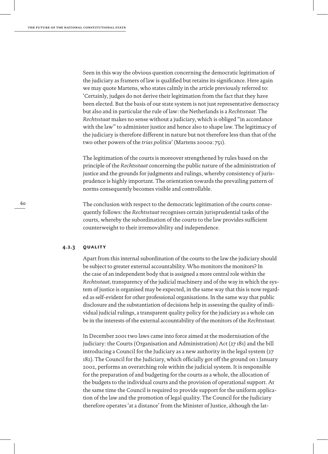Seen in this way the obvious question concerning the democratic legitimation of the judiciary as framers of law is qualified but retains its significance. Here again we may quote Martens, who states calmly in the article previously referred to: 'Certainly, judges do not derive their legitimation from the fact that they have been elected. But the basis of our state system is not just representative democracy but also and in particular the rule of law: the Netherlands is a *Rechtsstaat*. The *Rechtsstaat* makes no sense without a judiciary, which is obliged "in accordance with the law" to administer justice and hence also to shape law. The legitimacy of the judiciary is therefore different in nature but not therefore less than that of the two other powers of the *trias politica*' (Martens 2000a: 751).

The legitimation of the courts is moreover strengthened by rules based on the principle of the *Rechtsstaat* concerning the public nature of the administration of justice and the grounds for judgments and rulings, whereby consistency of jurisprudence is highly important. The orientation towards the prevailing pattern of norms consequently becomes visible and controllable.

The conclusion with respect to the democratic legitimation of the courts consequently follows: the *Rechtsstaat* recognises certain jurisprudential tasks of the courts, whereby the subordination of the courts to the law provides sufficient counterweight to their irremovability and independence.

#### **4.2.3 qualit y**

Apart from this internal subordination of the courts to the law the judiciary should be subject to greater external accountability. Who monitors the monitors? In the case of an independent body that is assigned a more central role within the *Rechtsstaat,* transparency of the judicial machinery and of the way in which the system of justice is organised may be expected, in the same way that this is now regarded as self-evident for other professional organisations. In the same way that public disclosure and the substantiation of decisions help in assessing the quality of individual judicial rulings, a transparent quality policy for the judiciary as a whole can be in the interests of the external accountability of the monitors of the *Rechtsstaat*.

In December 2001 two laws came into force aimed at the modernisation of the judiciary: the Courts (Organisation and Administration) Act (27 181) and the bill introducing a Council for the Judiciary as a new authority in the legal system (27 182). The Council for the Judiciary, which officially got off the ground on 1 January 2002, performs an overarching role within the judicial system. It is responsible for the preparation of and budgeting for the courts as a whole, the allocation of the budgets to the individual courts and the provision of operational support. At the same time the Council is required to provide support for the uniform application of the law and the promotion of legal quality. The Council for the Judiciary therefore operates 'at a distance' from the Minister of Justice, although the lat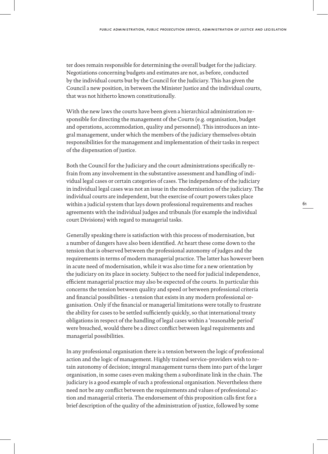ter does remain responsible for determining the overall budget for the judiciary. Negotiations concerning budgets and estimates are not, as before, conducted by the individual courts but by the Council for the Judiciary. This has given the Council a new position, in between the Minister Justice and the individual courts, that was not hitherto known constitutionally.

With the new laws the courts have been given a hierarchical administration responsible for directing the management of the Courts (e.g. organisation, budget and operations, accommodation, quality and personnel). This introduces an integral management, under which the members of the judiciary themselves obtain responsibilities for the management and implementation of their tasks in respect of the dispensation of justice.

Both the Council for the Judiciary and the court administrations specifically refrain from any involvement in the substantive assessment and handling of individual legal cases or certain categories of cases. The independence of the judiciary in individual legal cases was not an issue in the modernisation of the judiciary. The individual courts are independent, but the exercise of court powers takes place within a judicial system that lays down professional requirements and reaches agreements with the individual judges and tribunals (for example the individual court Divisions) with regard to managerial tasks.

Generally speaking there is satisfaction with this process of modernisation, but a number of dangers have also been identified. At heart these come down to the tension that is observed between the professional autonomy of judges and the requirements in terms of modern managerial practice. The latter has however been in acute need of modernisation, while it was also time for a new orientation by the judiciary on its place in society. Subject to the need for judicial independence, efficient managerial practice may also be expected of the courts. In particular this concerns the tension between quality and speed or between professional criteria and financial possibilities - a tension that exists in any modern professional organisation. Only if the financial or managerial limitations were totally to frustrate the ability for cases to be settled sufficiently quickly, so that international treaty obligations in respect of the handling of legal cases within a 'reasonable period' were breached, would there be a direct conflict between legal requirements and managerial possibilities.

In any professional organisation there is a tension between the logic of professional action and the logic of management. Highly trained service-providers wish to retain autonomy of decision; integral management turns them into part of the larger organisation, in some cases even making them a subordinate link in the chain. The judiciary is a good example of such a professional organisation. Nevertheless there need not be any conflict between the requirements and values of professional action and managerial criteria. The endorsement of this proposition calls first for a brief description of the quality of the administration of justice, followed by some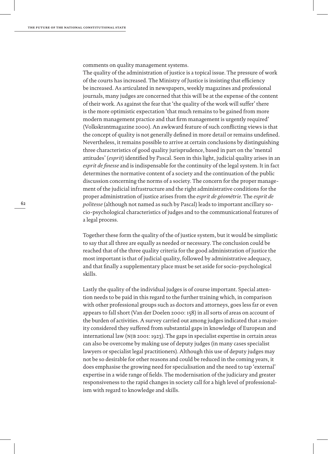comments on quality management systems.

The quality of the administration of justice is a topical issue. The pressure of work of the courts has increased. The Ministry of Justice is insisting that efficiency be increased. As articulated in newspapers, weekly magazines and professional journals, many judges are concerned that this will be at the expense of the content of their work. As against the fear that 'the quality of the work will suffer' there is the more optimistic expectation 'that much remains to be gained from more modern management practice and that firm management is urgently required' (Volkskrantmagazine 2000). An awkward feature of such conflicting views is that the concept of quality is not generally defined in more detail or remains undefined. Nevertheless, it remains possible to arrive at certain conclusions by distinguishing three characteristics of good quality jurisprudence, based in part on the 'mental attitudes' (*esprit*) identified by Pascal. Seen in this light, judicial quality arises in an *esprit de finesse* and is indispensable for the continuity of the legal system. It in fact determines the normative content of a society and the continuation of the public discussion concerning the norms of a society. The concern for the proper management of the judicial infrastructure and the right administrative conditions for the proper administration of justice arises from the *esprit de géométrie.* The *esprit de politesse* (although not named as such by Pascal) leads to important ancillary socio-psychological characteristics of judges and to the communicational features of a legal process.

Together these form the quality of the of justice system, but it would be simplistic to say that all three are equally as needed or necessary. The conclusion could be reached that of the three quality criteria for the good administration of justice the most important is that of judicial quality, followed by administrative adequacy, and that finally a supplementary place must be set aside for socio-psychological skills.

Lastly the quality of the individual judges is of course important. Special attention needs to be paid in this regard to the further training which, in comparison with other professional groups such as doctors and attorneys, goes less far or even appears to fall short (Van der Doelen 2000: 158) in all sorts of areas on account of the burden of activities. A survey carried out among judges indicated that a majority considered they suffered from substantial gaps in knowledge of European and international law (njb 2001: 1923). The gaps in specialist expertise in certain areas can also be overcome by making use of deputy judges (in many cases specialist lawyers or specialist legal practitioners). Although this use of deputy judges may not be so desirable for other reasons and could be reduced in the coming years, it does emphasise the growing need for specialisation and the need to tap 'external' expertise in a wide range of fields. The modernisation of the judiciary and greater responsiveness to the rapid changes in society call for a high level of professionalism with regard to knowledge and skills.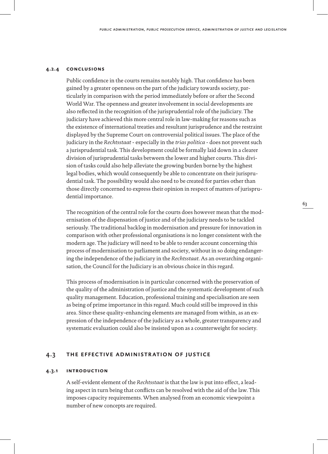# **4.2.4 conclusions**

Public confidence in the courts remains notably high. That confidence has been gained by a greater openness on the part of the judiciary towards society, particularly in comparison with the period immediately before or after the Second World War. The openness and greater involvement in social developments are also reflected in the recognition of the jurisprudential role of the judiciary. The judiciary have achieved this more central role in law-making for reasons such as the existence of international treaties and resultant jurisprudence and the restraint displayed by the Supreme Court on controversial political issues. The place of the judiciary in the *Rechtsstaat* - especially in the *trias politica* - does not prevent such a jurisprudential task. This development could be formally laid down in a clearer division of jurisprudential tasks between the lower and higher courts. This division of tasks could also help alleviate the growing burden borne by the highest legal bodies, which would consequently be able to concentrate on their jurisprudential task. The possibility would also need to be created for parties other than those directly concerned to express their opinion in respect of matters of jurisprudential importance.

The recognition of the central role for the courts does however mean that the modernisation of the dispensation of justice and of the judiciary needs to be tackled seriously. The traditional backlog in modernisation and pressure for innovation in comparison with other professional organisations is no longer consistent with the modern age. The judiciary will need to be able to render account concerning this process of modernisation to parliament and society, without in so doing endangering the independence of the judiciary in the *Rechtsstaat*. As an overarching organisation, the Council for the Judiciary is an obvious choice in this regard.

This process of modernisation is in particular concerned with the preservation of the quality of the administration of justice and the systematic development of such quality management. Education, professional training and specialisation are seen as being of prime importance in this regard. Much could still be improved in this area. Since these quality-enhancing elements are managed from within, as an expression of the independence of the judiciary as a whole, greater transparency and systematic evaluation could also be insisted upon as a counterweight for society.

## 4.3 the effective administration of justice

## **4.3.1 introduction**

A self-evident element of the *Rechtsstaat* is that the law is put into effect, a leading aspect in turn being that conflicts can be resolved with the aid of the law. This imposes capacity requirements. When analysed from an economic viewpoint a number of new concepts are required.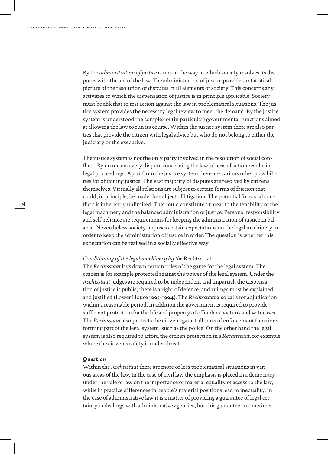By the *administration of justice* is meant the way in which society resolves its disputes with the aid of the law. The administration of justice provides a statistical picture of the resolution of disputes in all elements of society. This concerns any activities to which the dispensation of justice is in principle applicable. Society must be ablethat to test action against the law in problematical situations. The justice system provides the necessary legal review to meet the demand. By the justice system is understood the complex of (in particular) governmental functions aimed at allowing the law to run its course. Within the justice system there are also parties that provide the citizen with legal advice but who do not belong to either the judiciary or the executive.

The justice system is not the only party involved in the resolution of social conflicts. By no means every dispute concerning the lawfulness of action results in legal proceedings. Apart from the justice system there are various other possibilities for obtaining justice. The vast majority of disputes are resolved by citizens themselves. Virtually all relations are subject to certain forms of friction that could, in principle, be made the subject of litigation. The potential for social conflicts is inherently unlimited. This could constitute a threat to the tenability of the legal machinery and the balanced administration of justice. Personal responsibility and self-reliance are requirements for keeping the administration of justice in balance. Nevertheless society imposes certain expectations on the legal machinery in order to keep the administration of justice in order. The question is whether this expectation can be realised in a socially effective way.

## *Conditioning of the legal machinery by the* Rechtsstaat

The *Rechtsstaat* lays down certain rules of the game for the legal system. The citizen is for example protected against the power of the legal system. Under the *Rechtsstaat* judges are required to be independent and impartial, the dispensation of justice is public, there is a right of defence, and rulings must be explained and justified (Lower House 1993-1994). The *Rechtsstaat* also calls for adjudication within a reasonable period. In addition the government is required to provide sufficient protection for the life and property of offenders, victims and witnesses. The *Rechtsstaat* also protects the citizen against all sorts of enforcement functions forming part of the legal system, such as the police. On the other hand the legal system is also required to afford the citizen protection in a *Rechtsstaat*, for example where the citizen's safety is under threat.

# *Question*

Within the *Rechtsstaat* there are more or less problematical situations in various areas of the law. In the case of civil law the emphasis is placed in a democracy under the rule of law on the importance of material equality of access to the law, while in practice differences in people's material positions lead to inequality. In the case of administrative law it is a matter of providing a guarantee of legal certainty in dealings with administrative agencies, but this guarantee is sometimes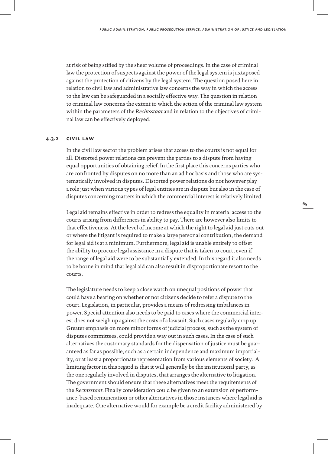at risk of being stifled by the sheer volume of proceedings. In the case of criminal law the protection of suspects against the power of the legal system is juxtaposed against the protection of citizens by the legal system. The question posed here in relation to civil law and administrative law concerns the way in which the access to the law can be safeguarded in a socially effective way. The question in relation to criminal law concerns the extent to which the action of the criminal law system within the parameters of the *Rechtsstaat* and in relation to the objectives of criminal law can be effectively deployed.

## **4.3.2 civil law**

In the civil law sector the problem arises that access to the courts is not equal for all. Distorted power relations can prevent the parties to a dispute from having equal opportunities of obtaining relief. In the first place this concerns parties who are confronted by disputes on no more than an ad hoc basis and those who are systematically involved in disputes. Distorted power relations do not however play a role just when various types of legal entities are in dispute but also in the case of disputes concerning matters in which the commercial interest is relatively limited.

Legal aid remains effective in order to redress the equality in material access to the courts arising from differences in ability to pay. There are however also limits to that effectiveness. At the level of income at which the right to legal aid just cuts out or where the litigant is required to make a large personal contribution, the demand for legal aid is at a minimum. Furthermore, legal aid is unable entirely to offset the ability to procure legal assistance in a dispute that is taken to court, even if the range of legal aid were to be substantially extended. In this regard it also needs to be borne in mind that legal aid can also result in disproportionate resort to the courts.

The legislature needs to keep a close watch on unequal positions of power that could have a bearing on whether or not citizens decide to refer a dispute to the court. Legislation, in particular, provides a means of redressing imbalances in power. Special attention also needs to be paid to cases where the commercial interest does not weigh up against the costs of a lawsuit. Such cases regularly crop up. Greater emphasis on more minor forms of judicial process, such as the system of disputes committees, could provide a way out in such cases. In the case of such alternatives the customary standards for the dispensation of justice must be guaranteed as far as possible, such as a certain independence and maximum impartiality, or at least a proportionate representation from various elements of society. A limiting factor in this regard is that it will generally be the institutional party, as the one regularly involved in disputes, that arranges the alternative to litigation. The government should ensure that these alternatives meet the requirements of the *Rechtsstaat*. Finally consideration could be given to an extension of performance-based remuneration or other alternatives in those instances where legal aid is inadequate. One alternative would for example be a credit facility administered by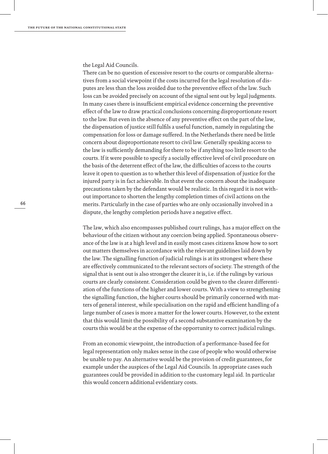the Legal Aid Councils.

There can be no question of excessive resort to the courts or comparable alternatives from a social viewpoint if the costs incurred for the legal resolution of disputes are less than the loss avoided due to the preventive effect of the law. Such loss can be avoided precisely on account of the signal sent out by legal judgments. In many cases there is insufficient empirical evidence concerning the preventive effect of the law to draw practical conclusions concerning disproportionate resort to the law. But even in the absence of any preventive effect on the part of the law, the dispensation of justice still fulfils a useful function, namely in regulating the compensation for loss or damage suffered. In the Netherlands there need be little concern about disproportionate resort to civil law. Generally speaking access to the law is sufficiently demanding for there to be if anything too little resort to the courts. If it were possible to specify a socially effective level of civil procedure on the basis of the deterrent effect of the law, the difficulties of access to the courts leave it open to question as to whether this level of dispensation of justice for the injured party is in fact achievable. In that event the concern about the inadequate precautions taken by the defendant would be realistic. In this regard it is not without importance to shorten the lengthy completion times of civil actions on the merits. Particularly in the case of parties who are only occasionally involved in a dispute, the lengthy completion periods have a negative effect.

The law, which also encompasses published court rulings, has a major effect on the behaviour of the citizen without any coercion being applied. Spontaneous observance of the law is at a high level and in easily most cases citizens know how to sort out matters themselves in accordance with the relevant guidelines laid down by the law. The signalling function of judicial rulings is at its strongest where these are effectively communicated to the relevant sectors of society. The strength of the signal that is sent out is also stronger the clearer it is, i.e. if the rulings by various courts are clearly consistent. Consideration could be given to the clearer differentiation of the functions of the higher and lower courts. With a view to strengthening the signalling function, the higher courts should be primarily concerned with matters of general interest, while specialisation on the rapid and efficient handling of a large number of cases is more a matter for the lower courts. However, to the extent that this would limit the possibility of a second substantive examination by the courts this would be at the expense of the opportunity to correct judicial rulings.

From an economic viewpoint, the introduction of a performance-based fee for legal representation only makes sense in the case of people who would otherwise be unable to pay. An alternative would be the provision of credit guarantees, for example under the auspices of the Legal Aid Councils. In appropriate cases such guarantees could be provided in addition to the customary legal aid. In particular this would concern additional evidentiary costs.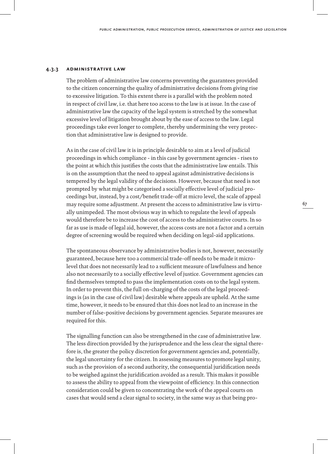## **4.3.3 administrative law**

The problem of administrative law concerns preventing the guarantees provided to the citizen concerning the quality of administrative decisions from giving rise to excessive litigation. To this extent there is a parallel with the problem noted in respect of civil law, i.e. that here too access to the law is at issue. In the case of administrative law the capacity of the legal system is stretched by the somewhat excessive level of litigation brought about by the ease of access to the law. Legal proceedings take ever longer to complete, thereby undermining the very protection that administrative law is designed to provide.

As in the case of civil law it is in principle desirable to aim at a level of judicial proceedings in which compliance - in this case by government agencies - rises to the point at which this justifies the costs that the administrative law entails. This is on the assumption that the need to appeal against administrative decisions is tempered by the legal validity of the decisions. However, because that need is not prompted by what might be categorised a socially effective level of judicial proceedings but, instead, by a cost/benefit trade-off at micro level, the scale of appeal may require some adjustment. At present the access to administrative law is virtually unimpeded. The most obvious way in which to regulate the level of appeals would therefore be to increase the cost of access to the administrative courts. In so far as use is made of legal aid, however, the access costs are not a factor and a certain degree of screening would be required when deciding on legal-aid applications.

The spontaneous observance by administrative bodies is not, however, necessarily guaranteed, because here too a commercial trade-off needs to be made it microlevel that does not necessarily lead to a sufficient measure of lawfulness and hence also not necessarily to a socially effective level of justice. Government agencies can find themselves tempted to pass the implementation costs on to the legal system. In order to prevent this, the full on-charging of the costs of the legal proceedings is (as in the case of civil law) desirable where appeals are upheld. At the same time, however, it needs to be ensured that this does not lead to an increase in the number of false-positive decisions by government agencies. Separate measures are required for this.

The signalling function can also be strengthened in the case of administrative law. The less direction provided by the jurisprudence and the less clear the signal therefore is, the greater the policy discretion for government agencies and, potentially, the legal uncertainty for the citizen. In assessing measures to promote legal unity, such as the provision of a second authority, the consequential juridification needs to be weighed against the juridification avoided as a result. This makes it possible to assess the ability to appeal from the viewpoint of efficiency. In this connection consideration could be given to concentrating the work of the appeal courts on cases that would send a clear signal to society, in the same way as that being pro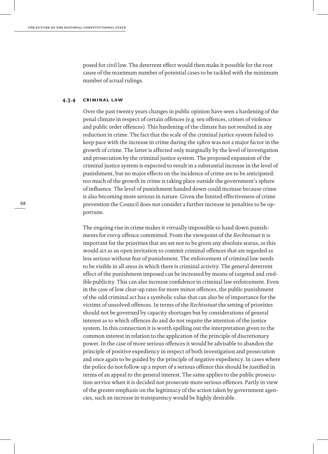posed for civil law. The deterrent effect would then make it possible for the root cause of the maximum number of potential cases to be tackled with the minimum number of actual rulings.

## **4.3.4 criminal law**

Over the past twenty years changes in public opinion have seen a hardening of the penal climate in respect of certain offences (e.g. sex offences, crimes of violence and public order offences). This hardening of the climate has not resulted in any reduction in crime. The fact that the scale of the criminal justice system failed to keep pace with the increase in crime during the 1980s was not a major factor in the growth of crime. The latter is affected only marginally by the level of investigation and prosecution by the criminal justice system. The proposed expansion of the criminal justice system is expected to result in a substantial increase in the level of punishment, but no major effects on the incidence of crime are to be anticipated: too much of the growth in crime is taking place outside the government's sphere of influence. The level of punishment handed down could increase because crime is also becoming more serious in nature. Given the limited effectiveness of crime prevention the Council does not consider a further increase in penalties to be opportune.

The ongoing rise in crime makes it virtually impossible to hand down punishments for *every* offence committed. From the viewpoint of the *Rechtsstaat* it is important for the priorities that are set not to be given any absolute status, as this would act as an open invitation to commit criminal offences that are regarded as less serious without fear of punishment. The enforcement of criminal law needs to be visible in all areas in which there is criminal activity. The general deterrent effect of the punishment imposed can be increased by means of targeted and credible publicity. This can also increase confidence in criminal law enforcement. Even in the case of low clear-up rates for more minor offences, the public punishment of the odd criminal act has a symbolic value that can also be of importance for the victims of unsolved offences. In terms of the *Rechtsstaat* the setting of priorities should not be governed by capacity shortages but by considerations of general interest as to which offences do and do not require the attention of the justice system. In this connection it is worth spelling out the interpretation given to the common interest in relation to the application of the principle of discretionary power. In the case of more serious offences it would be advisable to abandon the principle of positive expediency in respect of both investigation and prosecution and once again to be guided by the principle of negative expediency. In cases where the police do not follow up a report of a serious offence this should be justified in terms of an appeal to the general interest. The same applies to the public prosecution service when it is decided not prosecute more serious offences. Partly in view of the greater emphasis on the legitimacy of the action taken by government agencies, such an increase in transparency would be highly desirable.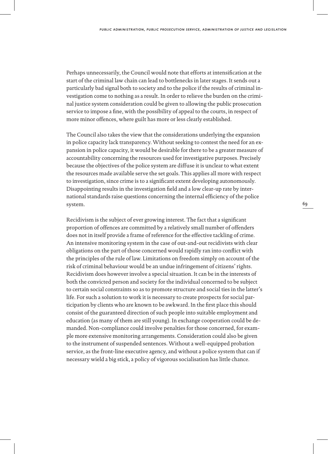Perhaps unnecessarily, the Council would note that efforts at intensification at the start of the criminal law chain can lead to bottlenecks in later stages. It sends out a particularly bad signal both to society and to the police if the results of criminal investigation come to nothing as a result. In order to relieve the burden on the criminal justice system consideration could be given to allowing the public prosecution service to impose a fine, with the possibility of appeal to the courts, in respect of more minor offences, where guilt has more or less clearly established.

The Council also takes the view that the considerations underlying the expansion in police capacity lack transparency. Without seeking to contest the need for an expansion in police capacity, it would be desirable for there to be a greater measure of accountability concerning the resources used for investigative purposes. Precisely because the objectives of the police system are diffuse it is unclear to what extent the resources made available serve the set goals. This applies all more with respect to investigation, since crime is to a significant extent developing autonomously. Disappointing results in the investigation field and a low clear-up rate by international standards raise questions concerning the internal efficiency of the police system.

Recidivism is the subject of ever growing interest. The fact that a significant proportion of offences are committed by a relatively small number of offenders does not in itself provide a frame of reference for the effective tackling of crime. An intensive monitoring system in the case of out-and-out recidivists with clear obligations on the part of those concerned would rapidly ran into conflict with the principles of the rule of law. Limitations on freedom simply on account of the risk of criminal behaviour would be an undue infringement of citizens' rights. Recidivism does however involve a special situation. It can be in the interests of both the convicted person and society for the individual concerned to be subject to certain social constraints so as to promote structure and social ties in the latter's life. For such a solution to work it is necessary to create prospects for social participation by clients who are known to be awkward. In the first place this should consist of the guaranteed direction of such people into suitable employment and education (as many of them are still young). In exchange cooperation could be demanded. Non-compliance could involve penalties for those concerned, for example more extensive monitoring arrangements. Consideration could also be given to the instrument of suspended sentences. Without a well-equipped probation service, as the front-line executive agency, and without a police system that can if necessary wield a big stick, a policy of vigorous socialisation has little chance.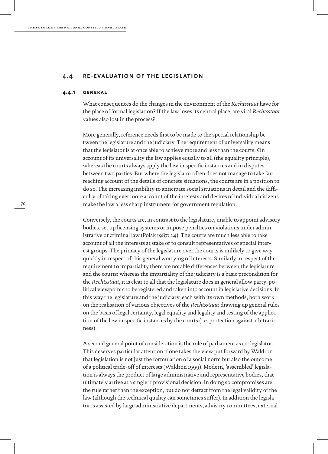# 4.4 re-evaluation of the legislation

## **4.4.1 general**

What consequences do the changes in the environment of the *Rechtsstaat* have for the place of formal legislation? If the law loses its central place, are vital *Rechtsstaat* values also lost in the process?

More generally, reference needs first to be made to the special relationship between the legislature and the judiciary. The requirement of universality means that the legislator is at once able to achieve more and less than the courts. On account of its universality the law applies equally to all (the equality principle), whereas the courts always apply the law in specific instances and in disputes between two parties. But where the legislator often does not manage to take farreaching account of the details of concrete situations, the courts are in a position to do so. The increasing inability to anticipate social situations in detail and the difficulty of taking ever more account of the interests and desires of individual citizens make the law a less sharp instrument for government regulation.

Conversely, the courts are, in contrast to the legislature, unable to appoint advisory bodies, set up licensing systems or impose penalties on violations under administrative or criminal law (Polak 1987: 24). The courts are much less able to take account of all the interests at stake or to consult representatives of special interest groups. The primacy of the legislature over the courts is unlikely to give way quickly in respect of this general worrying of interests. Similarly in respect of the requirement to impartiality there are notable differences between the legislature and the courts: whereas the impartiality of the judiciary is a basic precondition for the *Rechtsstaat*, it is clear to all that the legislature does in general allow party-political viewpoints to be registered and taken into account in legislative decisions. In this way the legislature and the judiciary, each with its own methods, both work on the realisation of various objectives of the *Rechtsstaat*: drawing up general rules on the basis of legal certainty, legal equality and legality and testing of the application of the law in specific instances by the courts (i.e. protection against arbitrariness).

A second general point of consideration is the role of parliament as co-legislator. This deserves particular attention if one takes the view put forward by Waldron that legislation is not just the formulation of a social norm but also the outcome of a political trade-off of interests (Waldron 1999). Modern, 'assembled' legislation is always the product of large administrative and representative bodies, that ultimately arrive at a single if provisional decision. In doing so compromises are the rule rather than the exception, but do not detract from the legal validity of the law (although the technical quality can sometimes suffer). In addition the legislator is assisted by large administrative departments, advisory committees, external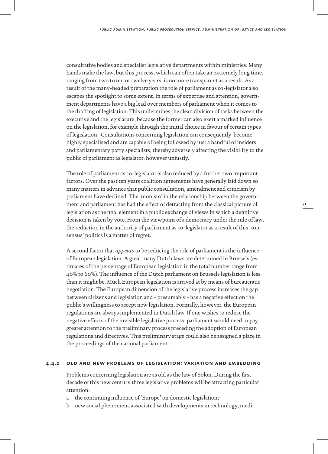consultative bodies and specialist legislative departments within ministries. Many hands make the law, but this process, which can often take an extremely long time, ranging from two to ten or twelve years, is no more transparent as a result. As a result of the many-headed preparation the role of parliament as co-legislator also escapes the spotlight to some extent. In terms of expertise and attention, government departments have a big lead over members of parliament when it comes to the drafting of legislation. This undermines the clean division of tasks between the executive and the legislature, because the former can also exert a marked influence on the legislation, for example through the initial choice in favour of certain types of legislation. Consultations concerning legislation can consequently become highly specialised and are capable of being followed by just a handful of insiders and parliamentary party specialists, thereby adversely affecting the visibility to the public of parliament as legislator, however unjustly.

The role of parliament as co-legislator is also reduced by a further two important factors. Over the past ten years coalition agreements have generally laid down so many matters in advance that public consultation, amendment and criticism by parliament have declined. The 'monism' in the relationship between the government and parliament has had the effect of detracting from the classical picture of legislation as the final element in a public exchange of views in which a definitive decision is taken by vote. From the viewpoint of a democracy under the rule of law, the reduction in the authority of parliament as co-legislator as a result of this 'consensus' politics is a matter of regret.

A second factor that *appears* to be reducing the role of parliament is the influence of European legislation. A great many Dutch laws are determined in Brussels (estimates of the percentage of European legislation in the total number range from 40% to 60%). The influence of the Dutch parliament on Brussels legislation is less than it might be. Much European legislation is arrived at by means of bureaucratic negotiation. The European dimension of the legislative process increases the gap between citizens and legislation and - presumably - has a negative effect on the public's willingness to accept new legislation. Formally, however, the European regulations are always implemented in Dutch law. If one wishes to reduce the negative effects of the invisible legislative process, parliament would need to pay greater attention to the preliminary process preceding the adoption of European regulations and directives. This preliminary stage could also be assigned a place in the proceedings of the national parliament.

### **4.4.2 old and new problems of legislation: variation and embedding**

Problems concerning legislation are as old as the law of Solon. During the first decade of this new century three legislative problems will be attracting particular attention:

- a the continuing influence of 'Europe' on domestic legislation;
- b new social phenomena associated with developments in technology, medi-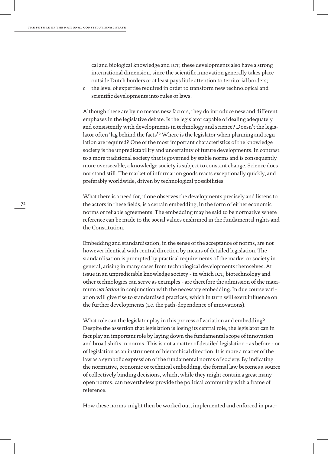cal and biological knowledge and ICT; these developments also have a strong international dimension, since the scientific innovation generally takes place outside Dutch borders or at least pays little attention to territorial borders;

c the level of expertise required in order to transform new technological and scientific developments into rules or laws.

Although these are by no means new factors, they do introduce new and different emphases in the legislative debate. Is the legislator capable of dealing adequately and consistently with developments in technology and science? Doesn't the legislator often 'lag behind the facts'? Where is the legislator when planning and regulation are required? One of the most important characteristics of the knowledge society is the unpredictability and uncertainty of future developments. In contrast to a more traditional society that is governed by stable norms and is consequently more overseeable, a knowledge society is subject to constant change. Science does not stand still. The market of information goods reacts exceptionally quickly, and preferably worldwide, driven by technological possibilities.

What there is a need for, if one observes the developments precisely and listens to the actors in these fields, is a certain embedding, in the form of either economic norms or reliable agreements. The embedding may be said to be normative where reference can be made to the social values enshrined in the fundamental rights and the Constitution.

Embedding and standardisation, in the sense of the acceptance of norms, are not however identical with central direction by means of detailed legislation. The standardisation is prompted by practical requirements of the market or society in general, arising in many cases from technological developments themselves. At issue in an unpredictable knowledge society - in which ICT, biotechnology and other technologies can serve as examples - are therefore the admission of the maximum *variation* in conjunction with the necessary embedding. In due course variation will give rise to standardised practices, which in turn will exert influence on the further developments (i.e. the path-dependence of innovations).

What role can the legislator play in this process of variation and embedding? Despite the assertion that legislation is losing its central role, the legislator can in fact play an important role by laying down the fundamental scope of innovation and broad shifts in norms. This is not a matter of detailed legislation - as before - or of legislation as an instrument of hierarchical direction. It is more a matter of the law as a symbolic expression of the fundamental norms of society. By indicating the normative, economic or technical embedding, the formal law becomes a source of collectively binding decisions, which, while they might contain a great many open norms, can nevertheless provide the political community with a frame of reference.

How these norms might then be worked out, implemented and enforced in prac-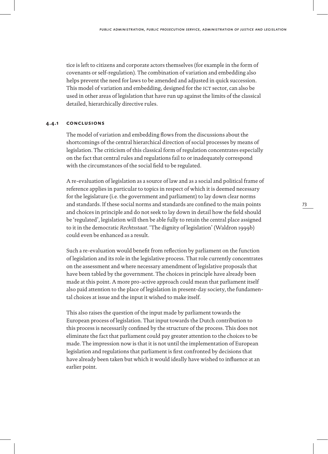tice is left to citizens and corporate actors themselves (for example in the form of covenants or self-regulation). The combination of variation and embedding also helps prevent the need for laws to be amended and adjusted in quick succession. This model of variation and embedding, designed for the ICT sector, can also be used in other areas of legislation that have run up against the limits of the classical detailed, hierarchically directive rules.

### **4.4.1 conclusions**

The model of variation and embedding flows from the discussions about the shortcomings of the central hierarchical direction of social processes by means of legislation. The criticism of this classical form of regulation concentrates especially on the fact that central rules and regulations fail to or inadequately correspond with the circumstances of the social field to be regulated.

A re-evaluation of legislation as a source of law and as a social and political frame of reference applies in particular to topics in respect of which it is deemed necessary for the legislature (i.e. the government and parliament) to lay down clear norms and standards. If these social norms and standards are confined to the main points and choices in principle and do not seek to lay down in detail how the field should be 'regulated', legislation will then be able fully to retain the central place assigned to it in the democratic *Rechtsstaat*. 'The dignity of legislation' (Waldron 1999b) could even be enhanced as a result.

Such a re-evaluation would benefit from reflection by parliament on the function of legislation and its role in the legislative process. That role currently concentrates on the assessment and where necessary amendment of legislative proposals that have been tabled by the government. The choices in principle have already been made at this point. A more pro-active approach could mean that parliament itself also paid attention to the place of legislation in present-day society, the fundamental choices at issue and the input it wished to make itself.

This also raises the question of the input made by parliament towards the European process of legislation. That input towards the Dutch contribution to this process is necessarily confined by the structure of the process. This does not eliminate the fact that parliament could pay greater attention to the choices to be made. The impression now is that it is not until the implementation of European legislation and regulations that parliament is first confronted by decisions that have already been taken but which it would ideally have wished to influence at an earlier point.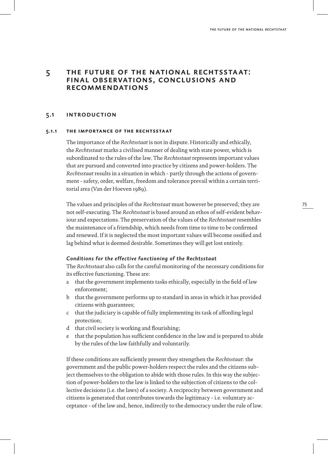# 5 the future of the national rechtsstaat: final observations, conclusions and recommendations

## 5.1 introduction

## **5.1.1 the importance of the rechtsstaat**

The importance of the *Rechtsstaat* is not in dispute. Historically and ethically, the *Rechtsstaat* marks a civilised manner of dealing with state power, which is subordinated to the rules of the law. The *Rechtsstaat* represents important values that are pursued and converted into practice by citizens and power-holders. The *Rechtsstaat* results in a situation in which - partly through the actions of government - safety, order, welfare, freedom and tolerance prevail within a certain territorial area (Van der Hoeven 1989).

The values and principles of the *Rechtsstaat* must however be preserved; they are not self-executing. The *Rechtsstaat* is based around an ethos of self-evident behaviour and expectations. The preservation of the values of the *Rechtsstaat* resembles the maintenance of a friendship, which needs from time to time to be confirmed and renewed. If it is neglected the most important values will become ossified and lag behind what is deemed desirable. Sometimes they will get lost entirely.

### *Conditions for the effective functioning of the Rechtsstaat*

The *Rechtsstaat* also calls for the careful monitoring of the necessary conditions for its effective functioning. These are:

- a that the government implements tasks ethically, especially in the field of law enforcement;
- b that the government performs up to standard in areas in which it has provided citizens with guarantees;
- c that the judiciary is capable of fully implementing its task of affording legal protection;
- d that civil society is working and flourishing;
- e that the population has sufficient confidence in the law and is prepared to abide by the rules of the law faithfully and voluntarily.

If these conditions are sufficiently present they strengthen the *Rechtsstaat*: the government and the public power-holders respect the rules and the citizens subject themselves to the obligation to abide with those rules. In this way the subjection of power-holders to the law is linked to the subjection of citizens to the collective decisions (i.e. the laws) of a society. A reciprocity between government and citizens is generated that contributes towards the legitimacy - i.e. voluntary acceptance - of the law and, hence, indirectly to the democracy under the rule of law.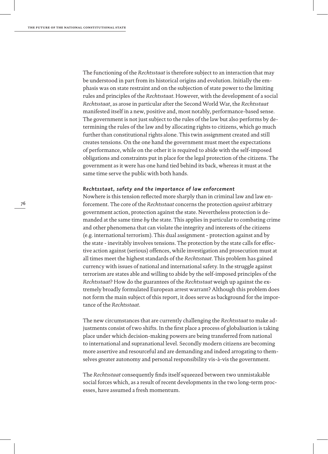The functioning of the *Rechtsstaat* is therefore subject to an interaction that may be understood in part from its historical origins and evolution. Initially the emphasis was on state restraint and on the subjection of state power to the limiting rules and principles of the *Rechtsstaat*. However, with the development of a social *Rechtsstaat*, as arose in particular after the Second World War, the *Rechtsstaat* manifested itself in a new, positive and, most notably, performance-based sense. The government is not just subject to the rules of the law but also performs by determining the rules of the law and by allocating rights to citizens, which go much further than constitutional rights alone. This twin assignment created and still creates tensions. On the one hand the government must meet the expectations of performance, while on the other it is required to abide with the self-imposed obligations and constraints put in place for the legal protection of the citizens. The government as it were has one hand tied behind its back, whereas it must at the same time serve the public with both hands.

## *Rechtsstaat , safety and the impor tance of law enforcement*

Nowhere is this tension reflected more sharply than in criminal law and law enforcement. The core of the *Rechtsstaat* concerns the protection *against* arbitrary government action, protection against the state. Nevertheless protection is demanded at the same time *by* the state. This applies in particular to combating crime and other phenomena that can violate the integrity and interests of the citizens (e.g. international terrorism). This dual assignment - protection against and by the state - inevitably involves tensions. The protection by the state calls for effective action against (serious) offences, while investigation and prosecution must at all times meet the highest standards of the *Rechtsstaat*. This problem has gained currency with issues of national and international safety. In the struggle against terrorism are states able and willing to abide by the self-imposed principles of the *Rechtsstaat*? How do the guarantees of the *Rechtsstaat* weigh up against the extremely broadly formulated European arrest warrant? Although this problem does not form the main subject of this report, it does serve as background for the importance of the *Rechtsstaat*.

The new circumstances that are currently challenging the *Rechtsstaat* to make adjustments consist of two shifts. In the first place a process of globalisation is taking place under which decision-making powers are being transferred from national to international and supranational level. Secondly modern citizens are becoming more assertive and resourceful and are demanding and indeed arrogating to themselves greater autonomy and personal responsibility vis-à-vis the government.

The *Rechtsstaat* consequently finds itself squeezed between two unmistakable social forces which, as a result of recent developments in the two long-term processes, have assumed a fresh momentum.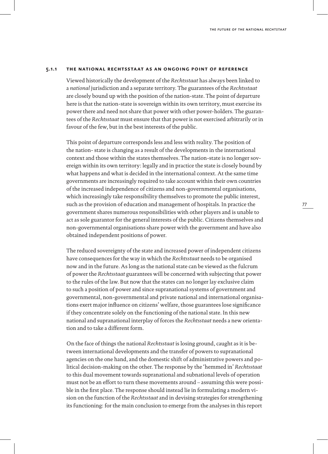## **5.1.1 the national rechtsstaat as an ongoing point of reference**

Viewed historically the development of the *Rechtsstaat* has always been linked to a *national* jurisdiction and a separate territory. The guarantees of the *Rechtsstaat* are closely bound up with the position of the nation-state. The point of departure here is that the nation-state is sovereign within its own territory, must exercise its power there and need not share that power with other power-holders. The guarantees of the *Rechtsstaat* must ensure that that power is not exercised arbitrarily or in favour of the few, but in the best interests of the public.

This point of departure corresponds less and less with reality. The position of the nation- state is changing as a result of the developments in the international context and those within the states themselves. The nation-state is no longer sovereign within its own territory: legally and in practice the state is closely bound by what happens and what is decided in the international context. At the same time governments are increasingly required to take account within their own countries of the increased independence of citizens and non-governmental organisations, which increasingly take responsibility themselves to promote the public interest, such as the provision of education and management of hospitals. In practice the government shares numerous responsibilities with other players and is unable to act as sole guarantor for the general interests of the public. Citizens themselves and non-governmental organisations share power with the government and have also obtained independent positions of power.

The reduced sovereignty of the state and increased power of independent citizens have consequences for the way in which the *Rechtsstaat* needs to be organised now and in the future. As long as the national state can be viewed as the fulcrum of power the *Rechtsstaat* guarantees will be concerned with subjecting that power to the rules of the law. But now that the states can no longer lay exclusive claim to such a position of power and since supranational systems of government and governmental, non-governmental and private national and international organisations exert major influence on citizens' welfare, those guarantees lose significance if they concentrate solely on the functioning of the national state. In this new national and supranational interplay of forces the *Rechtsstaat* needs a new orientation and to take a different form.

On the face of things the national *Rechtsstaat* is losing ground, caught as it is between international developments and the transfer of powers to supranational agencies on the one hand, and the domestic shift of administrative powers and political decision-making on the other. The response by the 'hemmed in' *Rechtsstaat* to this dual movement towards supranational and subnational levels of operation must not be an effort to turn these movements around – assuming this were possible in the first place. The response should instead lie in formulating a modern vision on the function of the *Rechtsstaat* and in devising strategies for strengthening its functioning: for the main conclusion to emerge from the analyses in this report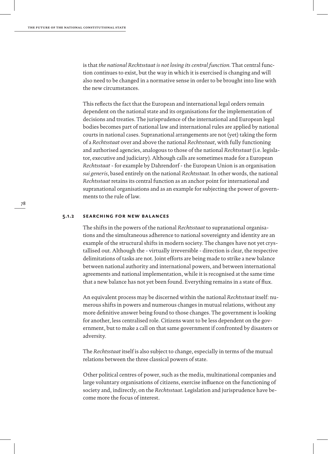is that *the national Rechtsstaat is not losing its central function*. That central function continues to exist, but the way in which it is exercised is changing and will also need to be changed in a normative sense in order to be brought into line with the new circumstances.

This reflects the fact that the European and international legal orders remain dependent on the national state and its organisations for the implementation of decisions and treaties. The jurisprudence of the international and European legal bodies becomes part of national law and international rules are applied by national courts in national cases. Supranational arrangements are not (yet) taking the form of a *Rechtsstaat* over and above the national *Rechtsstaat*, with fully functioning and authorised agencies, analogous to those of the national *Rechtsstaat* (i.e. legislator, executive and judiciary). Although calls are sometimes made for a European *Rechtsstaat* - for example by Dahrendorf - the European Union is an organisation *sui generis*, based entirely on the national *Rechtsstaat*. In other words, the national *Rechtsstaat* retains its central function as an anchor point for international and supranational organisations and as an example for subjecting the power of governments to the rule of law.

#### **5.1.2 searching for new balances**

The shifts in the powers of the national *Rechtsstaat* to supranational organisations and the simultaneous adherence to national sovereignty and identity are an example of the structural shifts in modern society. The changes have not yet crystallised out. Although the - virtually irreversible - direction is clear, the respective delimitations of tasks are not. Joint efforts are being made to strike a new balance between national authority and international powers, and between international agreements and national implementation, while it is recognised at the same time that a new balance has not yet been found. Everything remains in a state of flux.

An equivalent process may be discerned within the national *Rechtsstaat* itself: numerous shifts in powers and numerous changes in mutual relations, without any more definitive answer being found to those changes. The government is looking for another, less centralised role. Citizens want to be less dependent on the government, but to make a call on that same government if confronted by disasters or adversity.

The *Rechtsstaat* itself is also subject to change, especially in terms of the mutual relations between the three classical powers of state.

Other political centres of power, such as the media, multinational companies and large voluntary organisations of citizens, exercise influence on the functioning of society and, indirectly, on the *Rechtsstaat*. Legislation and jurisprudence have become more the focus of interest.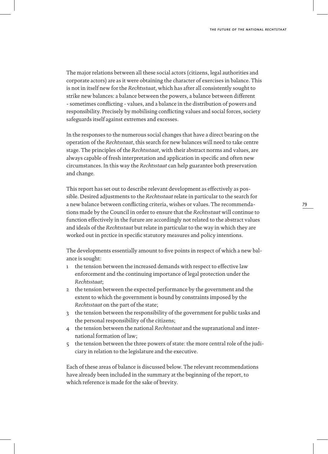The major relations between all these social actors (citizens, legal authorities and corporate actors) are as it were obtaining the character of exercises in balance. This is not in itself new for the *Rechtsstaat*, which has after all consistently sought to strike new balances: a balance between the powers, a balance between different - sometimes conflicting - values, and a balance in the distribution of powers and responsibility. Precisely by mobilising conflicting values and social forces, society safeguards itself against extremes and excesses.

In the responses to the numerous social changes that have a direct bearing on the operation of the *Rechtsstaat*, this search for new balances will need to take centre stage. The principles of the *Rechtsstaat*, with their abstract norms and values, are always capable of fresh interpretation and application in specific and often new circumstances. In this way the *Rechtsstaat* can help guarantee both preservation and change.

This report has set out to describe relevant development as effectively as possible. Desired adjustments to the *Rechtsstaat* relate in particular to the search for a new balance between conflicting criteria, wishes or values. The recommendations made by the Council in order to ensure that the *Rechtsstaat* will continue to function effectively in the future are accordingly not related to the abstract values and ideals of the *Rechtsstaat* but relate in particular to the way in which they are worked out in prctice in specific statutory measures and policy intentions.

The developments essentially amount to five points in respect of which a new balance is sought:

- 1 the tension between the increased demands with respect to effective law enforcement and the continuing importance of legal protection under the *Rechtsstaat*;
- 2 the tension between the expected performance by the government and the extent to which the government is bound by constraints imposed by the *Rechtsstaat* on the part of the state;
- 3 the tension between the responsibility of the government for public tasks and the personal responsibility of the citizens;
- 4 the tension between the national *Rechtsstaat* and the supranational and international formation of law;
- 5 the tension between the three powers of state: the more central role of the judiciary in relation to the legislature and the executive.

Each of these areas of balance is discussed below. The relevant recommendations have already been included in the summary at the beginning of the report, to which reference is made for the sake of brevity.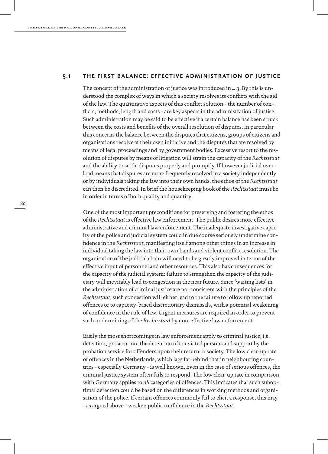## 5.1 the first balance: effective administration of justice

The concept of the administration of justice was introduced in 4.3. By this is understood the complex of ways in which a society resolves its conflicts with the aid of the law. The quantitative aspects of this conflict solution - the number of conflicts, methods, length and costs - are key aspects in the administration of justice. Such administration may be said to be effective if a certain balance has been struck between the costs and benefits of the overall resolution of disputes. In particular this concerns the balance between the disputes that citizens, groups of citizens and organisations resolve at their own initiative and the disputes that are resolved by means of legal proceedings and by government bodies. Excessive resort to the resolution of disputes by means of litigation will strain the capacity of the *Rechtsstaat* and the ability to settle disputes properly and promptly. If however judicial overload means that disputes are more frequently resolved in a society independently or by individuals taking the law into their own hands, the ethos of the *Rechtsstaat* can then be discredited. In brief the housekeeping book of the *Rechtsstaat* must be in order in terms of both quality and quantity.

One of the most important preconditions for preserving and fostering the ethos of the *Rechtsstaat* is effective law enforcement. The public desires more effective administrative and criminal law enforcement. The inadequate investigative capacity of the police and judicial system could in due course seriously undermine confidence in the *Rechtsstaat*, manifesting itself among other things in an increase in individual taking the law into their own hands and violent conflict resolution. The organisation of the judicial chain will need to be greatly improved in terms of the effective input of personnel and other resources. This also has consequences for the capacity of the judicial system: failure to strengthen the capacity of the judiciary will inevitably lead to congestion in the near future. Since 'waiting lists' in the administration of criminal justice are not consistent with the principles of the *Rechtsstaat*, such congestion will either lead to the failure to follow up reported offences or to capacity-based discretionary dismissals, with a potential weakening of confidence in the rule of law. Urgent measures are required in order to prevent such undermining of the *Rechtsstaat* by non-effective law enforcement.

Easily the most shortcomings in law enforcement apply to criminal justice, i.e. detection, prosecution, the detention of convicted persons and support by the probation service for offenders upon their return to society. The low clear-up rate of offences in the Netherlands, which lags far behind that in neighbouring countries - especially Germany - is well known. Even in the case of serious offences, the criminal justice system often fails to respond. The low clear-up rate in comparison with Germany applies to *all* categories of offences. This indicates that such suboptimal detection could be based on the differences in working methods and organisation of the police. If certain offences commonly fail to elicit a response, this may - as argued above - weaken public confidence in the *Rechtsstaat*.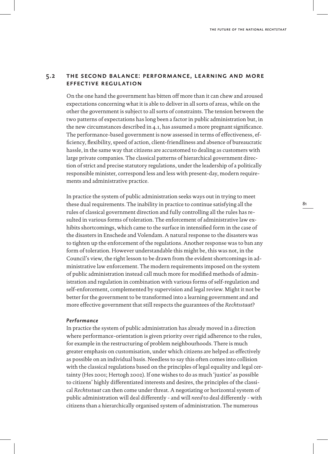## 5.2 the second balance: performance, learning and more effective regulation

On the one hand the government has bitten off more than it can chew and aroused expectations concerning what it is able to deliver in all sorts of areas, while on the other the government is subject to all sorts of constraints. The tension between the two patterns of expectations has long been a factor in public administration but, in the new circumstances described in 4.1, has assumed a more pregnant significance. The performance-based government is now assessed in terms of effectiveness, efficiency, flexibility, speed of action, client-friendliness and absence of bureaucratic hassle, in the same way that citizens are accustomed to dealing as customers with large private companies. The classical patterns of hierarchical government direction of strict and precise statutory regulations, under the leadership of a politically responsible minister, correspond less and less with present-day, modern requirements and administrative practice.

In practice the system of public administration seeks ways out in trying to meet these dual requirements. The inability in practice to continue satisfying all the rules of classical government direction and fully controlling all the rules has resulted in various forms of toleration. The enforcement of administrative law exhibits shortcomings, which came to the surface in intensified form in the case of the disasters in Enschede and Volendam. A natural response to the disasters was to tighten up the enforcement of the regulations. Another response was to ban any form of toleration. However understandable this might be, this was not, in the Council's view, the right lesson to be drawn from the evident shortcomings in administrative law enforcement. The modern requirements imposed on the system of public administration instead call much more for modified methods of administration and regulation in combination with various forms of self-regulation and self-enforcement, complemented by supervision and legal review. Might it not be better for the government to be transformed into a learning government and and more effective government that still respects the guarantees of the *Rechtsstaat*?

### *Per formance*

In practice the system of public administration has already moved in a direction where performance-orientation is given priority over rigid adherence to the rules, for example in the restructuring of problem neighbourhoods. There is much greater emphasis on customisation, under which citizens are helped as effectively as possible on an individual basis. Needless to say this often comes into collision with the classical regulations based on the principles of legal equality and legal certainty (Hes 2001; Hertogh 2002). If one wishes to do as much 'justice' as possible to citizens' highly differentiated interests and desires, the principles of the classical *Rechtsstaat* can then come under threat. A negotiating or horizontal system of public administration will deal differently - and will *need* to deal differently - with citizens than a hierarchically organised system of administration. The numerous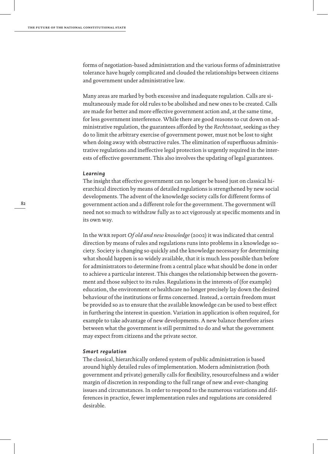forms of negotiation-based administration and the various forms of administrative tolerance have hugely complicated and clouded the relationships between citizens and government under administrative law.

Many areas are marked by both excessive and inadequate regulation. Calls are simultaneously made for old rules to be abolished and new ones to be created. Calls are made for better and more effective government action and, at the same time, for less government interference. While there are good reasons to cut down on administrative regulation, the guarantees afforded by the *Rechtsstaat*, seeking as they do to limit the arbitrary exercise of government power, must not be lost to sight when doing away with obstructive rules. The elimination of superfluous administrative regulations and ineffective legal protection is urgently required in the interests of effective government. This also involves the updating of legal guarantees.

#### *Learning*

The insight that effective government can no longer be based just on classical hierarchical direction by means of detailed regulations is strengthened by new social developments. The advent of the knowledge society calls for different forms of government action and a different role for the government. The government will need not so much to withdraw fully as to act vigorously at specific moments and in its own way.

In the WRR report *Of old and new knowledge* (2002) it was indicated that central direction by means of rules and regulations runs into problems in a knowledge society. Society is changing so quickly and the knowledge necessary for determining what should happen is so widely available, that it is much less possible than before for administrators to determine from a central place what should be done in order to achieve a particular interest. This changes the relationship between the government and those subject to its rules. Regulations in the interests of (for example) education, the environment or healthcare no longer precisely lay down the desired behaviour of the institutions or firms concerned. Instead, a certain freedom must be provided so as to ensure that the available knowledge can be used to best effect in furthering the interest in question. Variation in application is often required, for example to take advantage of new developments. A new balance therefore arises between what the government is still permitted to do and what the government may expect from citizens and the private sector.

### **Smart regulation**

The classical, hierarchically ordered system of public administration is based around highly detailed rules of implementation. Modern administration (both government and private) generally calls for flexibility, resourcefulness and a wider margin of discretion in responding to the full range of new and ever-changing issues and circumstances. In order to respond to the numerous variations and differences in practice, fewer implementation rules and regulations are considered desirable.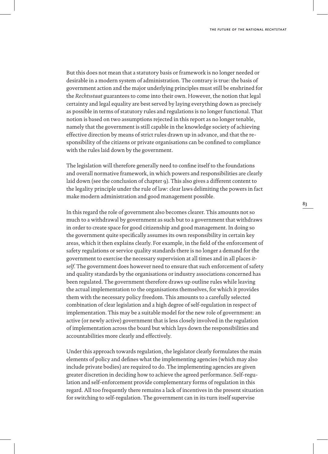But this does not mean that a statutory basis or framework is no longer needed or desirable in a modern system of administration. The contrary is true: the basis of government action and the major underlying principles must still be enshrined for the *Rechtsstaat* guarantees to come into their own. However, the notion that legal certainty and legal equality are best served by laying everything down as precisely as possible in terms of statutory rules and regulations is no longer functional. That notion is based on two assumptions rejected in this report as no longer tenable, namely that the government is still capable in the knowledge society of achieving effective direction by means of strict rules drawn up in advance, and that the responsibility of the citizens or private organisations can be confined to compliance with the rules laid down by the government.

The legislation will therefore generally need to confine itself to the foundations and overall normative framework, in which powers and responsibilities are clearly laid down (see the conclusion of chapter 9). This also gives a different content to the legality principle under the rule of law: clear laws delimiting the powers in fact make modern administration and good management possible.

In this regard the role of government also becomes clearer. This amounts not so much to a withdrawal by government as such but to a government that withdraws in order to create space for good citizenship and good management. In doing so the government quite specifically assumes its own responsibility in certain key areas, which it then explains clearly. For example, in the field of the enforcement of safety regulations or service quality standards there is no longer a demand for the government to exercise the necessary supervision at all times and in all places *itself*. The government does however need to ensure that such enforcement of safety and quality standards by the organisations or industry associations concerned has been regulated. The government therefore draws up outline rules while leaving the actual implementation to the organisations themselves, for which it provides them with the necessary policy freedom. This amounts to a carefully selected combination of clear legislation and a high degree of self-regulation in respect of implementation. This may be a suitable model for the new role of government: an active (or newly active) government that is less closely involved in the regulation of implementation across the board but which lays down the responsibilities and accountabilities more clearly and effectively.

Under this approach towards regulation, the legislator clearly formulates the main elements of policy and defines what the implementing agencies (which may also include private bodies) are required to do. The implementing agencies are given greater discretion in deciding how to achieve the agreed performance. Self-regulation and self-enforcement provide complementary forms of regulation in this regard. All too frequently there remains a lack of incentives in the present situation for switching to self-regulation. The government can in its turn itself supervise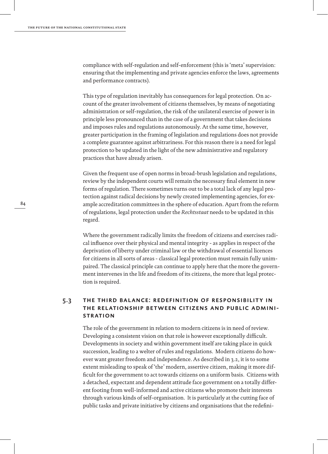compliance with self-regulation and self-enforcement (this is 'meta' supervision: ensuring that the implementing and private agencies enforce the laws, agreements and performance contracts).

This type of regulation inevitably has consequences for legal protection. On account of the greater involvement of citizens themselves, by means of negotiating administration or self-regulation, the risk of the unilateral exercise of power is in principle less pronounced than in the case of a government that takes decisions and imposes rules and regulations autonomously. At the same time, however, greater participation in the framing of legislation and regulations does not provide a complete guarantee against arbitrariness. For this reason there is a need for legal protection to be updated in the light of the new administrative and regulatory practices that have already arisen.

Given the frequent use of open norms in broad-brush legislation and regulations, review by the independent courts will remain the necessary final element in new forms of regulation. There sometimes turns out to be a total lack of any legal protection against radical decisions by newly created implementing agencies, for example accreditation committees in the sphere of education. Apart from the reform of regulations, legal protection under the *Rechtsstaat* needs to be updated in this regard.

Where the government radically limits the freedom of citizens and exercises radical influence over their physical and mental integrity - as applies in respect of the deprivation of liberty under criminal law or the withdrawal of essential licences for citizens in all sorts of areas - classical legal protection must remain fully unimpaired. The classical principle can continue to apply here that the more the government intervenes in the life and freedom of its citizens, the more that legal protection is required.

# 5.3 THE THIRD BALANCE: REDEFINITION OF RESPONSIBILITY IN the relationship between citizens and public admini-**STRATION**

The role of the government in relation to modern citizens is in need of review. Developing a consistent vision on that role is however exceptionally difficult. Developments in society and within government itself are taking place in quick succession, leading to a welter of rules and regulations. Modern citizens do however want greater freedom and independence. As described in 3.2, it is to some extent misleading to speak of 'the' modern, assertive citizen, making it more difficult for the government to act towards citizens on a uniform basis. Citizens with a detached, expectant and dependent attitude face government on a totally different footing from well-informed and active citizens who promote their interests through various kinds of self-organisation. It is particularly at the cutting face of public tasks and private initiative by citizens and organisations that the redefini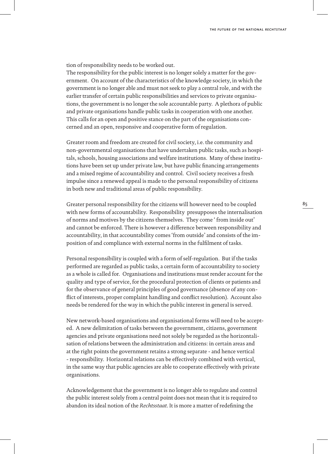tion of responsibility needs to be worked out.

The responsibility for the public interest is no longer solely a matter for the government. On account of the characteristics of the knowledge society, in which the government is no longer able and must not seek to play a central role, and with the earlier transfer of certain public responsibilities and services to private organisations, the government is no longer the sole accountable party. A plethora of public and private organisations handle public tasks in cooperation with one another. This calls for an open and positive stance on the part of the organisations concerned and an open, responsive and cooperative form of regulation.

Greater room and freedom are created for civil society, i.e. the community and non-governmental organisations that have undertaken public tasks, such as hospitals, schools, housing associations and welfare institutions. Many of these institutions have been set up under private law, but have public financing arrangements and a mixed regime of accountability and control. Civil society receives a fresh impulse since a renewed appeal is made to the personal responsibility of citizens in both new and traditional areas of public responsibility.

Greater personal responsibility for the citizens will however need to be coupled with new forms of accountability. Responsibility presupposes the internalisation of norms and motives by the citizens themselves. They come ' from inside out' and cannot be enforced. There is however a difference between responsibility and accountability, in that accountability comes 'from outside' and consists of the imposition of and compliance with external norms in the fulfilment of tasks.

Personal responsibility is coupled with a form of self-regulation. But if the tasks performed are regarded as public tasks, a certain form of accountability to society as a whole is called for. Organisations and institutions must render account for the quality and type of service, for the procedural protection of clients or patients and for the observance of general principles of good governance (absence of any conflict of interests, proper complaint handling and conflict resolution). Account also needs be rendered for the way in which the public interest in general is served.

New network-based organisations and organisational forms will need to be accepted. A new delimitation of tasks between the government, citizens, government agencies and private organisations need not solely be regarded as the horizontalisation of relations between the administration and citizens: in certain areas and at the right points the government retains a strong separate - and hence vertical - responsibility. Horizontal relations can be effectively combined with vertical, in the same way that public agencies are able to cooperate effectively with private organisations.

Acknowledgement that the government is no longer able to regulate and control the public interest solely from a central point does not mean that it is required to abandon its ideal notion of the *Rechtsstaat*. It is more a matter of redefining the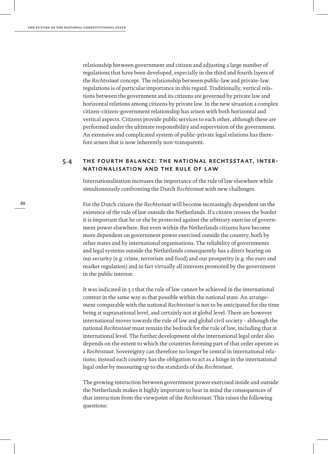relationship between government and citizen and adjusting a large number of regulations that have been developed, especially in the third and fourth layers of the *Rechtsstaat* concept. The relationship between public-law and private-law regulations is of particular importance in this regard. Traditionally, vertical relations between the government and its citizens are governed by private law and horizontal relations among citizens by private law. In the new situation a complex citizen-citizen-government relationship has arisen with both horizontal and vertical aspects. Citizens provide public services to each other, although these are performed under the ultimate responsibility and supervision of the government. An extensive and complicated system of public-private legal relations has therefore arisen that is now inherently non-transparent.

## 5.4 the fourth balance: the national rechtsstaat, internationalisation and the rule of law

Internationalisation increases the importance of the rule of law elsewhere while simultaneously confronting the Dutch *Rechtsstaat* with new challenges.

For the Dutch citizen the *Rechtsstaat* will become increasingly dependent on the existence of the rule of law outside the Netherlands. If a citizen crosses the border it is important that he or she be protected against the arbitrary exercise of government power elsewhere. But even within the Netherlands citizens have become more dependent on government power exercised outside the country, both by other states and by international organisations. The reliability of governments and legal systems outside the Netherlands consequently has a direct bearing on our security (e.g. crime, terrorism and food) and our prosperity (e.g. the euro and market regulation) and in fact virtually all interests promoted by the government in the public interest.

It was indicated in 3.1 that the rule of law cannot be achieved in the international context in the same way as that possible within the national state. An arrangement comparable with the national *Rechtsstaat* is not to be anticipated for the time being at supranational level, and certainly not at global level. There are however international moves towards the rule of law and global civil society - although the national *Rechtsstaat* must remain the bedrock for the rule of law, including that at international level. The further development of the international legal order also depends on the extent to which the countries forming part of that order operate as a *Rechtsstaat*. Sovereignty can therefore no longer be central in international relations; instead each country has the obligation to act as a hinge in the international legal order by measuring up to the standards of the *Rechtsstaat*.

The growing interaction between government power exercised inside and outside the Netherlands makes it highly important to bear in mind the consequences of that interaction from the viewpoint of the *Rechtsstaat*. This raises the following questions: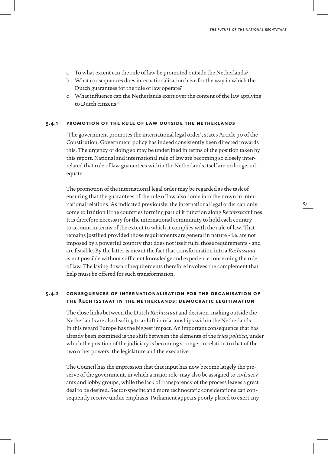- a To what extent can the rule of law be promoted outside the Netherlands?
- b What consequences does internationalisation have for the way in which the Dutch guarantees for the rule of law operate?
- c What influence can the Netherlands exert over the content of the law applying to Dutch citizens?

#### **5.4.1 promotion of the rule of law outside the netherlands**

'The government promotes the international legal order', states Article 90 of the Constitution. Government policy has indeed consistently been directed towards this. The urgency of doing so may be underlined in terms of the position taken by this report. National and international rule of law are becoming so closely interrelated that rule of law guarantees within the Netherlands itself are no longer adequate.

The promotion of the international legal order may be regarded as the task of ensuring that the guarantees of the rule of law also come into their own in international relations. As indicated previously, the international legal order can only come to fruition if the countries forming part of it function along *Rechtsstaat* lines. It is therefore necessary for the international community to hold each country to account in terms of the extent to which it complies with the rule of law. That remains justified provided those requirements are general in nature - i.e. are not imposed by a powerful country that does not itself fulfil those requirements - and are feasible. By the latter is meant the fact that transformation into a *Rechtsstaat* is not possible without sufficient knowledge and experience concerning the rule of law. The laying down of requirements therefore involves the complement that help must be offered for such transformation.

## **5.4.2 consequences of internationalisation for the organisation of the Rechtsstaat in the netherlands; democratic legitimation**

The close links between the Dutch *Rechtsstaat* and decision-making outside the Netherlands are also leading to a shift in relationships within the Netherlands. In this regard Europe has the biggest impact. An important consequence that has already been examined is the shift between the elements of the *trias politica*, under which the position of the judiciary is becoming stronger in relation to that of the two other powers, the legislature and the executive.

The Council has the impression that that input has now become largely the preserve of the government, in which a major role may also be assigned to civil servants and lobby groups, while the lack of transparency of the process leaves a great deal to be desired. Sector-specific and more technocratic considerations can consequently receive undue emphasis. Parliament appears poorly placed to exert any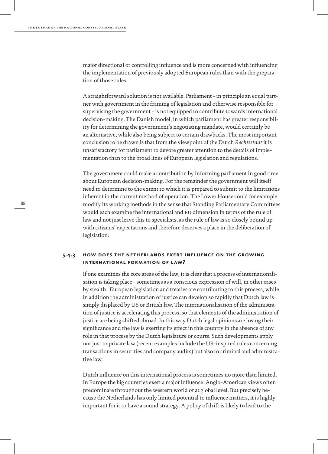major directional or controlling influence and is more concerned with influencing the implementation of previously adopted European rules than with the preparation of those rules.

A straightforward solution is not available. Parliament - in principle an equal partner with government in the framing of legislation and otherwise responsible for supervising the government - is not equipped to contribute towards international decision-making. The Danish model, in which parliament has greater responsibility for determining the government's negotiating mandate, would certainly be an alternative, while also being subject to certain drawbacks. The most important conclusion to be drawn is that from the viewpoint of the Dutch *Rechtsstaat* it is unsatisfactory for parliament to devote greater attention to the details of implementation than to the broad lines of European legislation and regulations.

The government could make a contribution by informing parliament in good time about European decision-making. For the remainder the government will itself need to determine to the extent to which it is prepared to submit to the limitations inherent in the current method of operation. The Lower House could for example modify its working methods in the sense that Standing Parliamentary Committees would each examine the international and eu dimension in terms of the rule of law and not just leave this to specialists, as the rule of law is so closely bound up with citizens' expectations and therefore deserves a place in the deliberation of legislation.

## **5.4.3 how does the netherlands exert influence on the growing international formation of law?**

If one examines the core areas of the law, it is clear that a process of internationalisation is taking place - sometimes as a conscious expression of will, in other cases by stealth. European legislation and treaties are contributing to this process, while in addition the administration of justice can develop so rapidly that Dutch law is simply displaced by US or British law. The internationalisation of the administration of justice is accelerating this process, so that elements of the administration of justice are being shifted abroad. In this way Dutch legal opinions are losing their significance and the law is exerting its effect in this country in the absence of any role in that process by the Dutch legislature or courts. Such developments apply not just to private law (recent examples include the US-inspired rules concerning transactions in securities and company audits) but also to criminal and administrative law.

Dutch influence on this international process is sometimes no more than limited. In Europe the big countries exert a major influence. Anglo-American views often predominate throughout the western world or at global level. But precisely because the Netherlands has only limited potential to influence matters, it is highly important for it to have a sound strategy. A policy of drift is likely to lead to the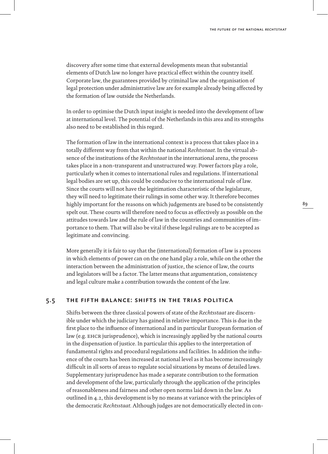discovery after some time that external developments mean that substantial elements of Dutch law no longer have practical effect within the country itself. Corporate law, the guarantees provided by criminal law and the organisation of legal protection under administrative law are for example already being affected by the formation of law outside the Netherlands.

In order to optimise the Dutch input insight is needed into the development of law at international level. The potential of the Netherlands in this area and its strengths also need to be established in this regard.

The formation of law in the international context is a process that takes place in a totally different way from that within the national *Rechtsstaat*. In the virtual absence of the institutions of the *Rechtsstaat* in the international arena, the process takes place in a non-transparent and unstructured way. Power factors play a role, particularly when it comes to international rules and regulations. If international legal bodies are set up, this could be conducive to the international rule of law. Since the courts will not have the legitimation characteristic of the legislature, they will need to legitimate their rulings in some other way. It therefore becomes highly important for the reasons on which judgements are based to be consistently spelt out. These courts will therefore need to focus as effectively as possible on the attitudes towards law and the rule of law in the countries and communities of importance to them. That will also be vital if these legal rulings are to be accepted as legitimate and convincing.

More generally it is fair to say that the (international) formation of law is a process in which elements of power can on the one hand play a role, while on the other the interaction between the administration of justice, the science of law, the courts and legislators will be a factor. The latter means that argumentation, consistency and legal culture make a contribution towards the content of the law.

## 5.5 the fifth balance: shifts in the trias politica

Shifts between the three classical powers of state of the *Rechtsstaat* are discernible under which the judiciary has gained in relative importance. This is due in the first place to the influence of international and in particular European formation of law (e.g. EHCR jurisprudence), which is increasingly applied by the national courts in the dispensation of justice. In particular this applies to the interpretation of fundamental rights and procedural regulations and facilities. In addition the influence of the courts has been increased at national level as it has become increasingly difficult in all sorts of areas to regulate social situations by means of detailed laws. Supplementary jurisprudence has made a separate contribution to the formation and development of the law, particularly through the application of the principles of reasonableness and fairness and other open norms laid down in the law. As outlined in 4.2, this development is by no means at variance with the principles of the democratic *Rechtsstaat*. Although judges are not democratically elected in con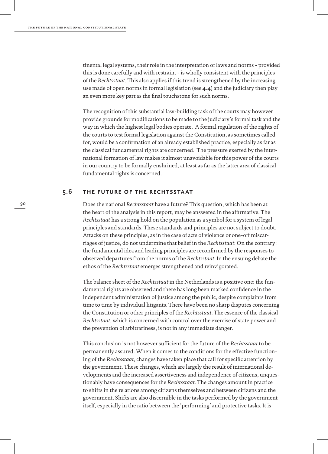tinental legal systems, their role in the interpretation of laws and norms - provided this is done carefully and with restraint - is wholly consistent with the principles of the *Rechtsstaat*. This also applies if this trend is strengthened by the increasing use made of open norms in formal legislation (see 4.4) and the judiciary then play an even more key part as the final touchstone for such norms.

The recognition of this substantial law-building task of the courts may however provide grounds for modifications to be made to the judiciary's formal task and the way in which the highest legal bodies operate. A formal regulation of the rights of the courts to test formal legislation against the Constitution, as sometimes called for, would be a confirmation of an already established practice, especially as far as the classical fundamental rights are concerned. The pressure exerted by the international formation of law makes it almost unavoidable for this power of the courts in our country to be formally enshrined, at least as far as the latter area of classical fundamental rights is concerned.

## 5.6 the future of the rechtsstaat

Does the national *Rechtsstaat* have a future? This question, which has been at the heart of the analysis in this report, may be answered in the affirmative. The *Rechtsstaat* has a strong hold on the population as a symbol for a system of legal principles and standards. These standards and principles are not subject to doubt. Attacks on these principles, as in the case of acts of violence or one-off miscarriages of justice, do not undermine that belief in the *Rechtsstaat*. On the contrary: the fundamental idea and leading principles are reconfirmed by the responses to observed departures from the norms of the *Rechtsstaat*. In the ensuing debate the ethos of the *Rechtsstaat* emerges strengthened and reinvigorated.

The balance sheet of the *Rechtsstaat* in the Netherlands is a positive one: the fundamental rights are observed and there has long been marked confidence in the independent administration of justice among the public, despite complaints from time to time by individual litigants. There have been no sharp disputes concerning the Constitution or other principles of the *Rechtsstaat*. The essence of the classical *Rechtsstaat*, which is concerned with control over the exercise of state power and the prevention of arbitrariness, is not in any immediate danger.

This conclusion is not however sufficient for the future of the *Rechtsstaat* to be permanently assured. When it comes to the conditions for the effective functioning of the *Rechtsstaat*, changes have taken place that call for specific attention by the government. These changes, which are largely the result of international developments and the increased assertiveness and independence of citizens, unquestionably have consequences for the *Rechtsstaat*. The changes amount in practice to shifts in the relations among citizens themselves and between citizens and the government. Shifts are also discernible in the tasks performed by the government itself, especially in the ratio between the 'performing' and protective tasks. It is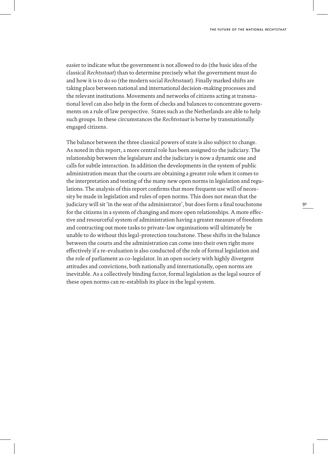easier to indicate what the government is not allowed to do (the basic idea of the classical *Rechtsstaat*) than to determine precisely what the government must do and how it is to do so (the modern social *Rechtsstaat*). Finally marked shifts are taking place between national and international decision-making processes and the relevant institutions. Movements and networks of citizens acting at transnational level can also help in the form of checks and balances to concentrate governments on a rule of law perspective. States such as the Netherlands are able to help such groups. In these circumstances the *Rechtsstaat* is borne by transnationally engaged citizens.

The balance between the three classical powers of state is also subject to change. As noted in this report, a more central role has been assigned to the judiciary. The relationship between the legislature and the judiciary is now a dynamic one and calls for subtle interaction. In addition the developments in the system of public administration mean that the courts are obtaining a greater role when it comes to the interpretation and testing of the many new open norms in legislation and regulations. The analysis of this report confirms that more frequent use will of necessity be made in legislation and rules of open norms. This does not mean that the judiciary will sit 'in the seat of the administrator', but does form a final touchstone for the citizens in a system of changing and more open relationships. A more effective and resourceful system of administration having a greater measure of freedom and contracting out more tasks to private-law organisations will ultimately be unable to do without this legal-protection touchstone. These shifts in the balance between the courts and the administration can come into their own right more effectively if a re-evaluation is also conducted of the role of formal legislation and the role of parliament as co-legislator. In an open society with highly divergent attitudes and convictions, both nationally and internationally, open norms are inevitable. As a collectively binding factor, formal legislation as the legal source of these open norms can re-establish its place in the legal system.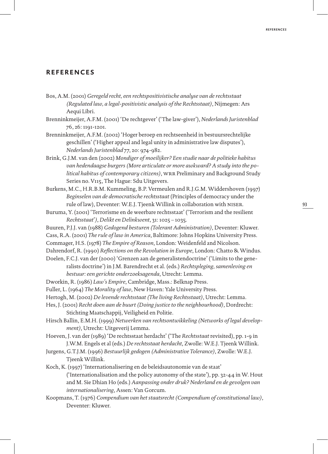# **REFERENCES**

- Bos, A.M. (2001) *Geregeld recht, een rechtspositivistische analyse van de rechtsstaat (Regulated law, a legal-positivistic analysis of the Rechtsstaat)*, Nijmegen: Ars Aequi Libri.
- Brenninkmeijer, A.F.M. (2001) 'De rechtgever' ('The law-giver'), *Nederlands Juristenblad* 76, 26: 1191-1201.
- Brenninkmeijer, A.F.M. (2002) 'Hoger beroep en rechtseenheid in bestuursrechtelijke geschillen' ('Higher appeal and legal unity in administrative law disputes'), *Nederlands Juristenblad* 77, 20: 974-982.
- Brink, G.J.M. van den (2002) *Mondiger of moeilijker? Een studie naar de politieke habitus van hedendaagse burgers (More articulate or more awkward? A study into the political habitus of contemporary citizens*), WRR Preliminary and Background Study Series no. V115, The Hague: Sdu Uitgevers.
- Burkens, M.C., H.R.B.M. Kummeling, B.P. Vermeulen and R.J.G.M. Widdershoven (1997) *Beginselen van de democratische rechtsstaat* (Principles of democracy under the rule of law), Deventer: W.E.J. Tjeenk Willink in collaboration with niser.
- Buruma, Y. (2001) 'Terrorisme en de weerbare rechtsstaat' ('Terrorism and the resilient *Rechtsstaat*'*)*, *Delikt en Delinkwent*, 31: 1025 – 1035.
- Buuren, P.J.J. van (1988) *Gedogend besturen (Tolerant Administration)*, Deventer: Kluwer.
- Cass, R.A. (2001) *The rule of law in America*, Baltimore: Johns Hopkins University Press.
- Commager, H.S. (1978) *The Empire of Reason*, London: Weidenfeld and Nicolson.
- Dahrendorf, R. (1990) *Reflections on the Revolution in Europe*, London: Chatto & Windus.
- Doelen, F.C.J. van der (2000) 'Grenzen aan de generalistendoctrine' ('Limits to the generalists doctrine') in J.M. Barendrecht et al. (eds.) *Rechtspleging, samenleving en bestuur: een gerichte onderzoeksagenda*, Utrecht: Lemma.
- Dworkin, R. (1986) *Law's Empire*, Cambridge, Mass.: Belknap Press.
- Fuller, L. (1964) *The Morality of law*, New Haven: Yale University Press.
- Hertogh, M. (2002) *De levende rechtsstaat (The living Rechtsstaat)*, Utrecht: Lemma.
- Hes, J. (2001) *Recht doen aan de buurt (Doing justice to the neighbourhood)*, Dordrecht: Stichting Maatschappij, Veiligheid en Politie.
- Hirsch Ballin, E.M.H. (1999) *Netwerken van rechtsontwikkeling (Networks of legal development)*, Utrecht: Uitgeverij Lemma.
- Hoeven, J. van der (1989) 'De rechtsstaat herdacht' ('The *Rechtsstaat* revisited), pp. 1-9 in J.W.M. Engels et al (eds.) *De rechtsstaat herdacht*, Zwolle: W.E.J. Tjeenk Willink.
- Jurgens, G.T.J.M. (1996) *Bestuurlijk gedogen (Administrative Tolerance)*, Zwolle: W.E.J. Tjeenk Willink.
- Koch, K. (1997) 'Internationalisering en de beleidsautonomie van de staat' ('Internationalisation and the policy autonomy of the state'), pp. 32-44 in W. Hout and M. Sie Dhian Ho (eds.) *Aanpassing onder druk? Nederland en de gevolgen van internationalisering*, Assen: Van Gorcum.
- Koopmans, T. (1976) *Compendium van het staatsrecht (Compendium of constitutional law)*, Deventer: Kluwer.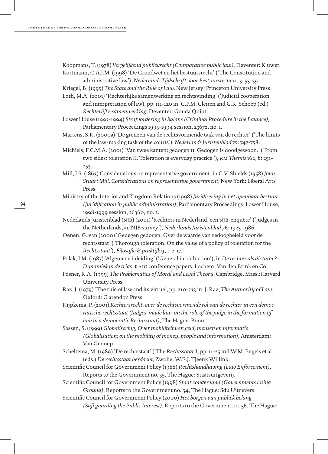Koopmans, T. (1978) *Vergelijkend publiekrecht (Comparative public law)*, Deventer: Kluwer. Kortmann, C.A.J.M. (1998) 'De Grondwet en het bestuursrecht' ('The Constitution and administrative law'), *Nederlands Tijdschrift voor Bestuursrecht* 11, 3: 53-59.

Kriegel, B. (1995) *The State and the Rule of Law,* New Jersey: Princeton University Press.

Loth, M.A. (2001) 'Rechterlijke samenwerking en rechtsvinding' ('Judicial cooperation and interpretation of law), pp. 111-120 in: C.P.M. Cleiren and G.K. Schoep (ed.) *Rechterlijke samenwerking*, Deventer: Gouda Quint.

- Lower House (1993-1994) *Strafvordering in balans (Criminal Procedure in the Balance),* Parliamentary Proceedings 1993-1994 session, 23672, no. 1.
- Martens, S.K. (2000a) 'De grenzen van de rechtsvormende taak van de rechter' ('The limits of the law-making task of the courts'), *Nederlands Juristenblad* 75: 747-758.
- Michiels, F.C.M.A. (2001) 'Van twee kanten: gedogen ii. Gedogen is doodgewoon.' ('From two sides: toleration II. Toleration is everyday practice.'), *rm Themis* 162, 8: 251- 253.
- Mill, J.S. (1863) Considerations on representative government, in C.V. Shields (1958) *John Stuart Mill, Considerations on representative government,* New York: Liberal Arts Press.
- Ministry of the Interior and Kingdom Relations (1998) *Juridisering in het openbaar bestuur (Juridification in public administration)*, Parliamentary Proceedings, Lower House, 1998-1999 session, 26360, no. 2.
- Nederlands Juristenblad (njb) (2001) 'Rechters in Nederland, een njb-enquête' ('Judges in the Netherlands, an NJB survey'), *Nederlands Juristenblad* 76: 1923-1986.
- Oenen, G. van (2000) 'Gedegen gedogen. Over de waarde van gedoogbeleid voor de rechtsstaat' ('Thorough toleration. On the value of a policy of toleration for the *Rechtsstaat'*), *Filosofie & praktijk* 9, 1: 2-17.
- Polak, J.M. (1987) 'Algemene inleiding' ('General introduction'), in *De rechter als dictator? Dynamiek in de trias*, raio conference papers, Lochem: Van den Brink en Co.
- Posner, R.A. (1999) *The Problematics of Moral and Legal Theory*, Cambridge, Mass.:Harvard University Press.
- Raz, J. (1979) 'The rule of law and its virtue', pp. 210-233 in: J. Raz, *The Authority of Law*, Oxford: Clarendon Press.
- Rijpkema, P. (2001) *Rechtersrecht, over de rechtsvormende rol van de rechter in een democratische rechtsstaat (Judges-made law: on the role of the judge in the formation of law in a democratic Rechtsstaat)*, The Hague: Boom.
- Sassen, S. (1999) *Globalisering; Over mobiliteit van geld, mensen en informatie (Globalisation: on the mobility of money, people and information)*, Amsterdam: Van Gennep.
- Scheltema, M. (1989) 'De rechtsstaat' ('The *Rechtsstaat')*, pp. 11-25 in J.W.M. Engels et al. (eds.) *De rechtsstaat herdacht*, Zwolle: W.E.J. Tjeenk Willink.
- Scientific Council for Government Policy (1988) *Rechtshandhaving (Law Enforcement)*, Reports to the Government no. 35, The Hague: Staatsuitgeverij.
- Scientific Council for Government Policy (1998) *Staat zonder land (Governments losing Ground)*, Reports to the Government no. 54, The Hague: Sdu Uitgevers.
- Scientific Council for Government Policy (2000) *Het borgen van publiek belang (Safeguarding the Public Interest)*, Reports to the Government no. 56, The Hague: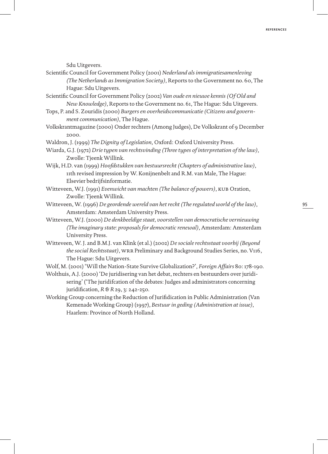Sdu Uitgevers.

Scientific Council for Government Policy (2001) *Nederland als immigratiesamenleving (The Netherlands as Immigration Society)*, Reports to the Government no. 60, The Hague: Sdu Uitgevers.

Scientific Council for Government Policy (2002) *Van oude en nieuwe kennis (Of Old and New Knowledge)*, Reports to the Government no. 61, The Hague: Sdu Uitgevers.

Tops, P. and S. Zouridis (2000) *Burgers en overheidscommunicatie (Citizens and government communication)*, The Hague.

Volkskrantmagazine (2000) Onder rechters (Among Judges), De Volkskrant of 9 December 2000.

Waldron, J. (1999) *The Dignity of Legislation*, Oxford: Oxford University Press.

- Wiarda, G.J. (1972) *Drie typen van rechtsvinding (Three types of interpretation of the law)*, Zwolle: Tjeenk Willink.
- Wijk, H.D. van (1999) *Hoofdstukken van bestuursrecht (Chapters of administrative law)*, 11th revised impression by W. Konijnenbelt and R.M. van Male, The Hague: Elsevier bedrijfsinformatie.
- Witteveen, W.J. (1991) *Evenwicht van machten (The balance of powers)*, kub Oration, Zwolle: Tjeenk Willink.
- Witteveen, W. (1996) *De geordende wereld van het recht (The regulated world of the law)*, Amsterdam: Amsterdam University Press.
- Witteveen, W.J. (2000) *De denkbeeldige staat, voorstellen van democratische vernieuwing (The imaginary state: proposals for democratic renewal)*, Amsterdam: Amsterdam University Press.
- Witteveen, W. J. and B.M.J. van Klink (et al.) (2002) *De sociale rechtsstaat voorbij (Beyond the social Rechtsstaat)*, wrr Preliminary and Background Studies Series, no. V116, The Hague: Sdu Uitgevers.

Wolf, M. (2001) 'Will the Nation-State Survive Globalization?', *Foreign Affairs* 80: 178-190.

Wolthuis, A.J. (2000) 'De juridisering van het debat, rechters en bestuurders over juridisering' ('The juridifcation of the debates: Judges and administrators concerning juridification, *R & R* 29, 3: 242-250.

Working Group concerning the Reduction of Jurifidication in Public Administration (Van Kemenade Working Group) (1997), *Bestuur in geding (Administration at issue)*, Haarlem: Province of North Holland.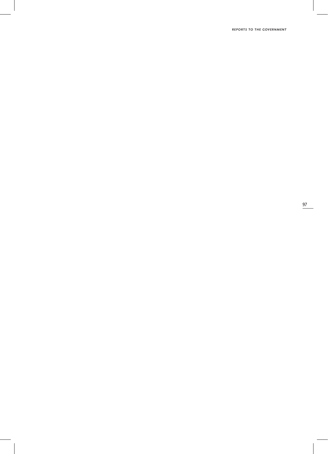*reports to the government*

97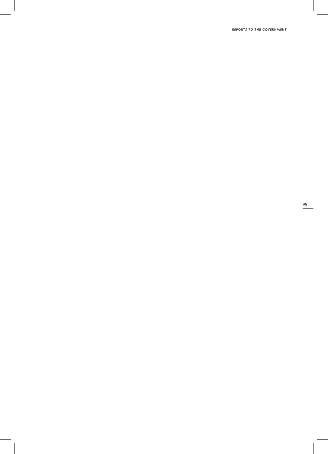*reports to the government*

99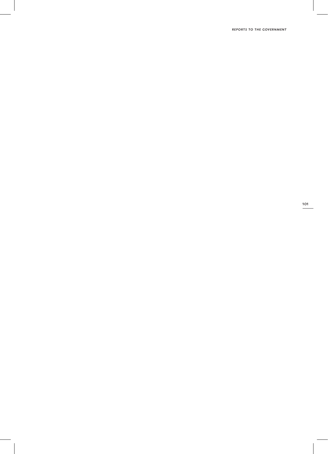*reports to the government*

101